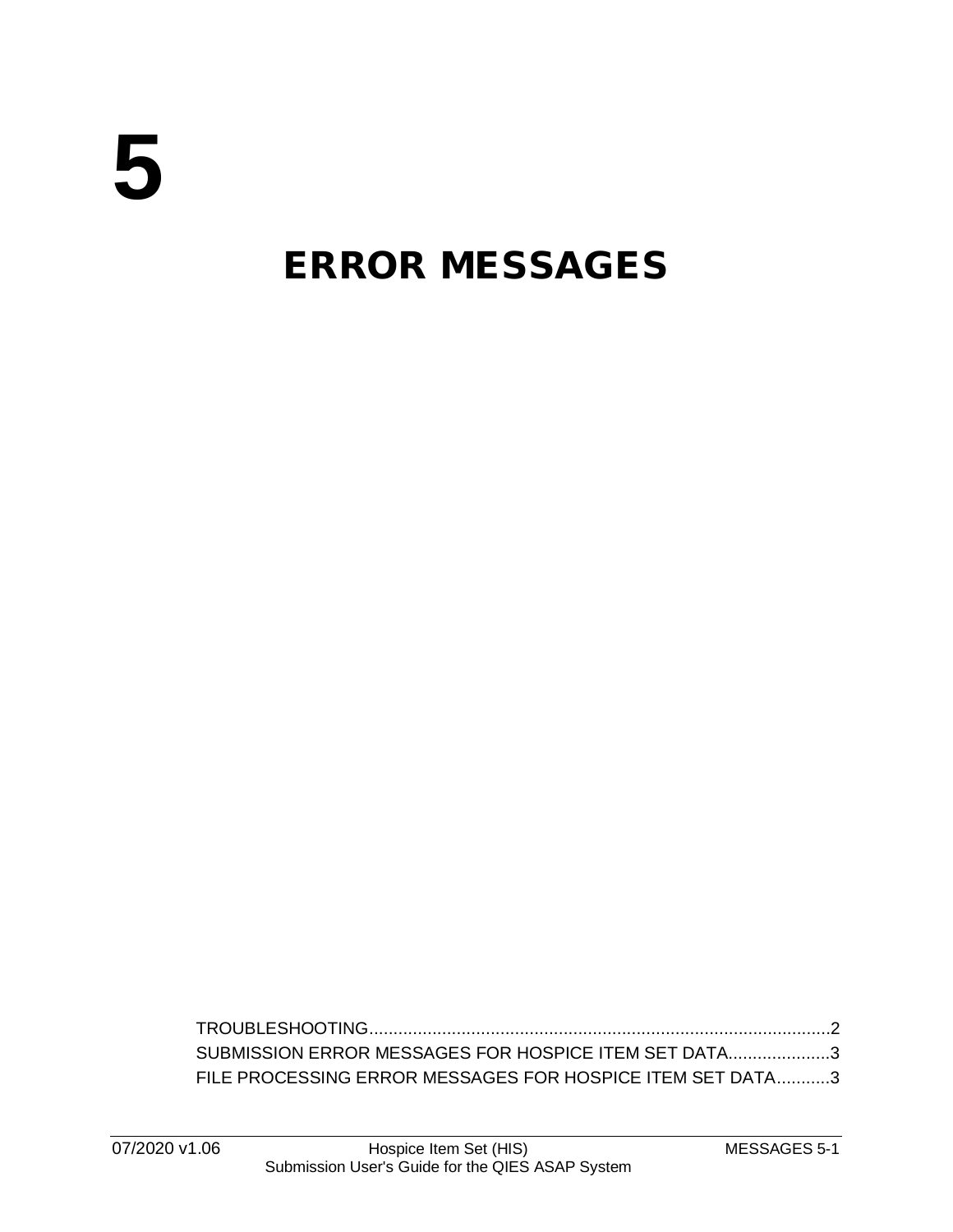## ERROR MESSAGES

[TROUBLESHOOTING...............................................................................................2](#page-1-0) [SUBMISSION ERROR MESSAGES FOR HOSPICE ITEM SET DATA.....................3](#page-2-0) [FILE PROCESSING ERROR MESSAGES FOR HOSPICE ITEM SET DATA...........3](#page-2-1)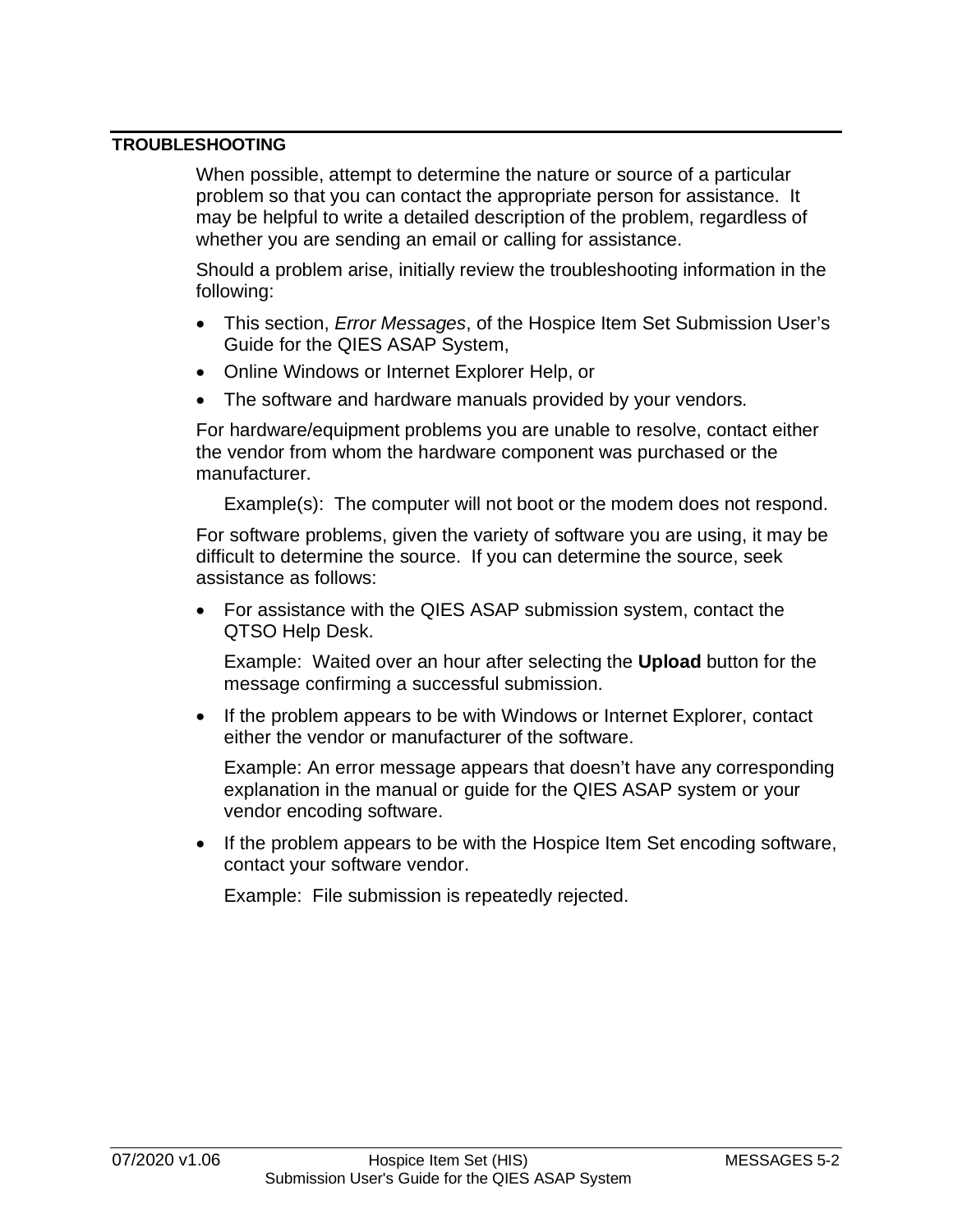## <span id="page-1-0"></span>**TROUBLESHOOTING**

When possible, attempt to determine the nature or source of a particular problem so that you can contact the appropriate person for assistance. It may be helpful to write a detailed description of the problem, regardless of whether you are sending an email or calling for assistance.

Should a problem arise, initially review the troubleshooting information in the following:

- This section, *Error Messages*, of the Hospice Item Set Submission User's Guide for the QIES ASAP System,
- Online Windows or Internet Explorer Help, or
- The software and hardware manuals provided by your vendors.

For hardware/equipment problems you are unable to resolve, contact either the vendor from whom the hardware component was purchased or the manufacturer.

Example(s): The computer will not boot or the modem does not respond.

For software problems, given the variety of software you are using, it may be difficult to determine the source. If you can determine the source, seek assistance as follows:

• For assistance with the QIES ASAP submission system, contact the QTSO Help Desk.

Example: Waited over an hour after selecting the **Upload** button for the message confirming a successful submission.

• If the problem appears to be with Windows or Internet Explorer, contact either the vendor or manufacturer of the software.

Example: An error message appears that doesn't have any corresponding explanation in the manual or guide for the QIES ASAP system or your vendor encoding software.

• If the problem appears to be with the Hospice Item Set encoding software, contact your software vendor.

Example: File submission is repeatedly rejected.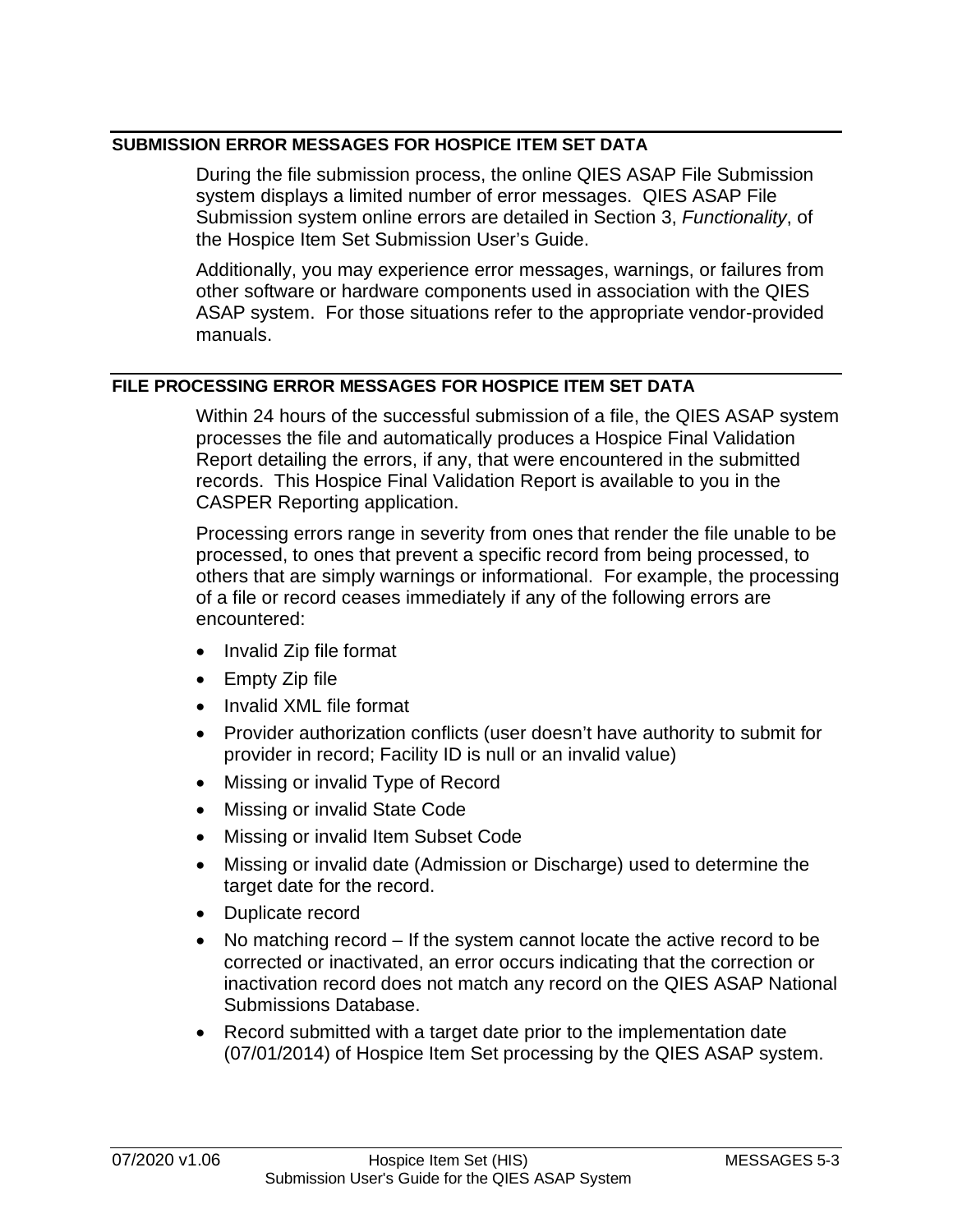## <span id="page-2-0"></span>**SUBMISSION ERROR MESSAGES FOR HOSPICE ITEM SET DATA**

During the file submission process, the online QIES ASAP File Submission system displays a limited number of error messages. QIES ASAP File Submission system online errors are detailed in Section 3, *Functionality*, of the Hospice Item Set Submission User's Guide.

Additionally, you may experience error messages, warnings, or failures from other software or hardware components used in association with the QIES ASAP system. For those situations refer to the appropriate vendor-provided manuals.

## <span id="page-2-1"></span>**FILE PROCESSING ERROR MESSAGES FOR HOSPICE ITEM SET DATA**

Within 24 hours of the successful submission of a file, the QIES ASAP system processes the file and automatically produces a Hospice Final Validation Report detailing the errors, if any, that were encountered in the submitted records. This Hospice Final Validation Report is available to you in the CASPER Reporting application.

Processing errors range in severity from ones that render the file unable to be processed, to ones that prevent a specific record from being processed, to others that are simply warnings or informational. For example, the processing of a file or record ceases immediately if any of the following errors are encountered:

- Invalid Zip file format
- Empty Zip file
- Invalid XML file format
- Provider authorization conflicts (user doesn't have authority to submit for provider in record; Facility ID is null or an invalid value)
- Missing or invalid Type of Record
- Missing or invalid State Code
- Missing or invalid Item Subset Code
- Missing or invalid date (Admission or Discharge) used to determine the target date for the record.
- Duplicate record
- No matching record If the system cannot locate the active record to be corrected or inactivated, an error occurs indicating that the correction or inactivation record does not match any record on the QIES ASAP National Submissions Database.
- Record submitted with a target date prior to the implementation date (07/01/2014) of Hospice Item Set processing by the QIES ASAP system.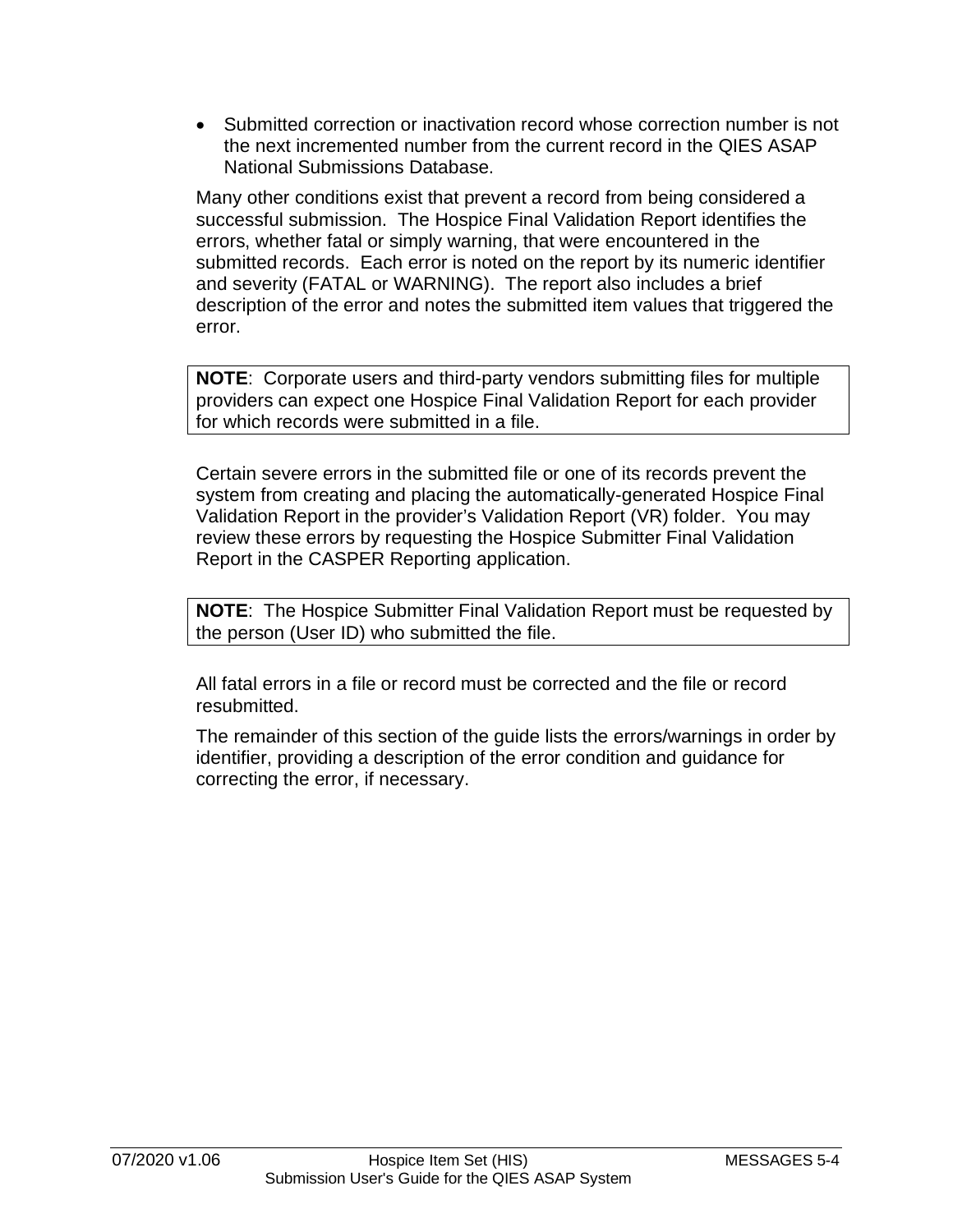• Submitted correction or inactivation record whose correction number is not the next incremented number from the current record in the QIES ASAP National Submissions Database.

Many other conditions exist that prevent a record from being considered a successful submission. The Hospice Final Validation Report identifies the errors, whether fatal or simply warning, that were encountered in the submitted records. Each error is noted on the report by its numeric identifier and severity (FATAL or WARNING). The report also includes a brief description of the error and notes the submitted item values that triggered the error.

**NOTE**: Corporate users and third-party vendors submitting files for multiple providers can expect one Hospice Final Validation Report for each provider for which records were submitted in a file.

Certain severe errors in the submitted file or one of its records prevent the system from creating and placing the automatically-generated Hospice Final Validation Report in the provider's Validation Report (VR) folder. You may review these errors by requesting the Hospice Submitter Final Validation Report in the CASPER Reporting application.

**NOTE**: The Hospice Submitter Final Validation Report must be requested by the person (User ID) who submitted the file.

All fatal errors in a file or record must be corrected and the file or record resubmitted.

The remainder of this section of the guide lists the errors/warnings in order by identifier, providing a description of the error condition and guidance for correcting the error, if necessary.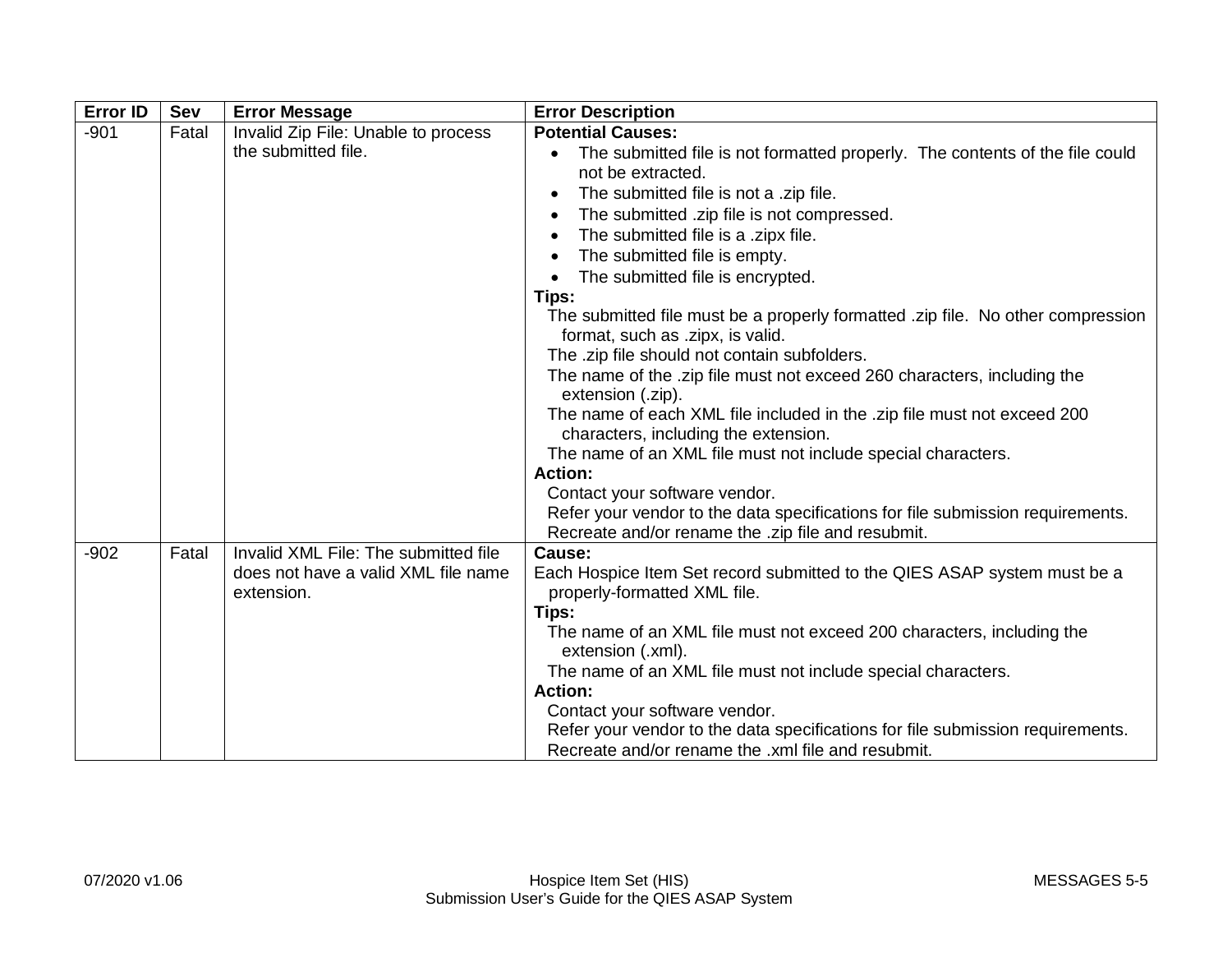| <b>Error ID</b> | <b>Sev</b> | <b>Error Message</b>                 | <b>Error Description</b>                                                        |
|-----------------|------------|--------------------------------------|---------------------------------------------------------------------------------|
| $-901$          | Fatal      | Invalid Zip File: Unable to process  | <b>Potential Causes:</b>                                                        |
|                 |            | the submitted file.                  | The submitted file is not formatted properly. The contents of the file could    |
|                 |            |                                      | not be extracted.                                                               |
|                 |            |                                      | The submitted file is not a .zip file.                                          |
|                 |            |                                      | The submitted .zip file is not compressed.                                      |
|                 |            |                                      | The submitted file is a .zipx file.                                             |
|                 |            |                                      | The submitted file is empty.                                                    |
|                 |            |                                      | The submitted file is encrypted.                                                |
|                 |            |                                      | Tips:                                                                           |
|                 |            |                                      | The submitted file must be a properly formatted .zip file. No other compression |
|                 |            |                                      | format, such as .zipx, is valid.                                                |
|                 |            |                                      | The .zip file should not contain subfolders.                                    |
|                 |            |                                      | The name of the .zip file must not exceed 260 characters, including the         |
|                 |            |                                      | extension (.zip).                                                               |
|                 |            |                                      | The name of each XML file included in the .zip file must not exceed 200         |
|                 |            |                                      | characters, including the extension.                                            |
|                 |            |                                      | The name of an XML file must not include special characters.<br><b>Action:</b>  |
|                 |            |                                      | Contact your software vendor.                                                   |
|                 |            |                                      | Refer your vendor to the data specifications for file submission requirements.  |
|                 |            |                                      | Recreate and/or rename the .zip file and resubmit.                              |
| $-902$          | Fatal      | Invalid XML File: The submitted file | Cause:                                                                          |
|                 |            | does not have a valid XML file name  | Each Hospice Item Set record submitted to the QIES ASAP system must be a        |
|                 |            | extension.                           | properly-formatted XML file.                                                    |
|                 |            |                                      | Tips:                                                                           |
|                 |            |                                      | The name of an XML file must not exceed 200 characters, including the           |
|                 |            |                                      | extension (.xml).                                                               |
|                 |            |                                      | The name of an XML file must not include special characters.                    |
|                 |            |                                      | <b>Action:</b>                                                                  |
|                 |            |                                      | Contact your software vendor.                                                   |
|                 |            |                                      | Refer your vendor to the data specifications for file submission requirements.  |
|                 |            |                                      | Recreate and/or rename the .xml file and resubmit.                              |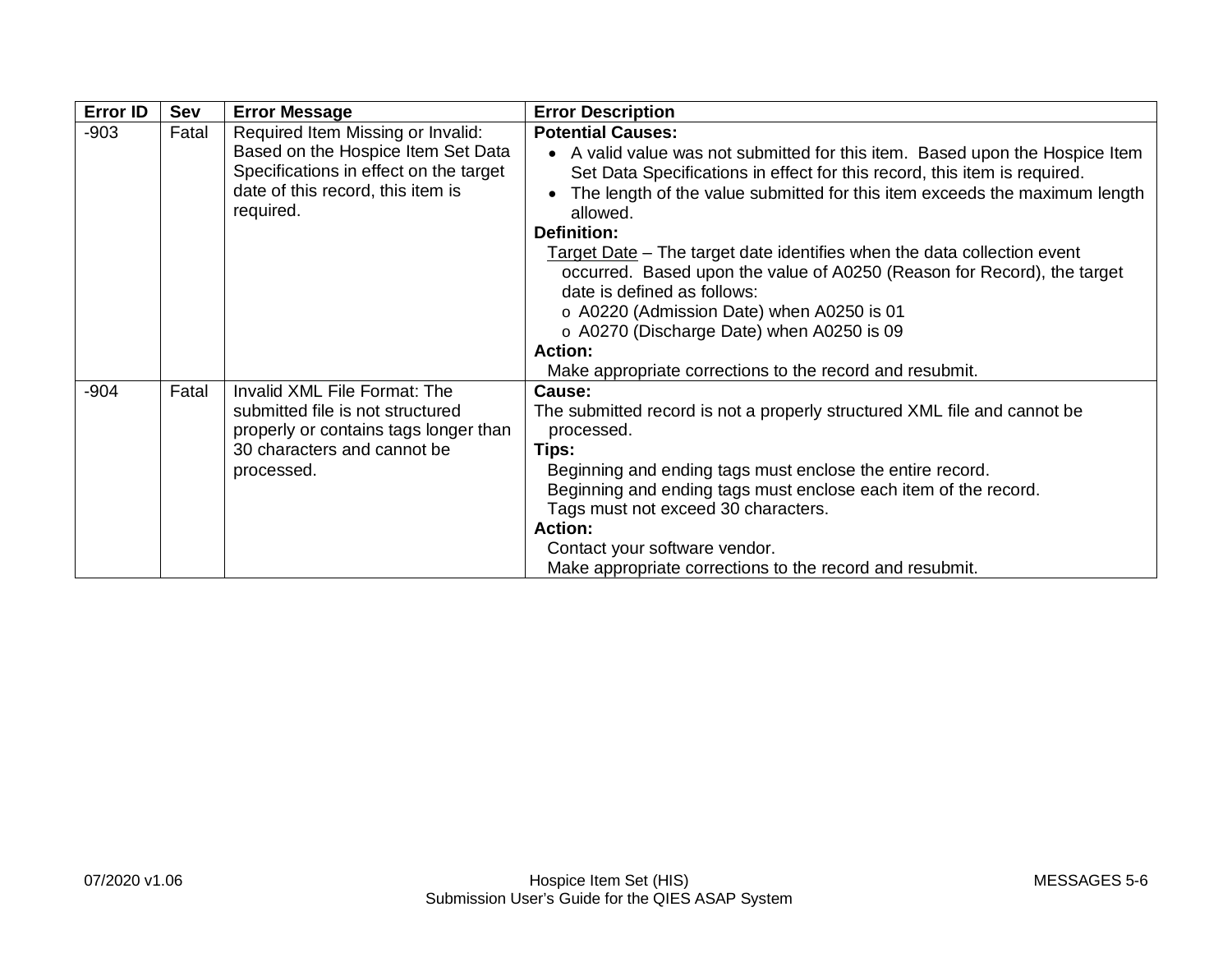| <b>Error ID</b> | Sev   | <b>Error Message</b>                                                                                                                                                | <b>Error Description</b>                                                                                                                                                                                                                                                                                                                                                                                                                                                                                                                                                                                                                                    |
|-----------------|-------|---------------------------------------------------------------------------------------------------------------------------------------------------------------------|-------------------------------------------------------------------------------------------------------------------------------------------------------------------------------------------------------------------------------------------------------------------------------------------------------------------------------------------------------------------------------------------------------------------------------------------------------------------------------------------------------------------------------------------------------------------------------------------------------------------------------------------------------------|
| $-903$          | Fatal | Required Item Missing or Invalid:<br>Based on the Hospice Item Set Data<br>Specifications in effect on the target<br>date of this record, this item is<br>required. | <b>Potential Causes:</b><br>• A valid value was not submitted for this item. Based upon the Hospice Item<br>Set Data Specifications in effect for this record, this item is required.<br>The length of the value submitted for this item exceeds the maximum length<br>allowed.<br><b>Definition:</b><br>Target Date - The target date identifies when the data collection event<br>occurred. Based upon the value of A0250 (Reason for Record), the target<br>date is defined as follows:<br>o A0220 (Admission Date) when A0250 is 01<br>o A0270 (Discharge Date) when A0250 is 09<br>Action:<br>Make appropriate corrections to the record and resubmit. |
| $-904$          | Fatal | Invalid XML File Format: The<br>submitted file is not structured<br>properly or contains tags longer than<br>30 characters and cannot be<br>processed.              | Cause:<br>The submitted record is not a properly structured XML file and cannot be<br>processed.<br>Tips:<br>Beginning and ending tags must enclose the entire record.<br>Beginning and ending tags must enclose each item of the record.<br>Tags must not exceed 30 characters.<br>Action:<br>Contact your software vendor.<br>Make appropriate corrections to the record and resubmit.                                                                                                                                                                                                                                                                    |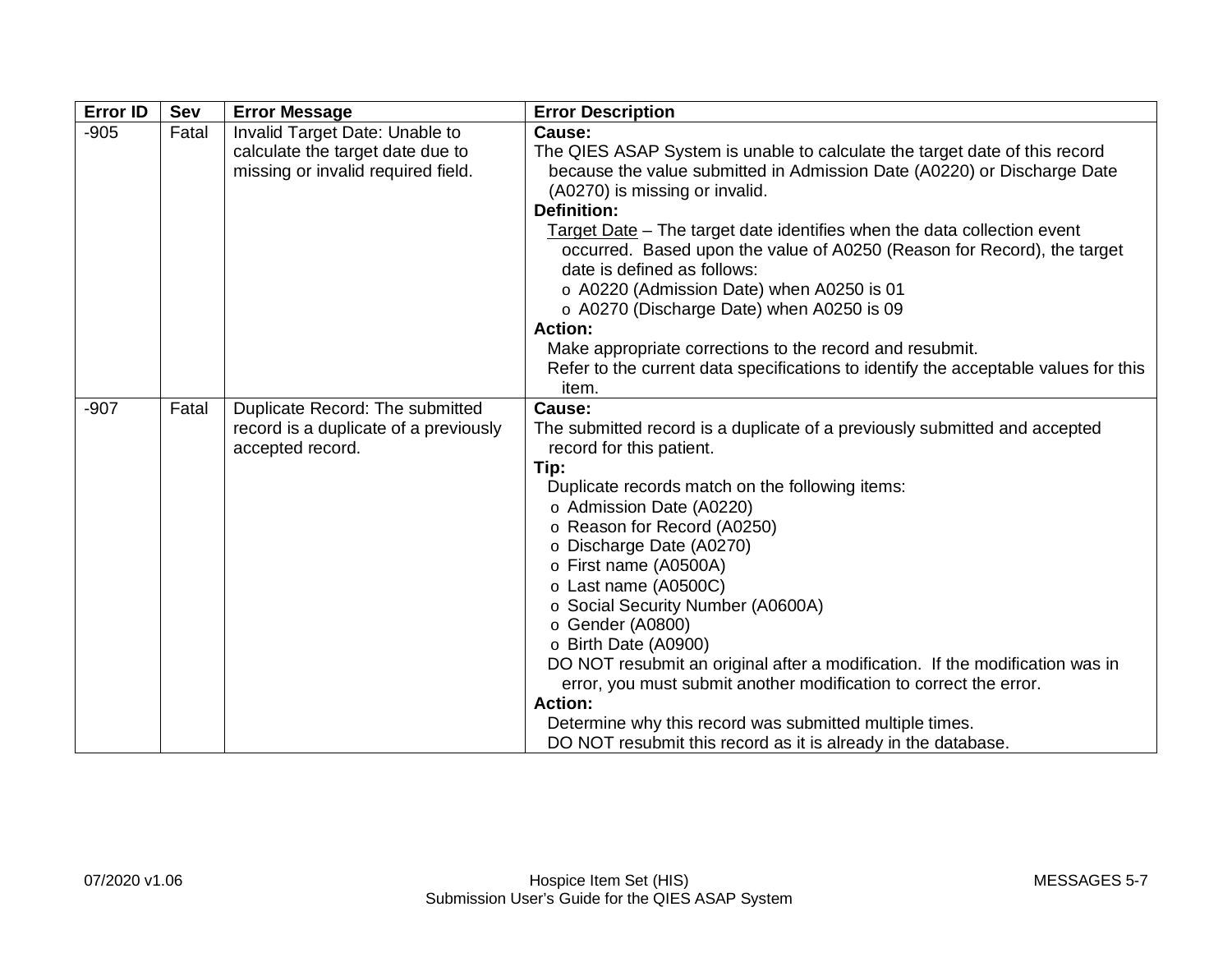| <b>Error ID</b> | <b>Sev</b> | <b>Error Message</b>                                                                                     | <b>Error Description</b>                                                                                                                                                                                                                                                                                                                                                                                                                                                                                                                                                                                                                                                                                |
|-----------------|------------|----------------------------------------------------------------------------------------------------------|---------------------------------------------------------------------------------------------------------------------------------------------------------------------------------------------------------------------------------------------------------------------------------------------------------------------------------------------------------------------------------------------------------------------------------------------------------------------------------------------------------------------------------------------------------------------------------------------------------------------------------------------------------------------------------------------------------|
| $-905$          | Fatal      | Invalid Target Date: Unable to<br>calculate the target date due to<br>missing or invalid required field. | Cause:<br>The QIES ASAP System is unable to calculate the target date of this record<br>because the value submitted in Admission Date (A0220) or Discharge Date<br>(A0270) is missing or invalid.<br><b>Definition:</b><br>Target Date - The target date identifies when the data collection event<br>occurred. Based upon the value of A0250 (Reason for Record), the target<br>date is defined as follows:<br>o A0220 (Admission Date) when A0250 is 01<br>o A0270 (Discharge Date) when A0250 is 09                                                                                                                                                                                                  |
|                 |            |                                                                                                          | <b>Action:</b><br>Make appropriate corrections to the record and resubmit.<br>Refer to the current data specifications to identify the acceptable values for this<br>item.                                                                                                                                                                                                                                                                                                                                                                                                                                                                                                                              |
| $-907$          | Fatal      | Duplicate Record: The submitted<br>record is a duplicate of a previously<br>accepted record.             | Cause:<br>The submitted record is a duplicate of a previously submitted and accepted<br>record for this patient.<br>Tip:<br>Duplicate records match on the following items:<br>o Admission Date (A0220)<br>o Reason for Record (A0250)<br>o Discharge Date (A0270)<br>o First name (A0500A)<br>o Last name (A0500C)<br>o Social Security Number (A0600A)<br>o Gender (A0800)<br>o Birth Date (A0900)<br>DO NOT resubmit an original after a modification. If the modification was in<br>error, you must submit another modification to correct the error.<br><b>Action:</b><br>Determine why this record was submitted multiple times.<br>DO NOT resubmit this record as it is already in the database. |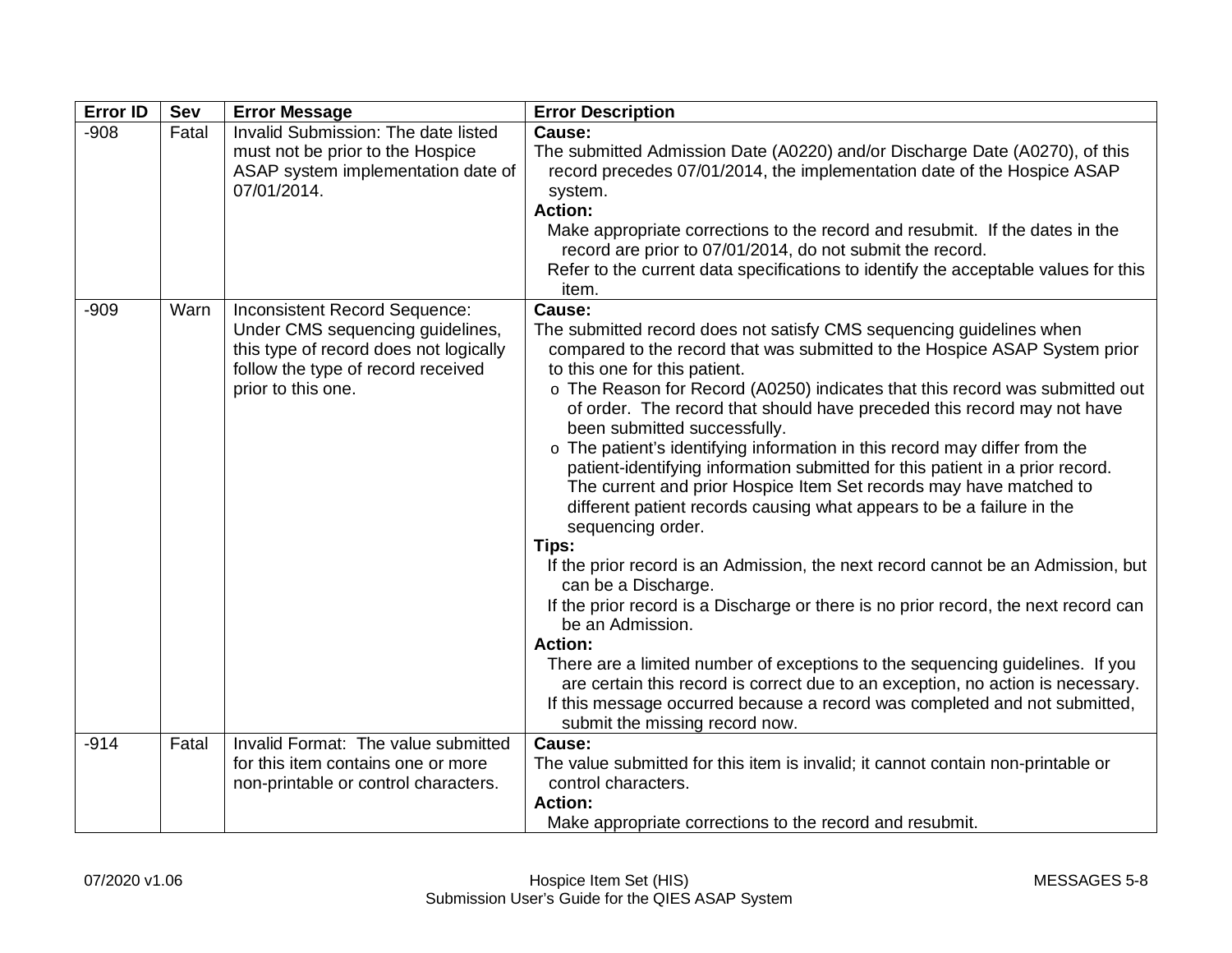| <b>Error ID</b> | Sev   | <b>Error Message</b>                                                                                                                                                    | <b>Error Description</b>                                                                                                                                                                                                                                                                                                                                                                                                                                                                                                                                                                                                                                                                                                                                                                                                                                                                                                                                                                                                                                                                                                                         |
|-----------------|-------|-------------------------------------------------------------------------------------------------------------------------------------------------------------------------|--------------------------------------------------------------------------------------------------------------------------------------------------------------------------------------------------------------------------------------------------------------------------------------------------------------------------------------------------------------------------------------------------------------------------------------------------------------------------------------------------------------------------------------------------------------------------------------------------------------------------------------------------------------------------------------------------------------------------------------------------------------------------------------------------------------------------------------------------------------------------------------------------------------------------------------------------------------------------------------------------------------------------------------------------------------------------------------------------------------------------------------------------|
| $-908$          | Fatal | Invalid Submission: The date listed<br>must not be prior to the Hospice<br>ASAP system implementation date of<br>07/01/2014.                                            | Cause:<br>The submitted Admission Date (A0220) and/or Discharge Date (A0270), of this<br>record precedes 07/01/2014, the implementation date of the Hospice ASAP<br>system.<br><b>Action:</b><br>Make appropriate corrections to the record and resubmit. If the dates in the<br>record are prior to 07/01/2014, do not submit the record.<br>Refer to the current data specifications to identify the acceptable values for this<br>item.                                                                                                                                                                                                                                                                                                                                                                                                                                                                                                                                                                                                                                                                                                       |
| $-909$          | Warn  | Inconsistent Record Sequence:<br>Under CMS sequencing guidelines,<br>this type of record does not logically<br>follow the type of record received<br>prior to this one. | Cause:<br>The submitted record does not satisfy CMS sequencing guidelines when<br>compared to the record that was submitted to the Hospice ASAP System prior<br>to this one for this patient.<br>o The Reason for Record (A0250) indicates that this record was submitted out<br>of order. The record that should have preceded this record may not have<br>been submitted successfully.<br>o The patient's identifying information in this record may differ from the<br>patient-identifying information submitted for this patient in a prior record.<br>The current and prior Hospice Item Set records may have matched to<br>different patient records causing what appears to be a failure in the<br>sequencing order.<br>Tips:<br>If the prior record is an Admission, the next record cannot be an Admission, but<br>can be a Discharge.<br>If the prior record is a Discharge or there is no prior record, the next record can<br>be an Admission.<br><b>Action:</b><br>There are a limited number of exceptions to the sequencing guidelines. If you<br>are certain this record is correct due to an exception, no action is necessary. |
|                 |       |                                                                                                                                                                         | If this message occurred because a record was completed and not submitted,<br>submit the missing record now.                                                                                                                                                                                                                                                                                                                                                                                                                                                                                                                                                                                                                                                                                                                                                                                                                                                                                                                                                                                                                                     |
| $-914$          | Fatal | Invalid Format: The value submitted<br>for this item contains one or more<br>non-printable or control characters.                                                       | Cause:<br>The value submitted for this item is invalid; it cannot contain non-printable or<br>control characters.<br><b>Action:</b><br>Make appropriate corrections to the record and resubmit.                                                                                                                                                                                                                                                                                                                                                                                                                                                                                                                                                                                                                                                                                                                                                                                                                                                                                                                                                  |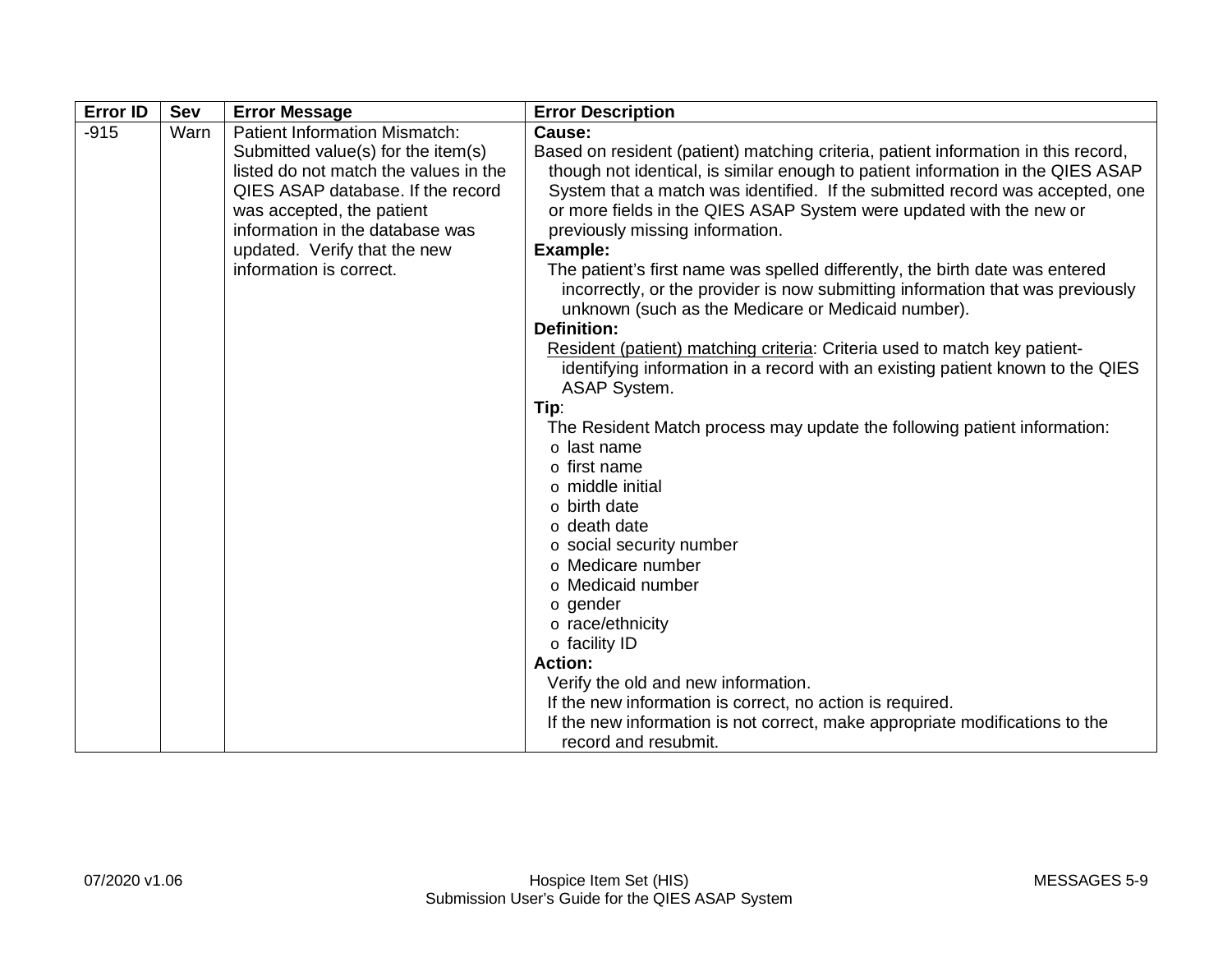|                                                                                                                                                                                                                                                                                     | <b>Error Description</b>                                                                                                                                                                                                                                                                                                                                                                                                                                                                                                                                                                                                                                                                                     |
|-------------------------------------------------------------------------------------------------------------------------------------------------------------------------------------------------------------------------------------------------------------------------------------|--------------------------------------------------------------------------------------------------------------------------------------------------------------------------------------------------------------------------------------------------------------------------------------------------------------------------------------------------------------------------------------------------------------------------------------------------------------------------------------------------------------------------------------------------------------------------------------------------------------------------------------------------------------------------------------------------------------|
| <b>Patient Information Mismatch:</b><br>Submitted value(s) for the item(s)<br>listed do not match the values in the<br>QIES ASAP database. If the record<br>was accepted, the patient<br>information in the database was<br>updated. Verify that the new<br>information is correct. | Cause:<br>Based on resident (patient) matching criteria, patient information in this record,<br>though not identical, is similar enough to patient information in the QIES ASAP<br>System that a match was identified. If the submitted record was accepted, one<br>or more fields in the QIES ASAP System were updated with the new or<br>previously missing information.<br>Example:<br>The patient's first name was spelled differently, the birth date was entered<br>incorrectly, or the provider is now submitting information that was previously<br>unknown (such as the Medicare or Medicaid number).                                                                                               |
|                                                                                                                                                                                                                                                                                     | <b>Definition:</b><br>Resident (patient) matching criteria: Criteria used to match key patient-<br>identifying information in a record with an existing patient known to the QIES<br><b>ASAP System.</b><br>Tip:<br>The Resident Match process may update the following patient information:<br>o last name<br>o first name<br>o middle initial<br>o birth date<br>o death date<br>o social security number<br>o Medicare number<br>o Medicaid number<br>o gender<br>o race/ethnicity<br>o facility ID<br><b>Action:</b><br>Verify the old and new information.<br>If the new information is correct, no action is required.<br>If the new information is not correct, make appropriate modifications to the |
|                                                                                                                                                                                                                                                                                     |                                                                                                                                                                                                                                                                                                                                                                                                                                                                                                                                                                                                                                                                                                              |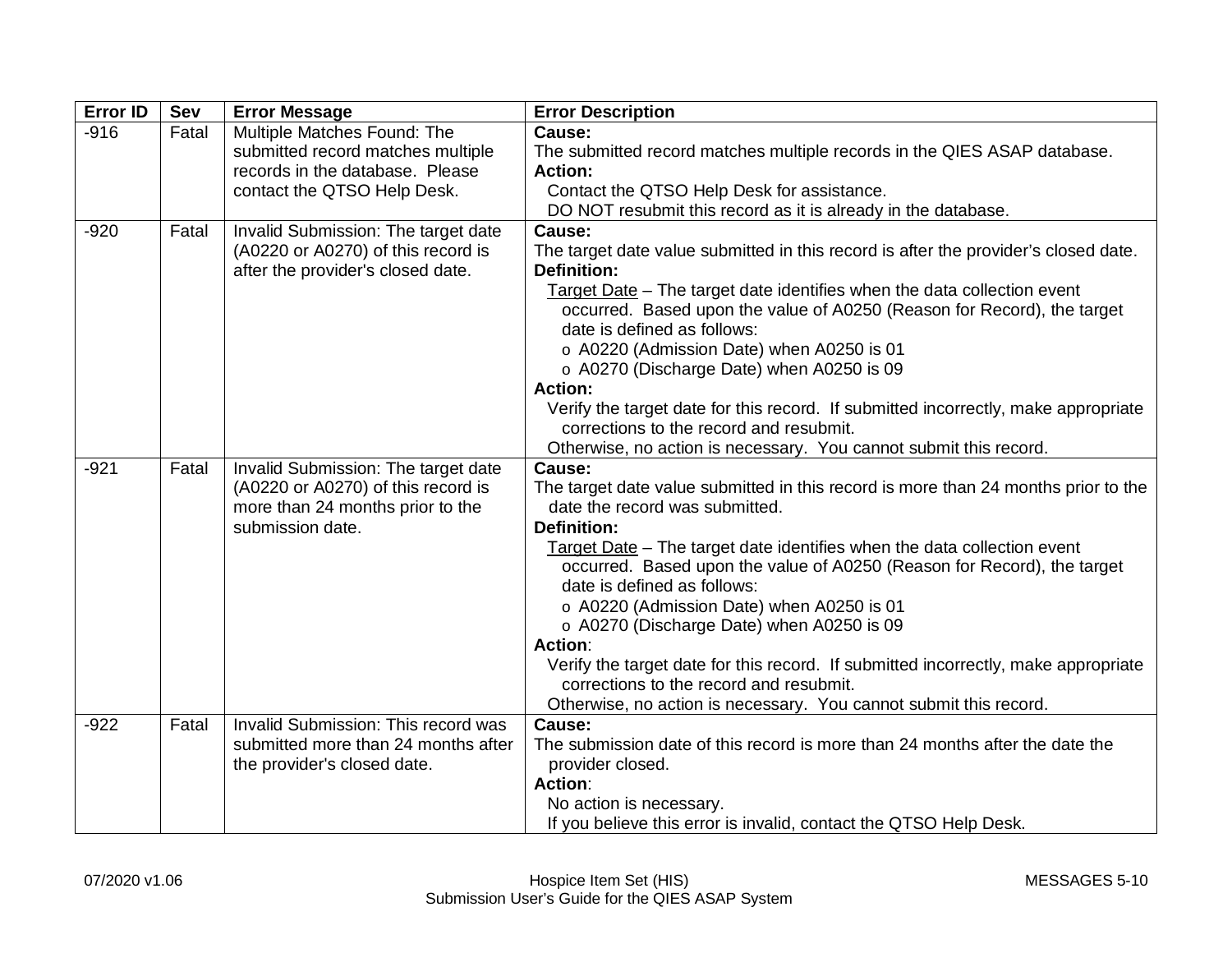| <b>Error ID</b> | <b>Sev</b> | <b>Error Message</b>                                                      | <b>Error Description</b>                                                                                             |
|-----------------|------------|---------------------------------------------------------------------------|----------------------------------------------------------------------------------------------------------------------|
| $-916$          | Fatal      | Multiple Matches Found: The                                               | Cause:                                                                                                               |
|                 |            | submitted record matches multiple                                         | The submitted record matches multiple records in the QIES ASAP database.                                             |
|                 |            | records in the database. Please                                           | <b>Action:</b>                                                                                                       |
|                 |            | contact the QTSO Help Desk.                                               | Contact the QTSO Help Desk for assistance.                                                                           |
|                 |            |                                                                           | DO NOT resubmit this record as it is already in the database.                                                        |
| $-920$          | Fatal      | Invalid Submission: The target date                                       | Cause:                                                                                                               |
|                 |            | (A0220 or A0270) of this record is<br>after the provider's closed date.   | The target date value submitted in this record is after the provider's closed date.<br><b>Definition:</b>            |
|                 |            |                                                                           | Target Date - The target date identifies when the data collection event                                              |
|                 |            |                                                                           | occurred. Based upon the value of A0250 (Reason for Record), the target                                              |
|                 |            |                                                                           | date is defined as follows:                                                                                          |
|                 |            |                                                                           | o A0220 (Admission Date) when A0250 is 01                                                                            |
|                 |            |                                                                           | o A0270 (Discharge Date) when A0250 is 09                                                                            |
|                 |            |                                                                           | <b>Action:</b>                                                                                                       |
|                 |            |                                                                           | Verify the target date for this record. If submitted incorrectly, make appropriate                                   |
|                 |            |                                                                           | corrections to the record and resubmit.                                                                              |
|                 |            |                                                                           | Otherwise, no action is necessary. You cannot submit this record.                                                    |
| $-921$          | Fatal      | Invalid Submission: The target date<br>(A0220 or A0270) of this record is | Cause:                                                                                                               |
|                 |            | more than 24 months prior to the                                          | The target date value submitted in this record is more than 24 months prior to the<br>date the record was submitted. |
|                 |            | submission date.                                                          | <b>Definition:</b>                                                                                                   |
|                 |            |                                                                           | Target Date - The target date identifies when the data collection event                                              |
|                 |            |                                                                           | occurred. Based upon the value of A0250 (Reason for Record), the target                                              |
|                 |            |                                                                           | date is defined as follows:                                                                                          |
|                 |            |                                                                           | o A0220 (Admission Date) when A0250 is 01                                                                            |
|                 |            |                                                                           | o A0270 (Discharge Date) when A0250 is 09                                                                            |
|                 |            |                                                                           | Action:                                                                                                              |
|                 |            |                                                                           | Verify the target date for this record. If submitted incorrectly, make appropriate                                   |
|                 |            |                                                                           | corrections to the record and resubmit.                                                                              |
|                 |            |                                                                           | Otherwise, no action is necessary. You cannot submit this record.                                                    |
| $-922$          | Fatal      | Invalid Submission: This record was                                       | Cause:                                                                                                               |
|                 |            | submitted more than 24 months after                                       | The submission date of this record is more than 24 months after the date the                                         |
|                 |            | the provider's closed date.                                               | provider closed.                                                                                                     |
|                 |            |                                                                           | <b>Action:</b>                                                                                                       |
|                 |            |                                                                           | No action is necessary.                                                                                              |
|                 |            |                                                                           | If you believe this error is invalid, contact the QTSO Help Desk.                                                    |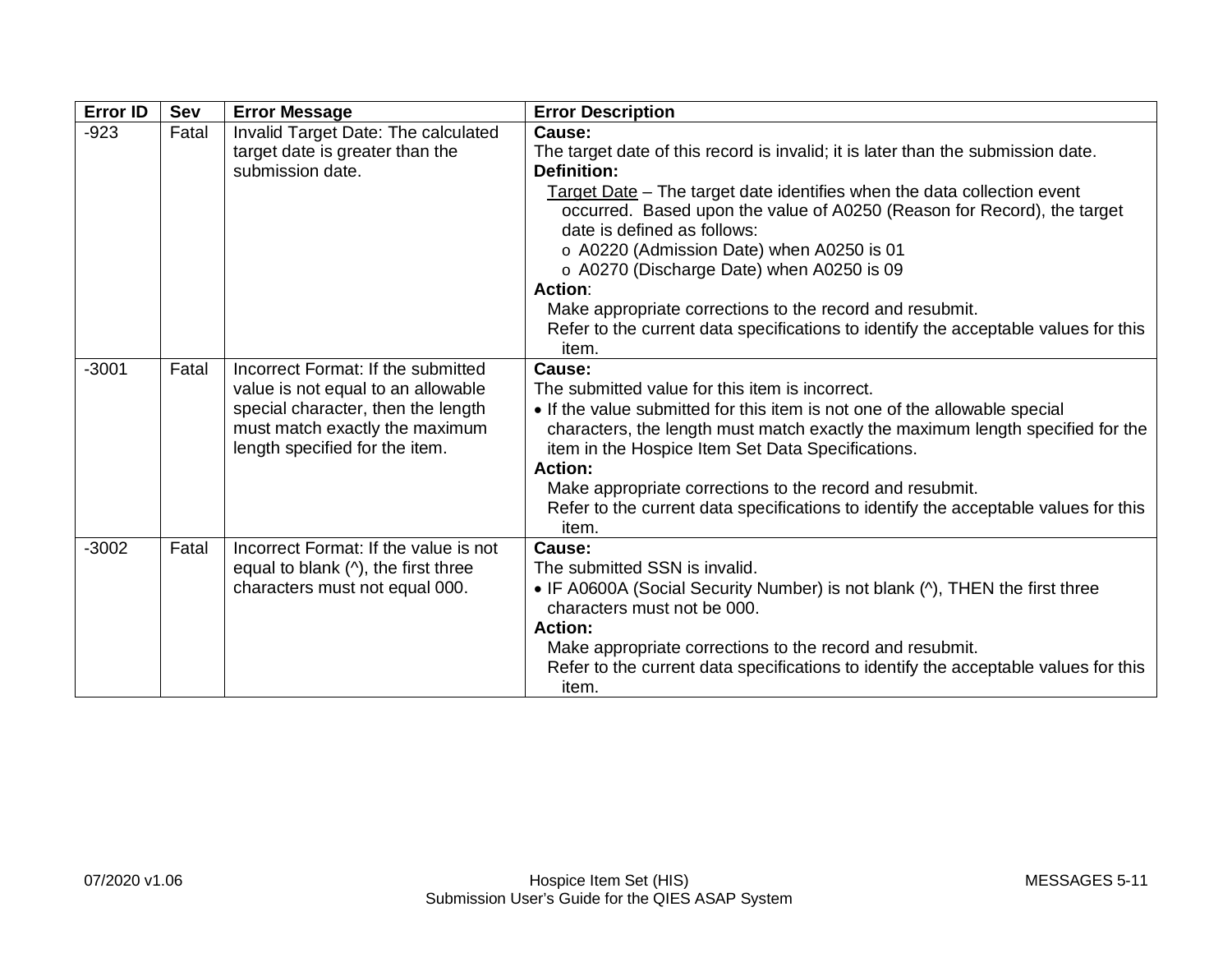| <b>Error ID</b> | Sev   | <b>Error Message</b>                                                                                                                                                               | <b>Error Description</b>                                                                                                                                                                                                                                                                                                                                                                                                                                                                                                                                                      |
|-----------------|-------|------------------------------------------------------------------------------------------------------------------------------------------------------------------------------------|-------------------------------------------------------------------------------------------------------------------------------------------------------------------------------------------------------------------------------------------------------------------------------------------------------------------------------------------------------------------------------------------------------------------------------------------------------------------------------------------------------------------------------------------------------------------------------|
| $-923$          | Fatal | Invalid Target Date: The calculated<br>target date is greater than the<br>submission date.                                                                                         | Cause:<br>The target date of this record is invalid; it is later than the submission date.<br><b>Definition:</b><br>Target Date - The target date identifies when the data collection event<br>occurred. Based upon the value of A0250 (Reason for Record), the target<br>date is defined as follows:<br>o A0220 (Admission Date) when A0250 is 01<br>o A0270 (Discharge Date) when A0250 is 09<br><b>Action:</b><br>Make appropriate corrections to the record and resubmit.<br>Refer to the current data specifications to identify the acceptable values for this<br>item. |
| $-3001$         | Fatal | Incorrect Format: If the submitted<br>value is not equal to an allowable<br>special character, then the length<br>must match exactly the maximum<br>length specified for the item. | Cause:<br>The submitted value for this item is incorrect.<br>• If the value submitted for this item is not one of the allowable special<br>characters, the length must match exactly the maximum length specified for the<br>item in the Hospice Item Set Data Specifications.<br><b>Action:</b><br>Make appropriate corrections to the record and resubmit.<br>Refer to the current data specifications to identify the acceptable values for this<br>item.                                                                                                                  |
| $-3002$         | Fatal | Incorrect Format: If the value is not<br>equal to blank $($ <sup><math>\land</math></sup> ), the first three<br>characters must not equal 000.                                     | Cause:<br>The submitted SSN is invalid.<br>• IF A0600A (Social Security Number) is not blank (^), THEN the first three<br>characters must not be 000.<br><b>Action:</b><br>Make appropriate corrections to the record and resubmit.<br>Refer to the current data specifications to identify the acceptable values for this<br>item.                                                                                                                                                                                                                                           |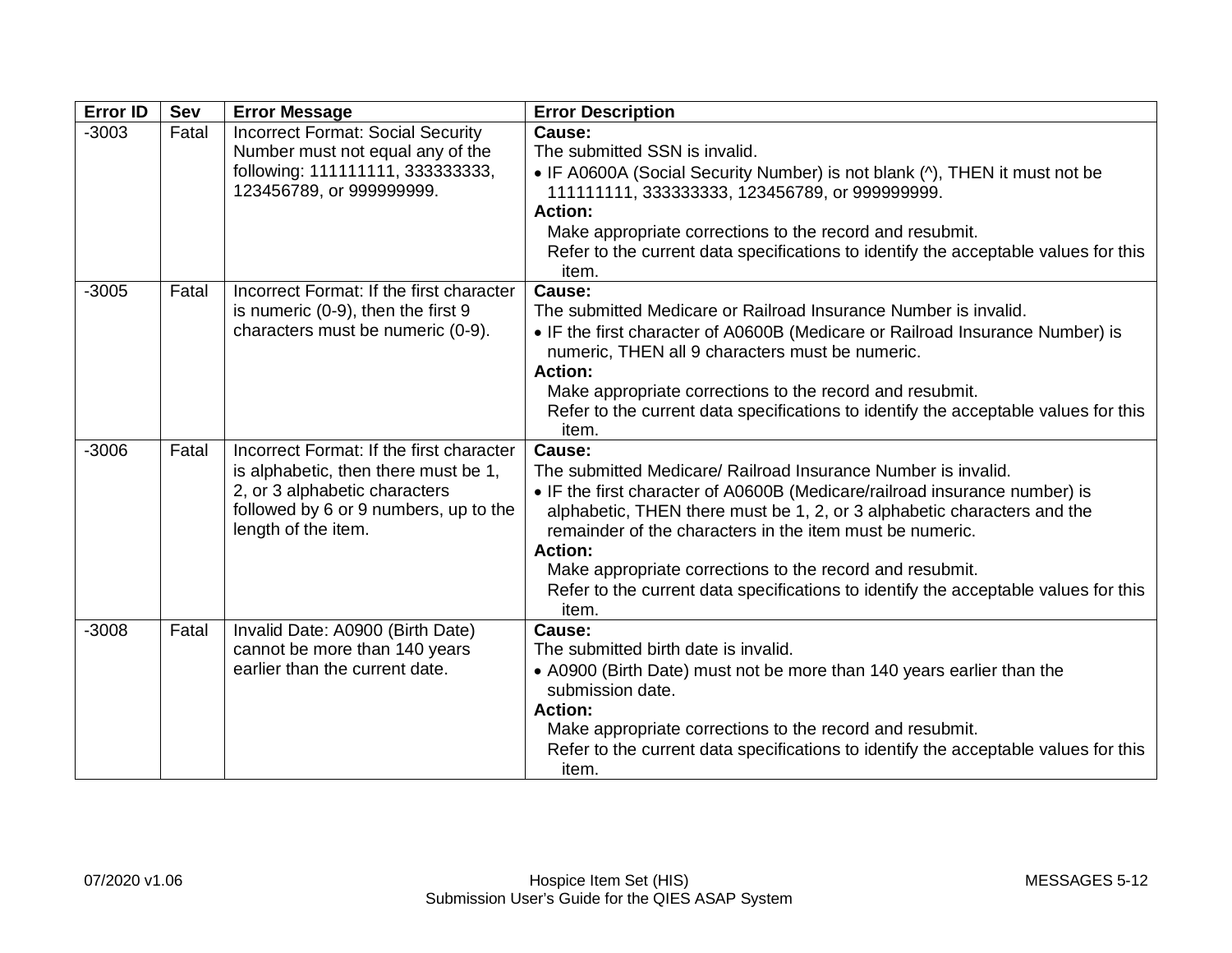| <b>Error ID</b> | <b>Sev</b> | <b>Error Message</b>                                                                                                                                                              | <b>Error Description</b>                                                                                                                                                                                                                                                                                                                                                                                                                                                   |
|-----------------|------------|-----------------------------------------------------------------------------------------------------------------------------------------------------------------------------------|----------------------------------------------------------------------------------------------------------------------------------------------------------------------------------------------------------------------------------------------------------------------------------------------------------------------------------------------------------------------------------------------------------------------------------------------------------------------------|
| $-3003$         | Fatal      | <b>Incorrect Format: Social Security</b><br>Number must not equal any of the<br>following: 111111111, 3333333333,<br>123456789, or 999999999.                                     | Cause:<br>The submitted SSN is invalid.<br>• IF A0600A (Social Security Number) is not blank (^), THEN it must not be<br>111111111, 333333333, 123456789, or 999999999.<br><b>Action:</b><br>Make appropriate corrections to the record and resubmit.<br>Refer to the current data specifications to identify the acceptable values for this<br>item.                                                                                                                      |
| $-3005$         | Fatal      | Incorrect Format: If the first character<br>is numeric (0-9), then the first 9<br>characters must be numeric (0-9).                                                               | Cause:<br>The submitted Medicare or Railroad Insurance Number is invalid.<br>• IF the first character of A0600B (Medicare or Railroad Insurance Number) is<br>numeric, THEN all 9 characters must be numeric.<br><b>Action:</b><br>Make appropriate corrections to the record and resubmit.<br>Refer to the current data specifications to identify the acceptable values for this<br>item.                                                                                |
| $-3006$         | Fatal      | Incorrect Format: If the first character<br>is alphabetic, then there must be 1,<br>2, or 3 alphabetic characters<br>followed by 6 or 9 numbers, up to the<br>length of the item. | Cause:<br>The submitted Medicare/ Railroad Insurance Number is invalid.<br>• IF the first character of A0600B (Medicare/railroad insurance number) is<br>alphabetic, THEN there must be 1, 2, or 3 alphabetic characters and the<br>remainder of the characters in the item must be numeric.<br><b>Action:</b><br>Make appropriate corrections to the record and resubmit.<br>Refer to the current data specifications to identify the acceptable values for this<br>item. |
| $-3008$         | Fatal      | Invalid Date: A0900 (Birth Date)<br>cannot be more than 140 years<br>earlier than the current date.                                                                               | Cause:<br>The submitted birth date is invalid.<br>• A0900 (Birth Date) must not be more than 140 years earlier than the<br>submission date.<br><b>Action:</b><br>Make appropriate corrections to the record and resubmit.<br>Refer to the current data specifications to identify the acceptable values for this<br>item.                                                                                                                                                  |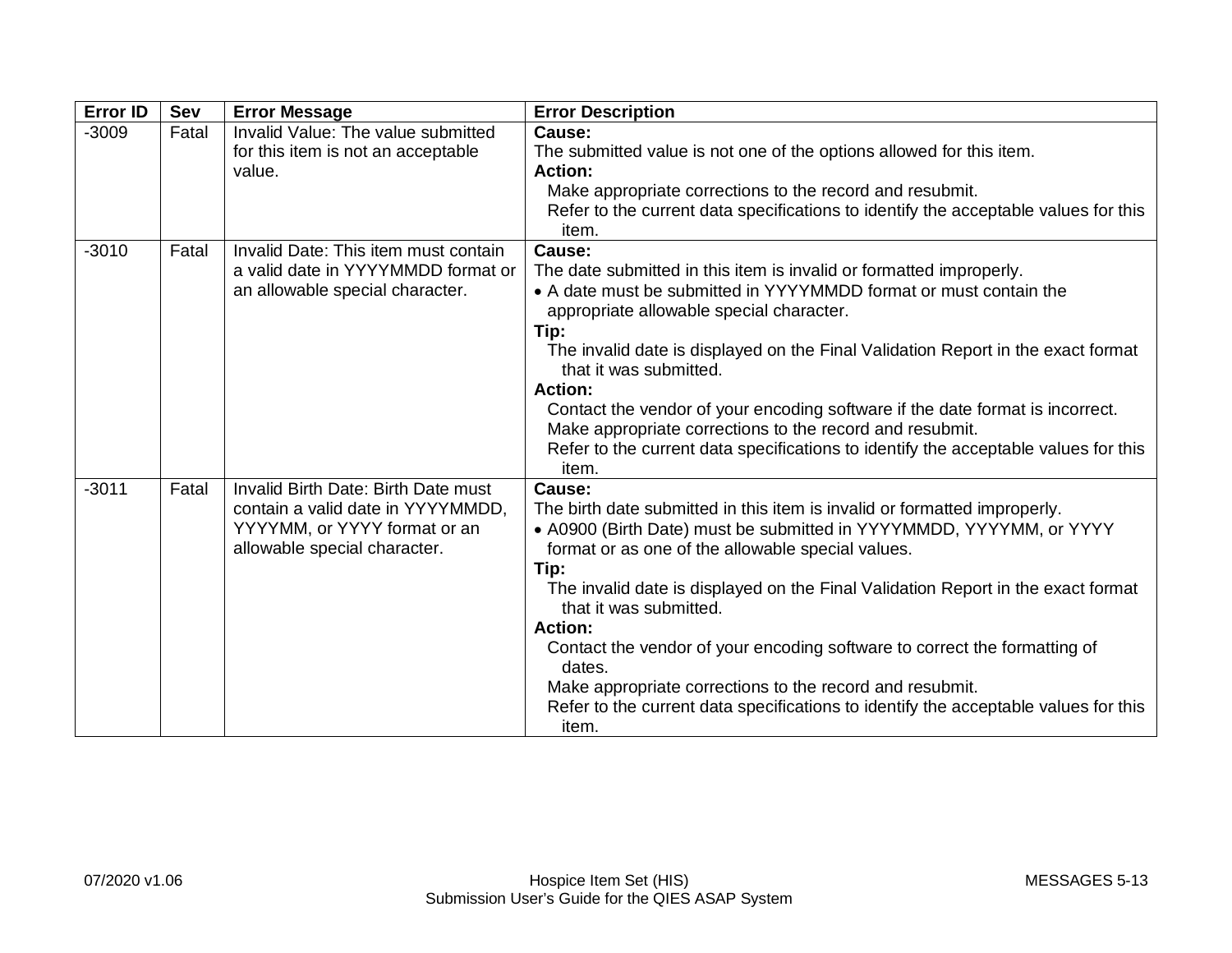| <b>Error ID</b> | Sev   | <b>Error Message</b>                                         | <b>Error Description</b>                                                                                                                        |
|-----------------|-------|--------------------------------------------------------------|-------------------------------------------------------------------------------------------------------------------------------------------------|
| $-3009$         | Fatal | Invalid Value: The value submitted                           | Cause:                                                                                                                                          |
|                 |       | for this item is not an acceptable                           | The submitted value is not one of the options allowed for this item.                                                                            |
|                 |       | value.                                                       | <b>Action:</b>                                                                                                                                  |
|                 |       |                                                              | Make appropriate corrections to the record and resubmit.<br>Refer to the current data specifications to identify the acceptable values for this |
|                 |       |                                                              | item.                                                                                                                                           |
| $-3010$         | Fatal | Invalid Date: This item must contain                         | Cause:                                                                                                                                          |
|                 |       | a valid date in YYYYMMDD format or                           | The date submitted in this item is invalid or formatted improperly.                                                                             |
|                 |       | an allowable special character.                              | • A date must be submitted in YYYYMMDD format or must contain the<br>appropriate allowable special character.                                   |
|                 |       |                                                              | Tip:                                                                                                                                            |
|                 |       |                                                              | The invalid date is displayed on the Final Validation Report in the exact format<br>that it was submitted.                                      |
|                 |       |                                                              | <b>Action:</b>                                                                                                                                  |
|                 |       |                                                              | Contact the vendor of your encoding software if the date format is incorrect.                                                                   |
|                 |       |                                                              | Make appropriate corrections to the record and resubmit.                                                                                        |
|                 |       |                                                              | Refer to the current data specifications to identify the acceptable values for this<br>item.                                                    |
| $-3011$         | Fatal | Invalid Birth Date: Birth Date must                          | Cause:                                                                                                                                          |
|                 |       | contain a valid date in YYYYMMDD,                            | The birth date submitted in this item is invalid or formatted improperly.                                                                       |
|                 |       | YYYYMM, or YYYY format or an<br>allowable special character. | • A0900 (Birth Date) must be submitted in YYYYMMDD, YYYYMM, or YYYY<br>format or as one of the allowable special values.                        |
|                 |       |                                                              | Tip:                                                                                                                                            |
|                 |       |                                                              | The invalid date is displayed on the Final Validation Report in the exact format                                                                |
|                 |       |                                                              | that it was submitted.                                                                                                                          |
|                 |       |                                                              | <b>Action:</b>                                                                                                                                  |
|                 |       |                                                              | Contact the vendor of your encoding software to correct the formatting of<br>dates.                                                             |
|                 |       |                                                              | Make appropriate corrections to the record and resubmit.                                                                                        |
|                 |       |                                                              | Refer to the current data specifications to identify the acceptable values for this                                                             |
|                 |       |                                                              | item.                                                                                                                                           |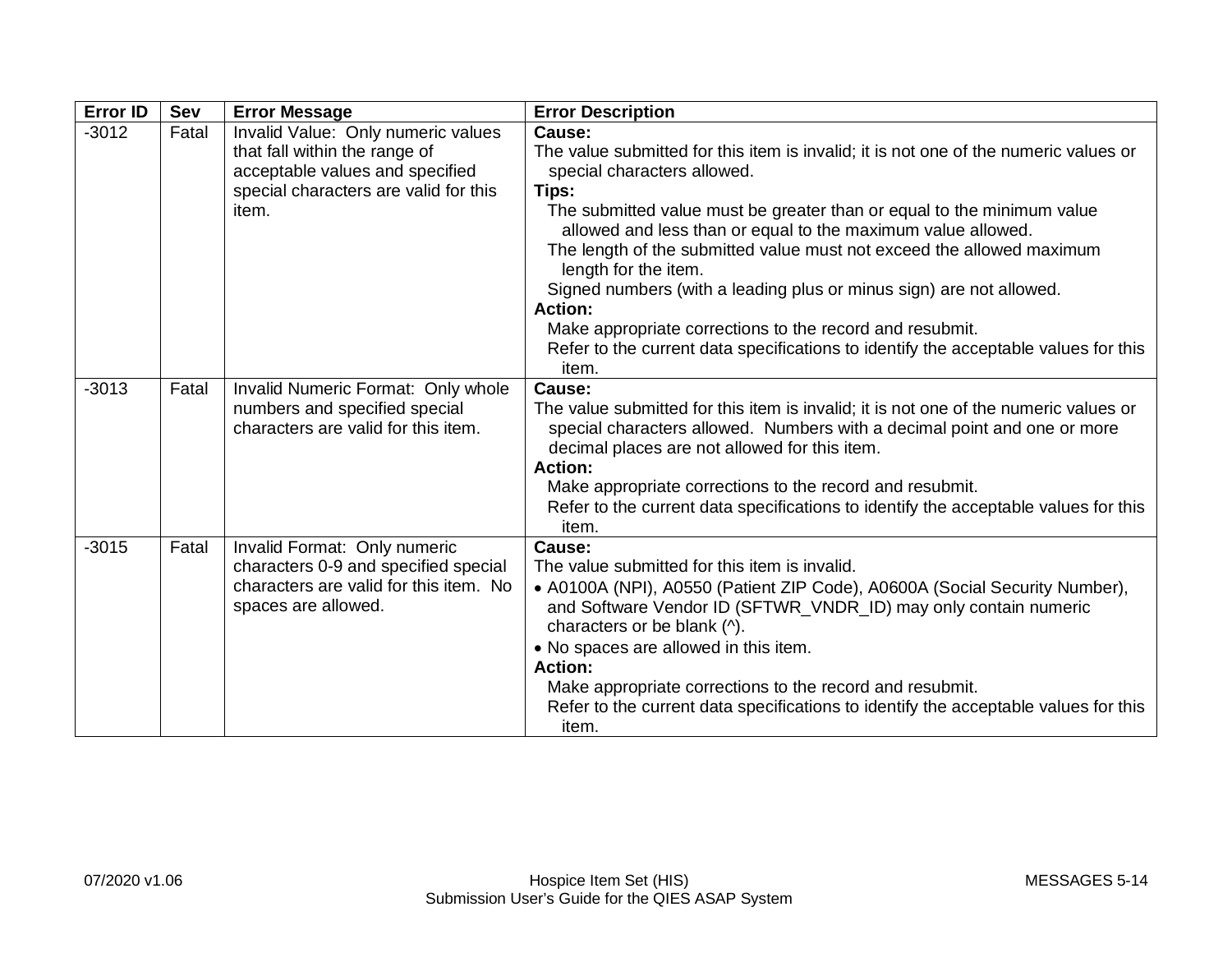| <b>Error ID</b> | <b>Sev</b> | <b>Error Message</b>                                                                                                                                     | <b>Error Description</b>                                                                                                                                                                                                                                                                                                                                                                                                                                                                                                                                                                                                               |
|-----------------|------------|----------------------------------------------------------------------------------------------------------------------------------------------------------|----------------------------------------------------------------------------------------------------------------------------------------------------------------------------------------------------------------------------------------------------------------------------------------------------------------------------------------------------------------------------------------------------------------------------------------------------------------------------------------------------------------------------------------------------------------------------------------------------------------------------------------|
| $-3012$         | Fatal      | Invalid Value: Only numeric values<br>that fall within the range of<br>acceptable values and specified<br>special characters are valid for this<br>item. | Cause:<br>The value submitted for this item is invalid; it is not one of the numeric values or<br>special characters allowed.<br>Tips:<br>The submitted value must be greater than or equal to the minimum value<br>allowed and less than or equal to the maximum value allowed.<br>The length of the submitted value must not exceed the allowed maximum<br>length for the item.<br>Signed numbers (with a leading plus or minus sign) are not allowed.<br><b>Action:</b><br>Make appropriate corrections to the record and resubmit.<br>Refer to the current data specifications to identify the acceptable values for this<br>item. |
| $-3013$         | Fatal      | Invalid Numeric Format: Only whole<br>numbers and specified special<br>characters are valid for this item.                                               | <b>Cause:</b><br>The value submitted for this item is invalid; it is not one of the numeric values or<br>special characters allowed. Numbers with a decimal point and one or more<br>decimal places are not allowed for this item.<br><b>Action:</b><br>Make appropriate corrections to the record and resubmit.<br>Refer to the current data specifications to identify the acceptable values for this<br>item.                                                                                                                                                                                                                       |
| $-3015$         | Fatal      | Invalid Format: Only numeric<br>characters 0-9 and specified special<br>characters are valid for this item. No<br>spaces are allowed.                    | Cause:<br>The value submitted for this item is invalid.<br>• A0100A (NPI), A0550 (Patient ZIP Code), A0600A (Social Security Number),<br>and Software Vendor ID (SFTWR_VNDR_ID) may only contain numeric<br>characters or be blank (^).<br>• No spaces are allowed in this item.<br><b>Action:</b><br>Make appropriate corrections to the record and resubmit.<br>Refer to the current data specifications to identify the acceptable values for this<br>item.                                                                                                                                                                         |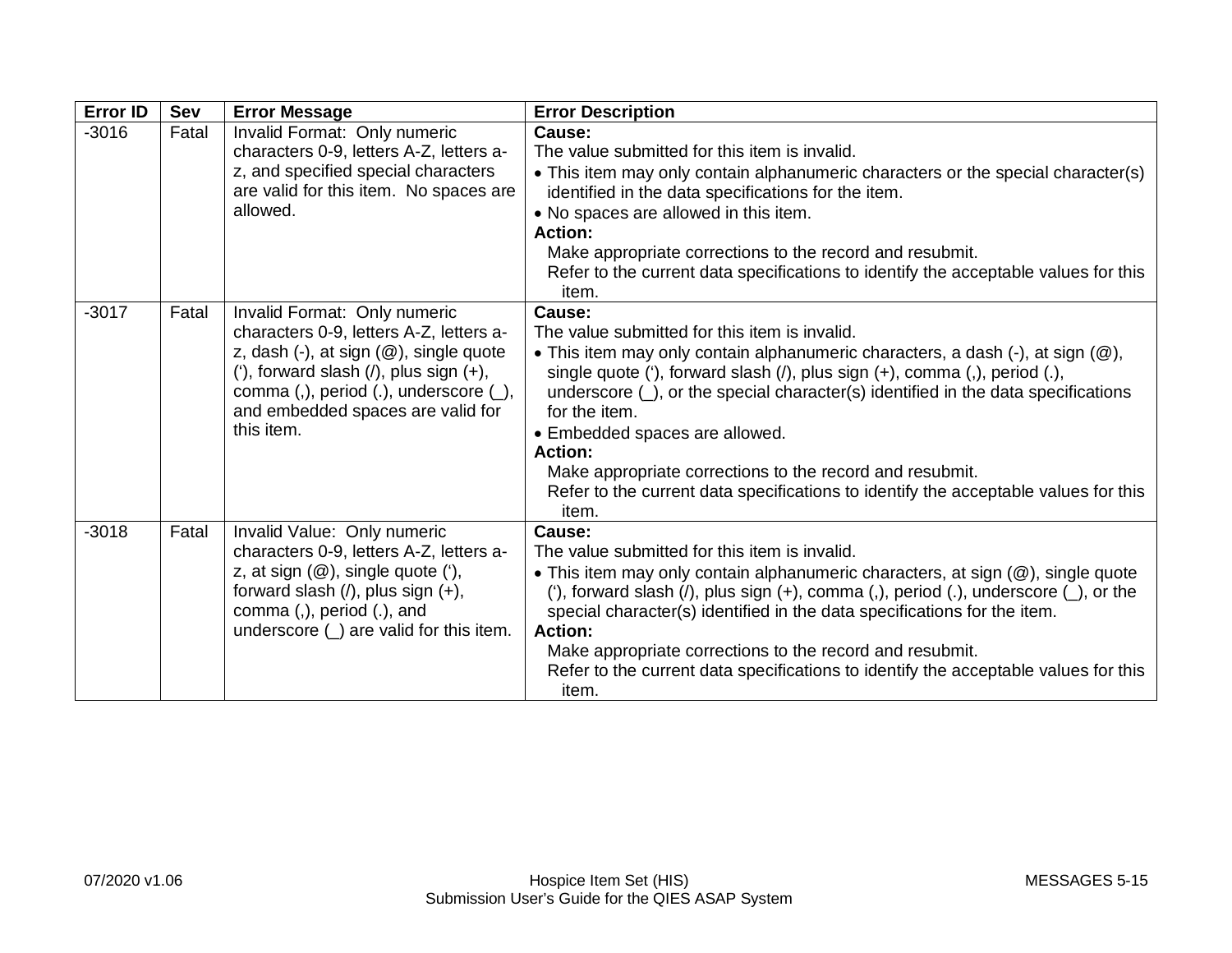| <b>Error ID</b> | Sev   | <b>Error Message</b>                                                                                                                                                                                                                                                            | <b>Error Description</b>                                                                                                                                                                                                                                                                                                                                                                                                                                                                                                                                   |
|-----------------|-------|---------------------------------------------------------------------------------------------------------------------------------------------------------------------------------------------------------------------------------------------------------------------------------|------------------------------------------------------------------------------------------------------------------------------------------------------------------------------------------------------------------------------------------------------------------------------------------------------------------------------------------------------------------------------------------------------------------------------------------------------------------------------------------------------------------------------------------------------------|
| $-3016$         | Fatal | Invalid Format: Only numeric<br>characters 0-9, letters A-Z, letters a-<br>z, and specified special characters<br>are valid for this item. No spaces are<br>allowed.                                                                                                            | Cause:<br>The value submitted for this item is invalid.<br>• This item may only contain alphanumeric characters or the special character(s)<br>identified in the data specifications for the item.<br>• No spaces are allowed in this item.<br><b>Action:</b><br>Make appropriate corrections to the record and resubmit.<br>Refer to the current data specifications to identify the acceptable values for this<br>item.                                                                                                                                  |
| $-3017$         | Fatal | Invalid Format: Only numeric<br>characters 0-9, letters A-Z, letters a-<br>z, dash $(-)$ , at sign $(\circledR)$ , single quote<br>('), forward slash $($ ), plus sign $(+)$ ,<br>comma (,), period (.), underscore $(\_)$ ,<br>and embedded spaces are valid for<br>this item. | Cause:<br>The value submitted for this item is invalid.<br>• This item may only contain alphanumeric characters, a dash (-), at sign (@),<br>single quote ('), forward slash ( $\prime$ ), plus sign (+), comma (,), period (.),<br>underscore $(\_)$ , or the special character(s) identified in the data specifications<br>for the item.<br>• Embedded spaces are allowed.<br><b>Action:</b><br>Make appropriate corrections to the record and resubmit.<br>Refer to the current data specifications to identify the acceptable values for this<br>item. |
| $-3018$         | Fatal | Invalid Value: Only numeric<br>characters 0-9, letters A-Z, letters a-<br>z, at sign $(\mathcal{Q})$ , single quote $(')$ ,<br>forward slash $($ / $)$ , plus sign $(+)$ ,<br>comma (,), period (.), and<br>underscore $($ $)$ are valid for this item.                         | Cause:<br>The value submitted for this item is invalid.<br>• This item may only contain alphanumeric characters, at sign (@), single quote<br>('), forward slash ( $\prime$ ), plus sign (+), comma (,), period (.), underscore ( $\prime$ ), or the<br>special character(s) identified in the data specifications for the item.<br><b>Action:</b><br>Make appropriate corrections to the record and resubmit.<br>Refer to the current data specifications to identify the acceptable values for this<br>item.                                             |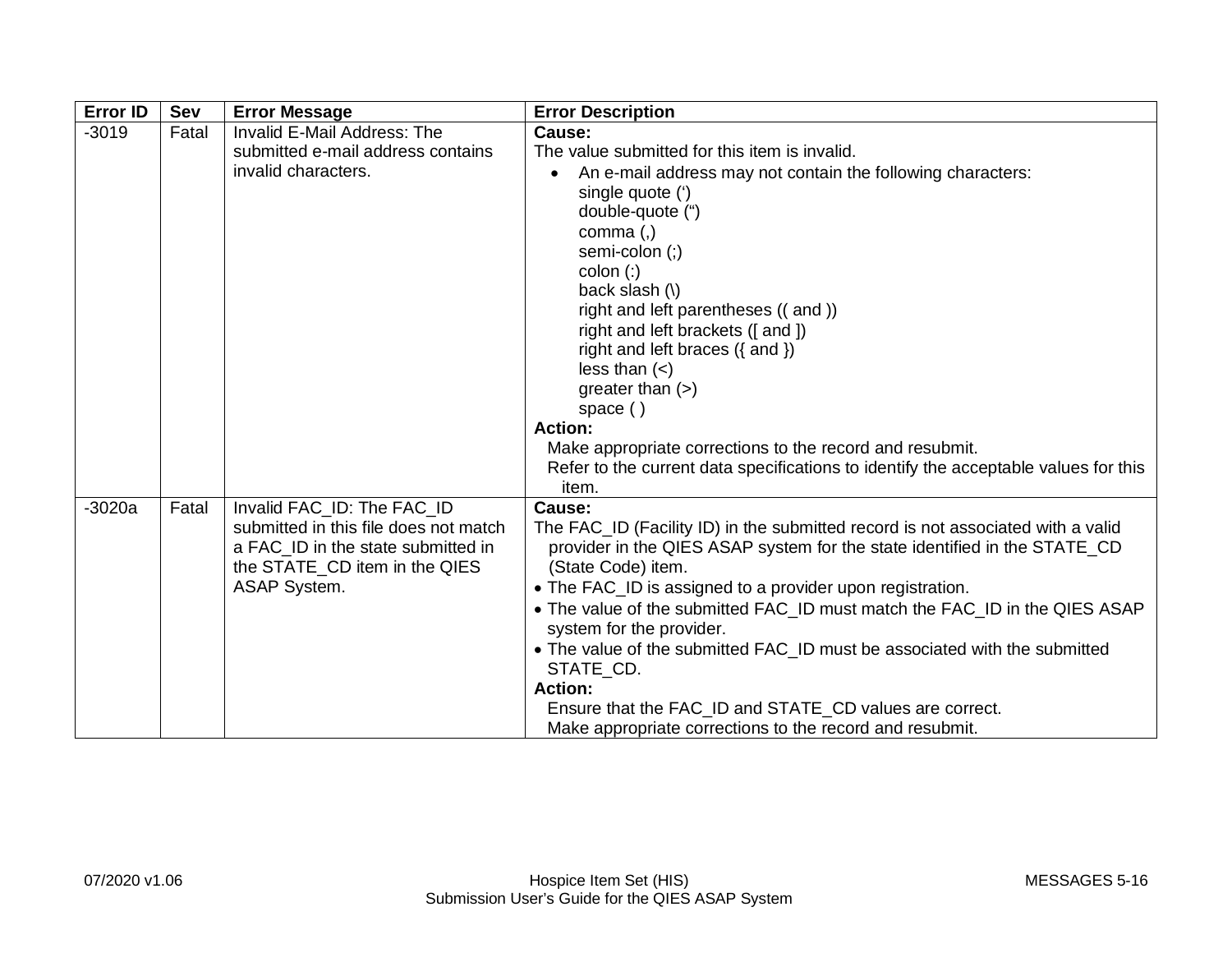| <b>Error ID</b> | Sev   | <b>Error Message</b>                                                                                                                                              | <b>Error Description</b>                                                                                                                                                                                                                                                                                                                                                                                                                                                                                                                                                                               |
|-----------------|-------|-------------------------------------------------------------------------------------------------------------------------------------------------------------------|--------------------------------------------------------------------------------------------------------------------------------------------------------------------------------------------------------------------------------------------------------------------------------------------------------------------------------------------------------------------------------------------------------------------------------------------------------------------------------------------------------------------------------------------------------------------------------------------------------|
| $-3019$         | Fatal | Invalid E-Mail Address: The<br>submitted e-mail address contains<br>invalid characters.                                                                           | Cause:<br>The value submitted for this item is invalid.<br>An e-mail address may not contain the following characters:<br>single quote (')<br>double-quote (")<br>comma $($ , $)$<br>semi-colon (;)<br>$color:$ :)<br>back slash (\)<br>right and left parentheses ((and))<br>right and left brackets ([and ])<br>right and left braces ({ and })<br>less than $(<)$<br>greater than $(>)$<br>space $( )$<br><b>Action:</b><br>Make appropriate corrections to the record and resubmit.<br>Refer to the current data specifications to identify the acceptable values for this<br>item.                |
| $-3020a$        | Fatal | Invalid FAC ID: The FAC ID<br>submitted in this file does not match<br>a FAC_ID in the state submitted in<br>the STATE_CD item in the QIES<br><b>ASAP System.</b> | Cause:<br>The FAC_ID (Facility ID) in the submitted record is not associated with a valid<br>provider in the QIES ASAP system for the state identified in the STATE_CD<br>(State Code) item.<br>• The FAC_ID is assigned to a provider upon registration.<br>• The value of the submitted FAC_ID must match the FAC_ID in the QIES ASAP<br>system for the provider.<br>• The value of the submitted FAC_ID must be associated with the submitted<br>STATE CD.<br><b>Action:</b><br>Ensure that the FAC_ID and STATE_CD values are correct.<br>Make appropriate corrections to the record and resubmit. |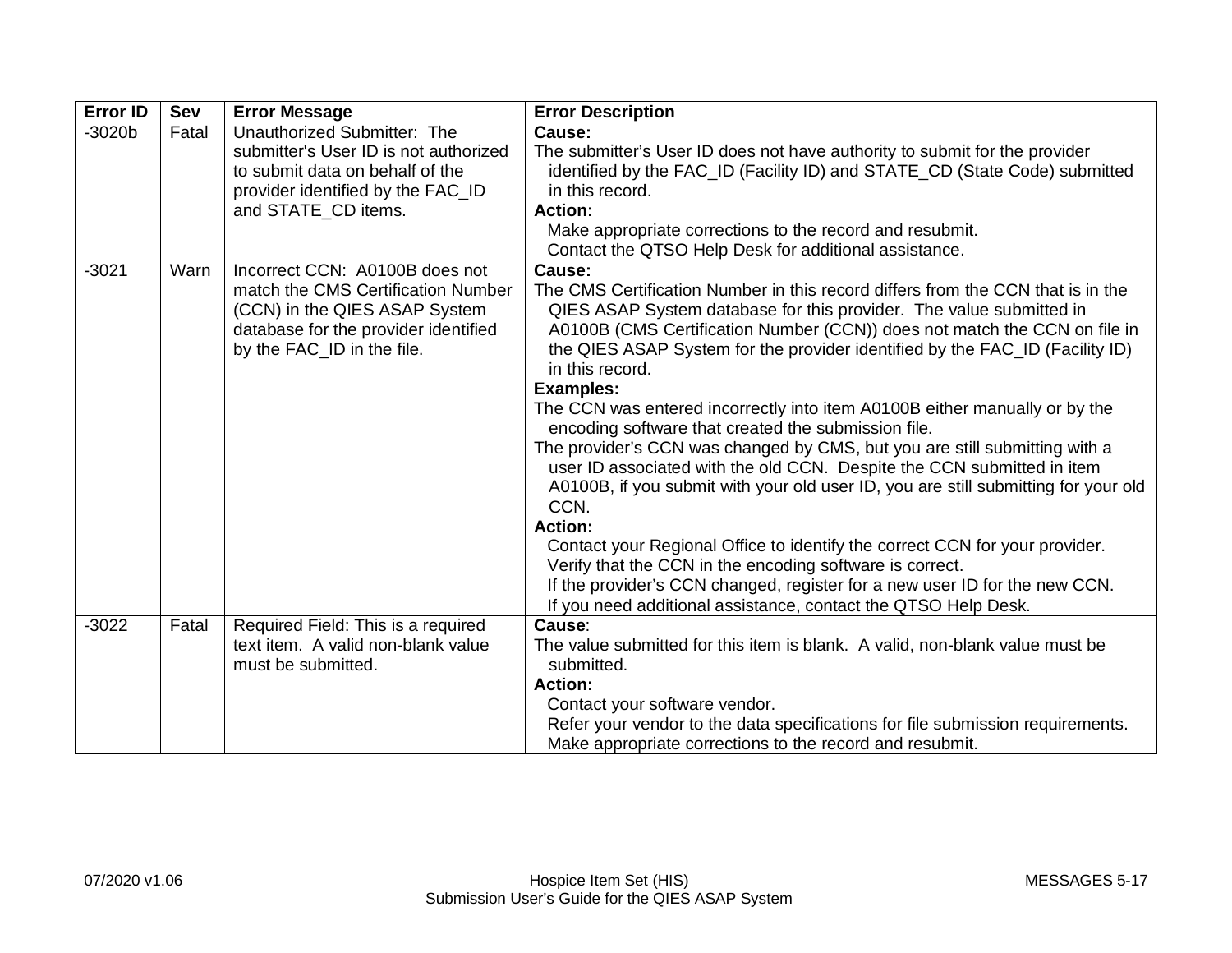| <b>Error ID</b> | Sev   | <b>Error Message</b>                                                                                                                                                        | <b>Error Description</b>                                                                                                                                                                                                                                                                                                                                                                                                                                                                                                                                                                                                                                                                                                                                                                                                                                                                                                                                                                                                                                                     |
|-----------------|-------|-----------------------------------------------------------------------------------------------------------------------------------------------------------------------------|------------------------------------------------------------------------------------------------------------------------------------------------------------------------------------------------------------------------------------------------------------------------------------------------------------------------------------------------------------------------------------------------------------------------------------------------------------------------------------------------------------------------------------------------------------------------------------------------------------------------------------------------------------------------------------------------------------------------------------------------------------------------------------------------------------------------------------------------------------------------------------------------------------------------------------------------------------------------------------------------------------------------------------------------------------------------------|
| $-3020b$        | Fatal | Unauthorized Submitter: The<br>submitter's User ID is not authorized<br>to submit data on behalf of the<br>provider identified by the FAC_ID<br>and STATE_CD items.         | Cause:<br>The submitter's User ID does not have authority to submit for the provider<br>identified by the FAC_ID (Facility ID) and STATE_CD (State Code) submitted<br>in this record.<br><b>Action:</b><br>Make appropriate corrections to the record and resubmit.<br>Contact the QTSO Help Desk for additional assistance.                                                                                                                                                                                                                                                                                                                                                                                                                                                                                                                                                                                                                                                                                                                                                 |
| $-3021$         | Warn  | Incorrect CCN: A0100B does not<br>match the CMS Certification Number<br>(CCN) in the QIES ASAP System<br>database for the provider identified<br>by the FAC_ID in the file. | Cause:<br>The CMS Certification Number in this record differs from the CCN that is in the<br>QIES ASAP System database for this provider. The value submitted in<br>A0100B (CMS Certification Number (CCN)) does not match the CCN on file in<br>the QIES ASAP System for the provider identified by the FAC_ID (Facility ID)<br>in this record.<br><b>Examples:</b><br>The CCN was entered incorrectly into item A0100B either manually or by the<br>encoding software that created the submission file.<br>The provider's CCN was changed by CMS, but you are still submitting with a<br>user ID associated with the old CCN. Despite the CCN submitted in item<br>A0100B, if you submit with your old user ID, you are still submitting for your old<br>CCN.<br><b>Action:</b><br>Contact your Regional Office to identify the correct CCN for your provider.<br>Verify that the CCN in the encoding software is correct.<br>If the provider's CCN changed, register for a new user ID for the new CCN.<br>If you need additional assistance, contact the QTSO Help Desk. |
| $-3022$         | Fatal | Required Field: This is a required<br>text item. A valid non-blank value<br>must be submitted.                                                                              | Cause:<br>The value submitted for this item is blank. A valid, non-blank value must be<br>submitted.<br><b>Action:</b><br>Contact your software vendor.<br>Refer your vendor to the data specifications for file submission requirements.<br>Make appropriate corrections to the record and resubmit.                                                                                                                                                                                                                                                                                                                                                                                                                                                                                                                                                                                                                                                                                                                                                                        |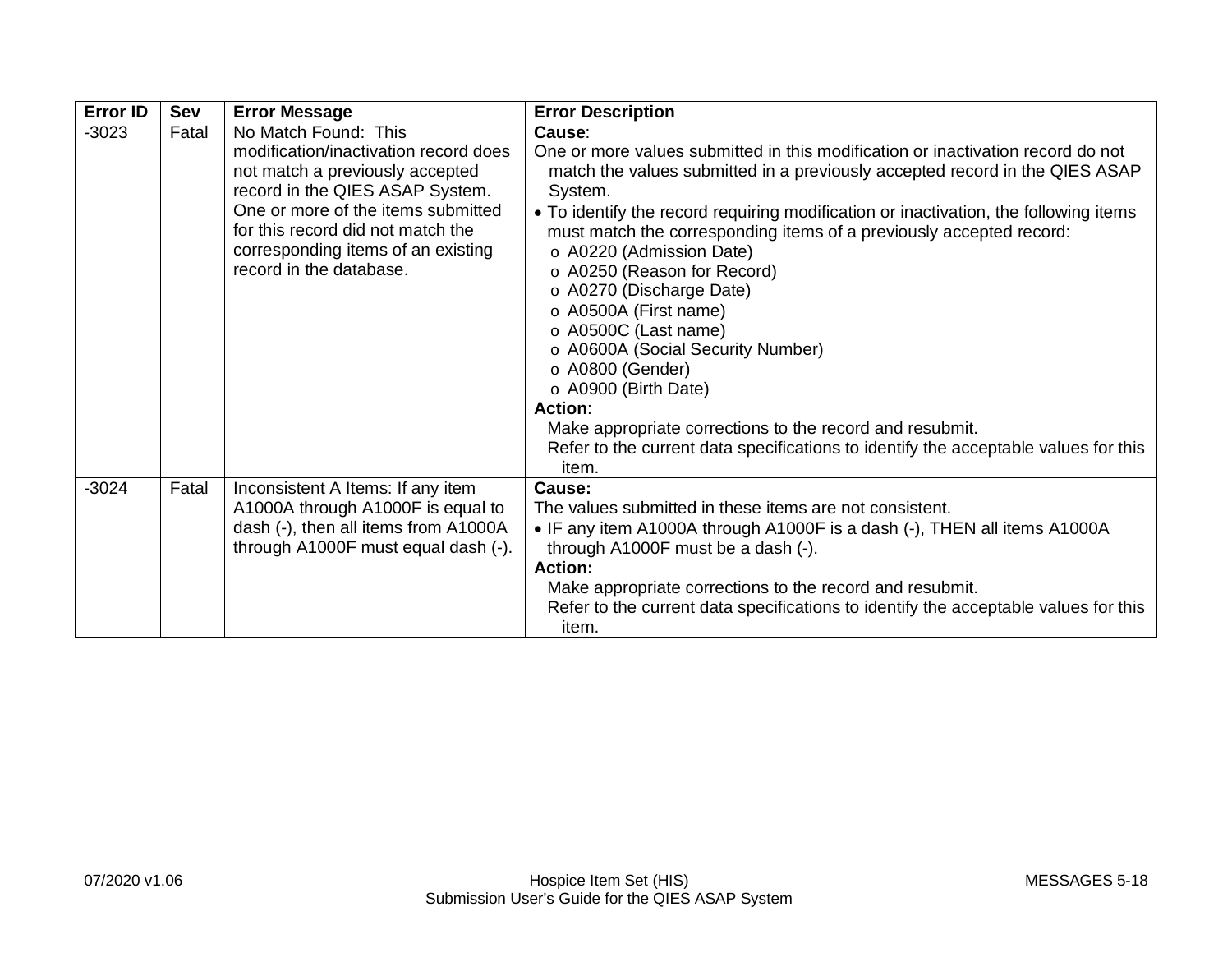| <b>Error ID</b> | Sev   | <b>Error Message</b>                                                                                                                                                                                                                                                            | <b>Error Description</b>                                                                                                                                                                                                                                                                                                                                                                                                                                                                                                                                                                                                                                                                                                                                  |
|-----------------|-------|---------------------------------------------------------------------------------------------------------------------------------------------------------------------------------------------------------------------------------------------------------------------------------|-----------------------------------------------------------------------------------------------------------------------------------------------------------------------------------------------------------------------------------------------------------------------------------------------------------------------------------------------------------------------------------------------------------------------------------------------------------------------------------------------------------------------------------------------------------------------------------------------------------------------------------------------------------------------------------------------------------------------------------------------------------|
| $-3023$         | Fatal | No Match Found: This<br>modification/inactivation record does<br>not match a previously accepted<br>record in the QIES ASAP System.<br>One or more of the items submitted<br>for this record did not match the<br>corresponding items of an existing<br>record in the database. | Cause:<br>One or more values submitted in this modification or inactivation record do not<br>match the values submitted in a previously accepted record in the QIES ASAP<br>System.<br>• To identify the record requiring modification or inactivation, the following items<br>must match the corresponding items of a previously accepted record:<br>o A0220 (Admission Date)<br>o A0250 (Reason for Record)<br>o A0270 (Discharge Date)<br>o A0500A (First name)<br>o A0500C (Last name)<br>o A0600A (Social Security Number)<br>o A0800 (Gender)<br>o A0900 (Birth Date)<br><b>Action:</b><br>Make appropriate corrections to the record and resubmit.<br>Refer to the current data specifications to identify the acceptable values for this<br>item. |
| $-3024$         | Fatal | Inconsistent A Items: If any item<br>A1000A through A1000F is equal to<br>dash (-), then all items from A1000A<br>through A1000F must equal dash (-).                                                                                                                           | Cause:<br>The values submitted in these items are not consistent.<br>• IF any item A1000A through A1000F is a dash (-), THEN all items A1000A<br>through A1000F must be a dash (-).<br><b>Action:</b><br>Make appropriate corrections to the record and resubmit.<br>Refer to the current data specifications to identify the acceptable values for this<br>item.                                                                                                                                                                                                                                                                                                                                                                                         |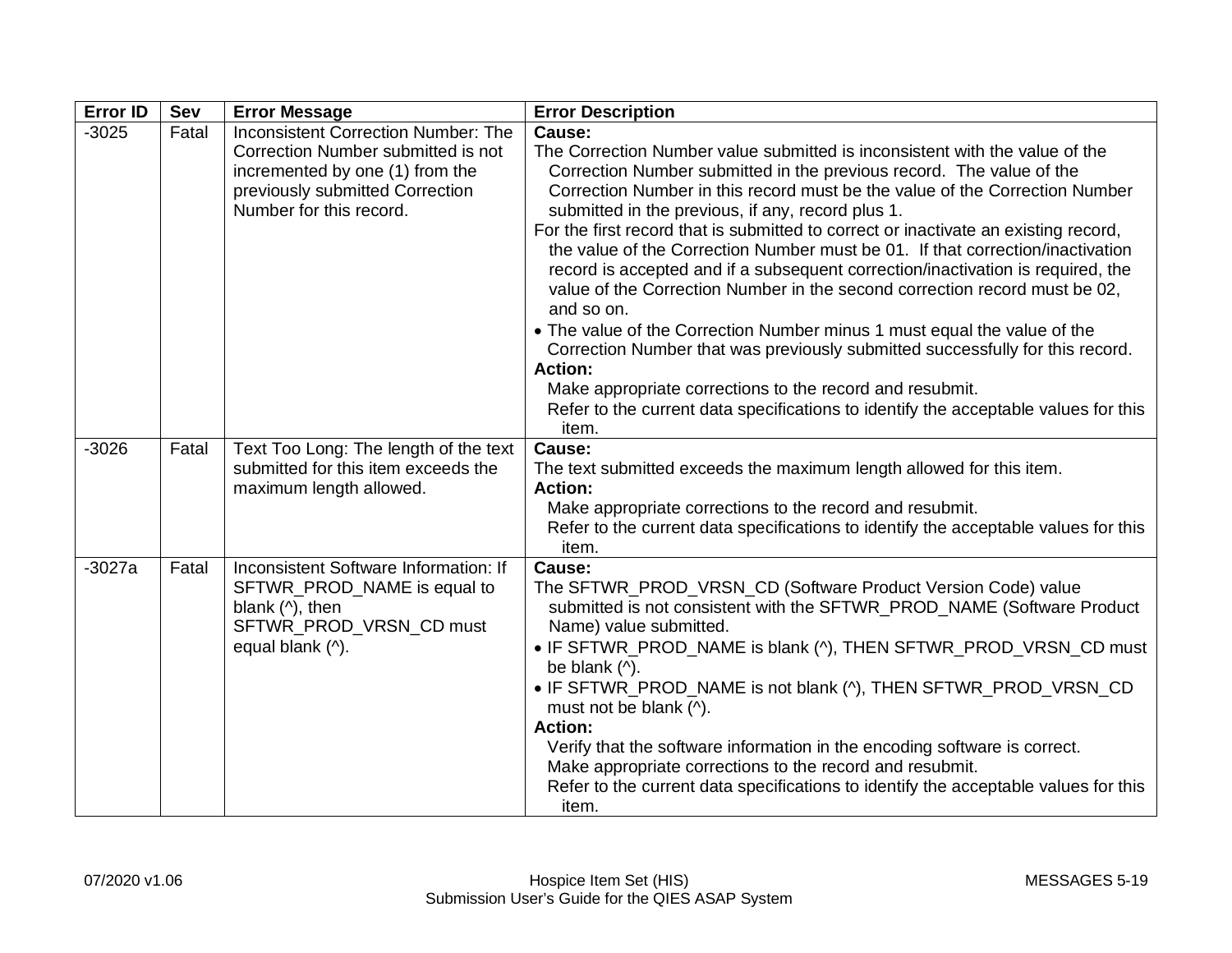| <b>Error ID</b> | Sev   | <b>Error Message</b>                                                                                                                                                              | <b>Error Description</b>                                                                                                                                                                                                                                                                                                                                                                                                                                                                                                                                                                                                                                                                                                                                                                                                                                                                                                                                                                             |
|-----------------|-------|-----------------------------------------------------------------------------------------------------------------------------------------------------------------------------------|------------------------------------------------------------------------------------------------------------------------------------------------------------------------------------------------------------------------------------------------------------------------------------------------------------------------------------------------------------------------------------------------------------------------------------------------------------------------------------------------------------------------------------------------------------------------------------------------------------------------------------------------------------------------------------------------------------------------------------------------------------------------------------------------------------------------------------------------------------------------------------------------------------------------------------------------------------------------------------------------------|
| $-3025$         | Fatal | <b>Inconsistent Correction Number: The</b><br>Correction Number submitted is not<br>incremented by one (1) from the<br>previously submitted Correction<br>Number for this record. | Cause:<br>The Correction Number value submitted is inconsistent with the value of the<br>Correction Number submitted in the previous record. The value of the<br>Correction Number in this record must be the value of the Correction Number<br>submitted in the previous, if any, record plus 1.<br>For the first record that is submitted to correct or inactivate an existing record,<br>the value of the Correction Number must be 01. If that correction/inactivation<br>record is accepted and if a subsequent correction/inactivation is required, the<br>value of the Correction Number in the second correction record must be 02,<br>and so on.<br>• The value of the Correction Number minus 1 must equal the value of the<br>Correction Number that was previously submitted successfully for this record.<br><b>Action:</b><br>Make appropriate corrections to the record and resubmit.<br>Refer to the current data specifications to identify the acceptable values for this<br>item. |
| $-3026$         | Fatal | Text Too Long: The length of the text<br>submitted for this item exceeds the<br>maximum length allowed.                                                                           | Cause:<br>The text submitted exceeds the maximum length allowed for this item.<br>Action:<br>Make appropriate corrections to the record and resubmit.<br>Refer to the current data specifications to identify the acceptable values for this<br>item.                                                                                                                                                                                                                                                                                                                                                                                                                                                                                                                                                                                                                                                                                                                                                |
| $-3027a$        | Fatal | Inconsistent Software Information: If<br>SFTWR_PROD_NAME is equal to<br>blank $($ <sup><math>\land</math></sup> $),$ then<br>SFTWR_PROD_VRSN_CD must<br>equal blank (^).          | Cause:<br>The SFTWR_PROD_VRSN_CD (Software Product Version Code) value<br>submitted is not consistent with the SFTWR_PROD_NAME (Software Product<br>Name) value submitted.<br>• IF SFTWR_PROD_NAME is blank (^), THEN SFTWR_PROD_VRSN_CD must<br>be blank (^).<br>• IF SFTWR_PROD_NAME is not blank (^), THEN SFTWR_PROD_VRSN_CD<br>must not be blank (^).<br><b>Action:</b><br>Verify that the software information in the encoding software is correct.<br>Make appropriate corrections to the record and resubmit.<br>Refer to the current data specifications to identify the acceptable values for this<br>item.                                                                                                                                                                                                                                                                                                                                                                                |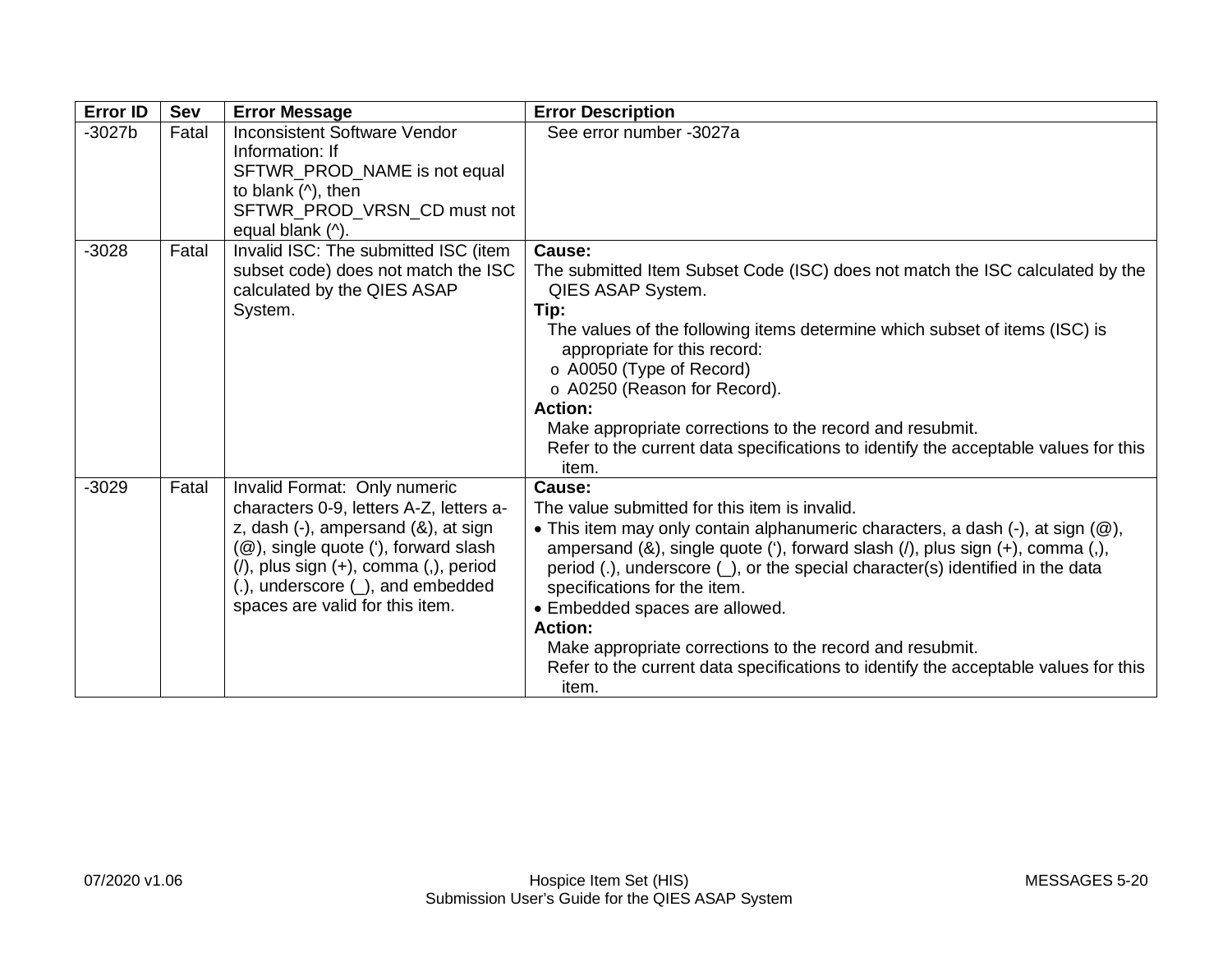| <b>Error ID</b> | Sev   | <b>Error Message</b>                                                                                                                                                                                                                                                                        | <b>Error Description</b>                                                                                                                                                                                                                                                                                                                                                                                                                                                                                                                                                         |
|-----------------|-------|---------------------------------------------------------------------------------------------------------------------------------------------------------------------------------------------------------------------------------------------------------------------------------------------|----------------------------------------------------------------------------------------------------------------------------------------------------------------------------------------------------------------------------------------------------------------------------------------------------------------------------------------------------------------------------------------------------------------------------------------------------------------------------------------------------------------------------------------------------------------------------------|
| $-3027b$        | Fatal | <b>Inconsistent Software Vendor</b><br>Information: If<br>SFTWR_PROD_NAME is not equal<br>to blank $($ <sup><math>\land</math></sup> ), then<br>SFTWR_PROD_VRSN_CD must not<br>equal blank (^).                                                                                             | See error number -3027a                                                                                                                                                                                                                                                                                                                                                                                                                                                                                                                                                          |
| $-3028$         | Fatal | Invalid ISC: The submitted ISC (item<br>subset code) does not match the ISC<br>calculated by the QIES ASAP<br>System.                                                                                                                                                                       | Cause:<br>The submitted Item Subset Code (ISC) does not match the ISC calculated by the<br>QIES ASAP System.<br>Tip:<br>The values of the following items determine which subset of items (ISC) is<br>appropriate for this record:<br>o A0050 (Type of Record)<br>o A0250 (Reason for Record).<br><b>Action:</b><br>Make appropriate corrections to the record and resubmit.<br>Refer to the current data specifications to identify the acceptable values for this<br>item.                                                                                                     |
| $-3029$         | Fatal | Invalid Format: Only numeric<br>characters 0-9, letters A-Z, letters a-<br>z, dash $(-)$ , ampersand $(8)$ , at sign<br>(@), single quote ('), forward slash<br>$($ ), plus sign $(+)$ , comma $(,)$ , period<br>$(.)$ , underscore $(.)$ , and embedded<br>spaces are valid for this item. | Cause:<br>The value submitted for this item is invalid.<br>• This item may only contain alphanumeric characters, a dash $(\cdot)$ , at sign $(\circledR)$ ,<br>ampersand (&), single quote ('), forward slash (/), plus sign (+), comma (,),<br>period (.), underscore $($ ), or the special character(s) identified in the data<br>specifications for the item.<br>• Embedded spaces are allowed.<br><b>Action:</b><br>Make appropriate corrections to the record and resubmit.<br>Refer to the current data specifications to identify the acceptable values for this<br>item. |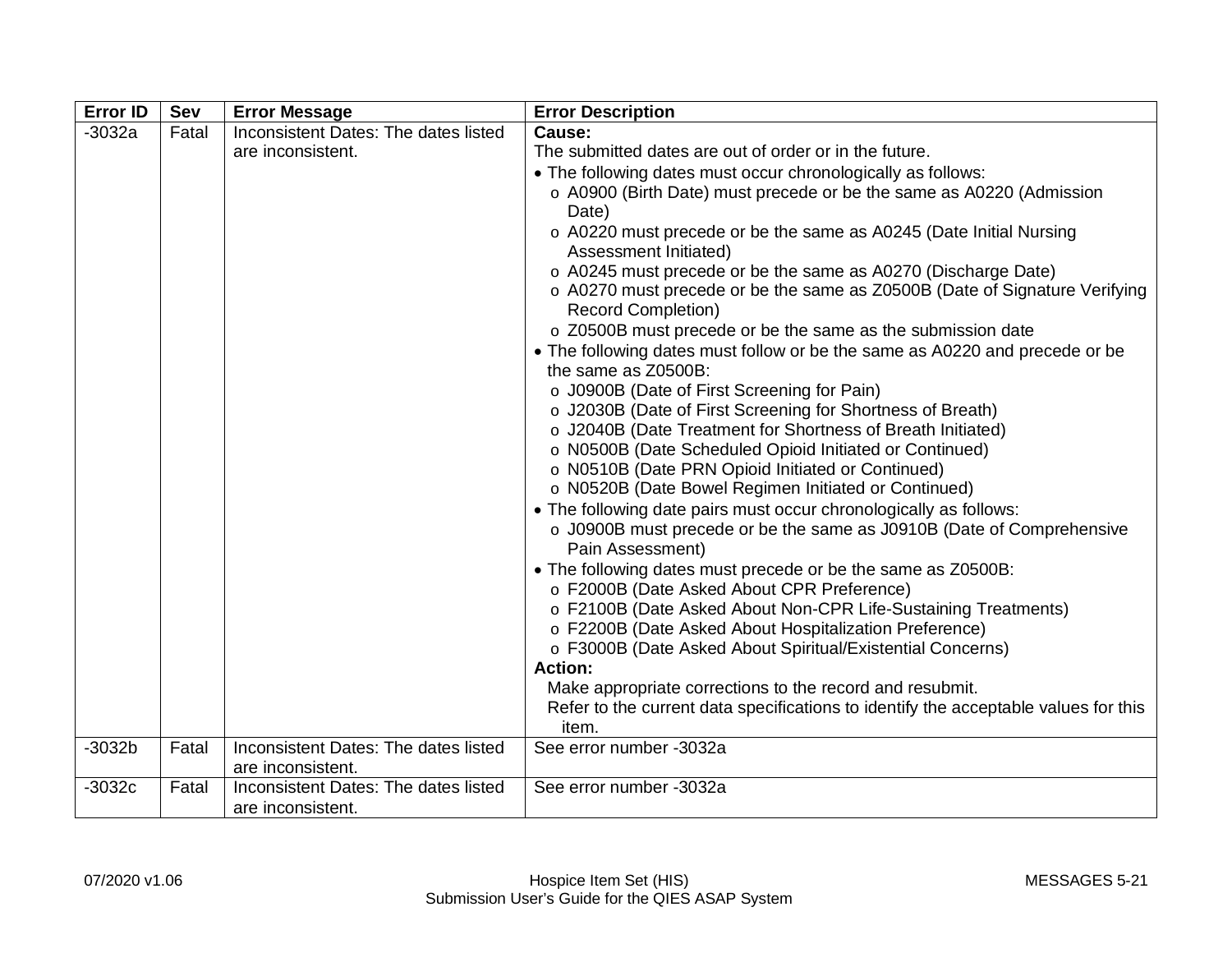| <b>Error ID</b> | Sev   | <b>Error Message</b>                                      | <b>Error Description</b>                                                                                                                    |
|-----------------|-------|-----------------------------------------------------------|---------------------------------------------------------------------------------------------------------------------------------------------|
| $-3032a$        | Fatal | Inconsistent Dates: The dates listed                      | Cause:                                                                                                                                      |
|                 |       | are inconsistent.                                         | The submitted dates are out of order or in the future.                                                                                      |
|                 |       |                                                           | • The following dates must occur chronologically as follows:                                                                                |
|                 |       |                                                           | o A0900 (Birth Date) must precede or be the same as A0220 (Admission<br>Date)                                                               |
|                 |       |                                                           | o A0220 must precede or be the same as A0245 (Date Initial Nursing<br>Assessment Initiated)                                                 |
|                 |       |                                                           | o A0245 must precede or be the same as A0270 (Discharge Date)<br>o A0270 must precede or be the same as Z0500B (Date of Signature Verifying |
|                 |       |                                                           | <b>Record Completion)</b>                                                                                                                   |
|                 |       |                                                           | o Z0500B must precede or be the same as the submission date                                                                                 |
|                 |       |                                                           | • The following dates must follow or be the same as A0220 and precede or be<br>the same as Z0500B:                                          |
|                 |       |                                                           | o J0900B (Date of First Screening for Pain)                                                                                                 |
|                 |       |                                                           | o J2030B (Date of First Screening for Shortness of Breath)                                                                                  |
|                 |       |                                                           | o J2040B (Date Treatment for Shortness of Breath Initiated)                                                                                 |
|                 |       |                                                           | o N0500B (Date Scheduled Opioid Initiated or Continued)                                                                                     |
|                 |       |                                                           | o N0510B (Date PRN Opioid Initiated or Continued)                                                                                           |
|                 |       |                                                           | o N0520B (Date Bowel Regimen Initiated or Continued)                                                                                        |
|                 |       |                                                           | • The following date pairs must occur chronologically as follows:                                                                           |
|                 |       |                                                           | o J0900B must precede or be the same as J0910B (Date of Comprehensive<br>Pain Assessment)                                                   |
|                 |       |                                                           | • The following dates must precede or be the same as Z0500B:                                                                                |
|                 |       |                                                           | o F2000B (Date Asked About CPR Preference)                                                                                                  |
|                 |       |                                                           | o F2100B (Date Asked About Non-CPR Life-Sustaining Treatments)                                                                              |
|                 |       |                                                           | o F2200B (Date Asked About Hospitalization Preference)                                                                                      |
|                 |       |                                                           | o F3000B (Date Asked About Spiritual/Existential Concerns)                                                                                  |
|                 |       |                                                           | <b>Action:</b>                                                                                                                              |
|                 |       |                                                           | Make appropriate corrections to the record and resubmit.                                                                                    |
|                 |       |                                                           | Refer to the current data specifications to identify the acceptable values for this<br>item.                                                |
| $-3032b$        | Fatal | Inconsistent Dates: The dates listed<br>are inconsistent. | See error number -3032a                                                                                                                     |
| $-3032c$        | Fatal | Inconsistent Dates: The dates listed                      | See error number -3032a                                                                                                                     |
|                 |       | are inconsistent.                                         |                                                                                                                                             |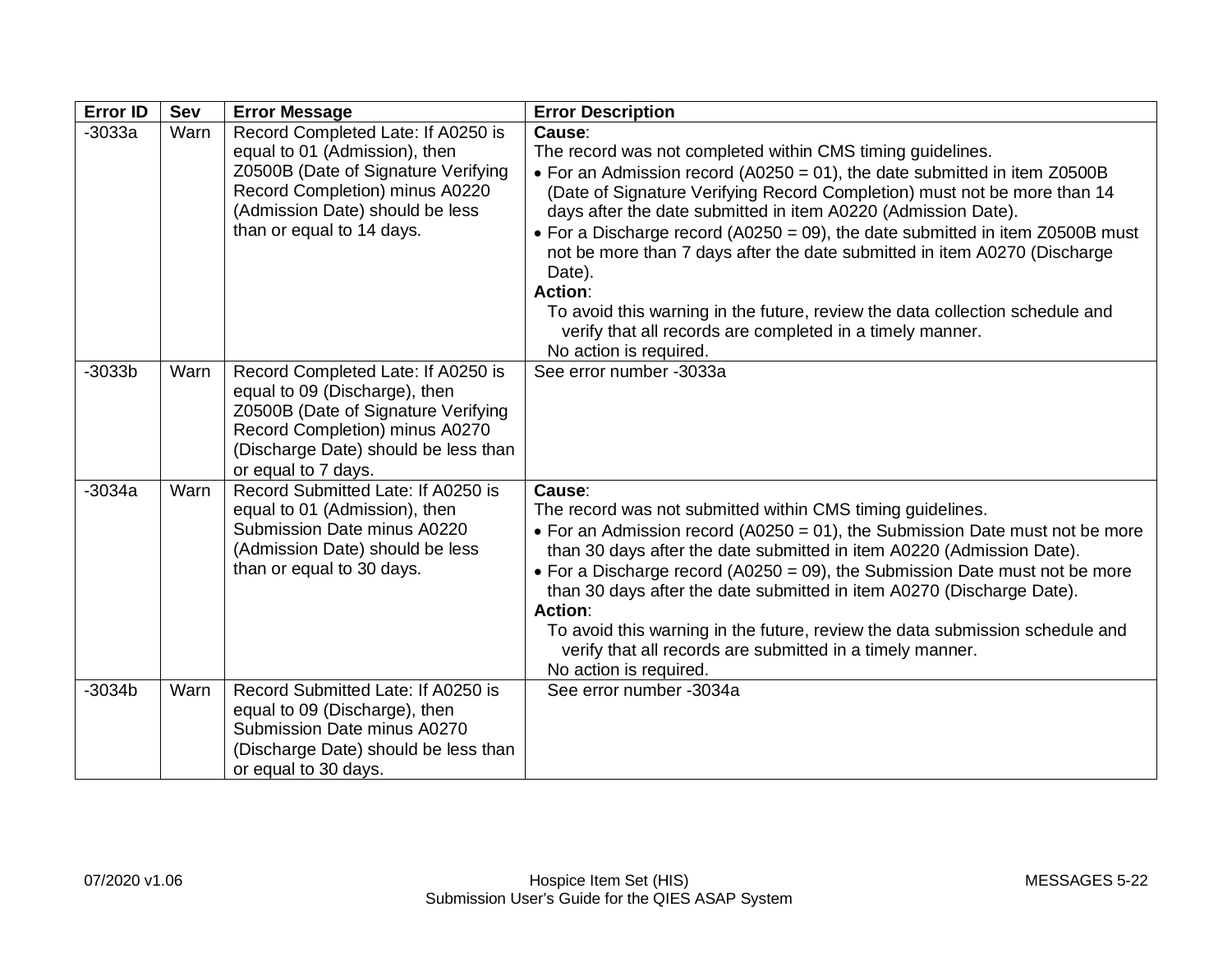| <b>Error ID</b> | Sev  | <b>Error Message</b>                                                                                                                                                                                         | <b>Error Description</b>                                                                                                                                                                                                                                                                                                                                                                                                                                                                                                                                                                                                                                        |
|-----------------|------|--------------------------------------------------------------------------------------------------------------------------------------------------------------------------------------------------------------|-----------------------------------------------------------------------------------------------------------------------------------------------------------------------------------------------------------------------------------------------------------------------------------------------------------------------------------------------------------------------------------------------------------------------------------------------------------------------------------------------------------------------------------------------------------------------------------------------------------------------------------------------------------------|
| $-3033a$        | Warn | Record Completed Late: If A0250 is<br>equal to 01 (Admission), then<br>Z0500B (Date of Signature Verifying<br>Record Completion) minus A0220<br>(Admission Date) should be less<br>than or equal to 14 days. | Cause:<br>The record was not completed within CMS timing guidelines.<br>• For an Admission record (A0250 = 01), the date submitted in item Z0500B<br>(Date of Signature Verifying Record Completion) must not be more than 14<br>days after the date submitted in item A0220 (Admission Date).<br>• For a Discharge record (A0250 = 09), the date submitted in item Z0500B must<br>not be more than 7 days after the date submitted in item A0270 (Discharge<br>Date).<br><b>Action:</b><br>To avoid this warning in the future, review the data collection schedule and<br>verify that all records are completed in a timely manner.<br>No action is required. |
| $-3033b$        | Warn | Record Completed Late: If A0250 is<br>equal to 09 (Discharge), then<br>Z0500B (Date of Signature Verifying<br>Record Completion) minus A0270<br>(Discharge Date) should be less than<br>or equal to 7 days.  | See error number -3033a                                                                                                                                                                                                                                                                                                                                                                                                                                                                                                                                                                                                                                         |
| $-3034a$        | Warn | Record Submitted Late: If A0250 is<br>equal to 01 (Admission), then<br>Submission Date minus A0220<br>(Admission Date) should be less<br>than or equal to 30 days.                                           | Cause:<br>The record was not submitted within CMS timing guidelines.<br>• For an Admission record (A0250 = 01), the Submission Date must not be more<br>than 30 days after the date submitted in item A0220 (Admission Date).<br>• For a Discharge record (A0250 = 09), the Submission Date must not be more<br>than 30 days after the date submitted in item A0270 (Discharge Date).<br><b>Action:</b><br>To avoid this warning in the future, review the data submission schedule and<br>verify that all records are submitted in a timely manner.<br>No action is required.                                                                                  |
| $-3034b$        | Warn | Record Submitted Late: If A0250 is<br>equal to 09 (Discharge), then<br>Submission Date minus A0270<br>(Discharge Date) should be less than<br>or equal to 30 days.                                           | See error number -3034a                                                                                                                                                                                                                                                                                                                                                                                                                                                                                                                                                                                                                                         |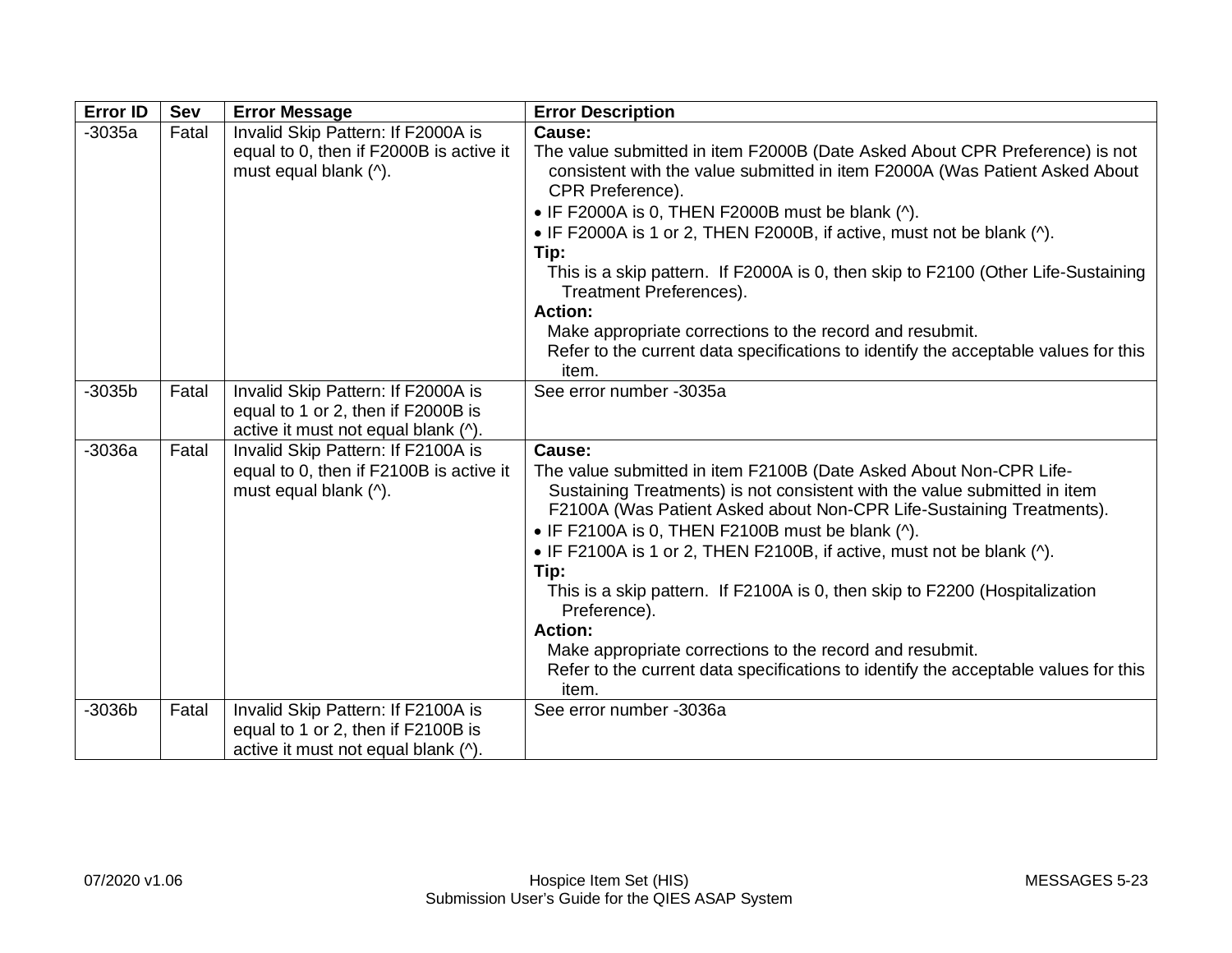| <b>Error ID</b> | Sev   | <b>Error Message</b>                                                                                            | <b>Error Description</b>                                                                                                                                                                                                                                                                                                                                                                                                                                                                                                                                                                                                                                    |
|-----------------|-------|-----------------------------------------------------------------------------------------------------------------|-------------------------------------------------------------------------------------------------------------------------------------------------------------------------------------------------------------------------------------------------------------------------------------------------------------------------------------------------------------------------------------------------------------------------------------------------------------------------------------------------------------------------------------------------------------------------------------------------------------------------------------------------------------|
| $-3035a$        | Fatal | Invalid Skip Pattern: If F2000A is<br>equal to 0, then if F2000B is active it<br>must equal blank (^).          | Cause:<br>The value submitted in item F2000B (Date Asked About CPR Preference) is not<br>consistent with the value submitted in item F2000A (Was Patient Asked About<br>CPR Preference).<br>$\bullet$ IF F2000A is 0, THEN F2000B must be blank ( $\land$ ).<br>• IF F2000A is 1 or 2, THEN F2000B, if active, must not be blank (^).<br>Tip:<br>This is a skip pattern. If F2000A is 0, then skip to F2100 (Other Life-Sustaining<br>Treatment Preferences).<br><b>Action:</b><br>Make appropriate corrections to the record and resubmit.<br>Refer to the current data specifications to identify the acceptable values for this<br>item.                 |
| $-3035b$        | Fatal | Invalid Skip Pattern: If F2000A is<br>equal to 1 or 2, then if F2000B is<br>active it must not equal blank (^). | See error number -3035a                                                                                                                                                                                                                                                                                                                                                                                                                                                                                                                                                                                                                                     |
| $-3036a$        | Fatal | Invalid Skip Pattern: If F2100A is<br>equal to 0, then if F2100B is active it<br>must equal blank (^).          | Cause:<br>The value submitted in item F2100B (Date Asked About Non-CPR Life-<br>Sustaining Treatments) is not consistent with the value submitted in item<br>F2100A (Was Patient Asked about Non-CPR Life-Sustaining Treatments).<br>$\bullet$ IF F2100A is 0, THEN F2100B must be blank (^).<br>• IF F2100A is 1 or 2, THEN F2100B, if active, must not be blank (^).<br>Tip:<br>This is a skip pattern. If F2100A is 0, then skip to F2200 (Hospitalization<br>Preference).<br><b>Action:</b><br>Make appropriate corrections to the record and resubmit.<br>Refer to the current data specifications to identify the acceptable values for this<br>item. |
| $-3036b$        | Fatal | Invalid Skip Pattern: If F2100A is<br>equal to 1 or 2, then if F2100B is<br>active it must not equal blank (^). | See error number -3036a                                                                                                                                                                                                                                                                                                                                                                                                                                                                                                                                                                                                                                     |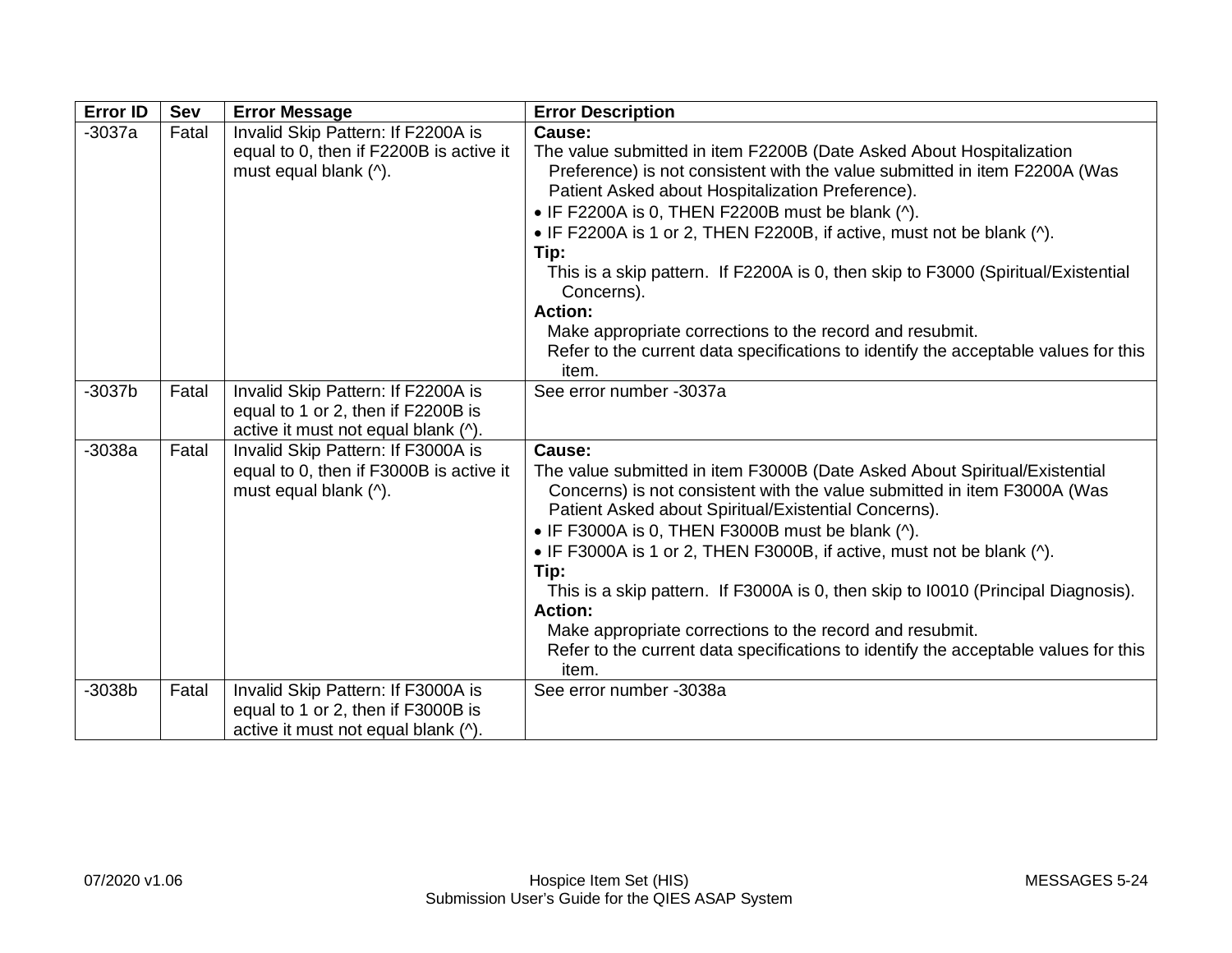| <b>Error ID</b> | <b>Sev</b> | <b>Error Message</b>                                                                                            | <b>Error Description</b>                                                                                                                                                                                                                                                                                                                                                                                                                                                                                                                                                                                                                               |
|-----------------|------------|-----------------------------------------------------------------------------------------------------------------|--------------------------------------------------------------------------------------------------------------------------------------------------------------------------------------------------------------------------------------------------------------------------------------------------------------------------------------------------------------------------------------------------------------------------------------------------------------------------------------------------------------------------------------------------------------------------------------------------------------------------------------------------------|
| $-3037a$        | Fatal      | Invalid Skip Pattern: If F2200A is<br>equal to 0, then if F2200B is active it<br>must equal blank (^).          | Cause:<br>The value submitted in item F2200B (Date Asked About Hospitalization<br>Preference) is not consistent with the value submitted in item F2200A (Was<br>Patient Asked about Hospitalization Preference).<br>$\bullet$ IF F2200A is 0, THEN F2200B must be blank ( $\land$ ).<br>• IF F2200A is 1 or 2, THEN F2200B, if active, must not be blank (^).<br>Tip:<br>This is a skip pattern. If F2200A is 0, then skip to F3000 (Spiritual/Existential<br>Concerns).<br><b>Action:</b><br>Make appropriate corrections to the record and resubmit.<br>Refer to the current data specifications to identify the acceptable values for this<br>item. |
| $-3037b$        | Fatal      | Invalid Skip Pattern: If F2200A is<br>equal to 1 or 2, then if F2200B is<br>active it must not equal blank (^). | See error number -3037a                                                                                                                                                                                                                                                                                                                                                                                                                                                                                                                                                                                                                                |
| $-3038a$        | Fatal      | Invalid Skip Pattern: If F3000A is<br>equal to 0, then if F3000B is active it<br>must equal blank (^).          | Cause:<br>The value submitted in item F3000B (Date Asked About Spiritual/Existential<br>Concerns) is not consistent with the value submitted in item F3000A (Was<br>Patient Asked about Spiritual/Existential Concerns).<br>• IF F3000A is 0, THEN F3000B must be blank (^).<br>• IF F3000A is 1 or 2, THEN F3000B, if active, must not be blank (^).<br>Tip:<br>This is a skip pattern. If F3000A is 0, then skip to 10010 (Principal Diagnosis).<br><b>Action:</b><br>Make appropriate corrections to the record and resubmit.<br>Refer to the current data specifications to identify the acceptable values for this<br>item.                       |
| $-3038b$        | Fatal      | Invalid Skip Pattern: If F3000A is<br>equal to 1 or 2, then if F3000B is<br>active it must not equal blank (^). | See error number -3038a                                                                                                                                                                                                                                                                                                                                                                                                                                                                                                                                                                                                                                |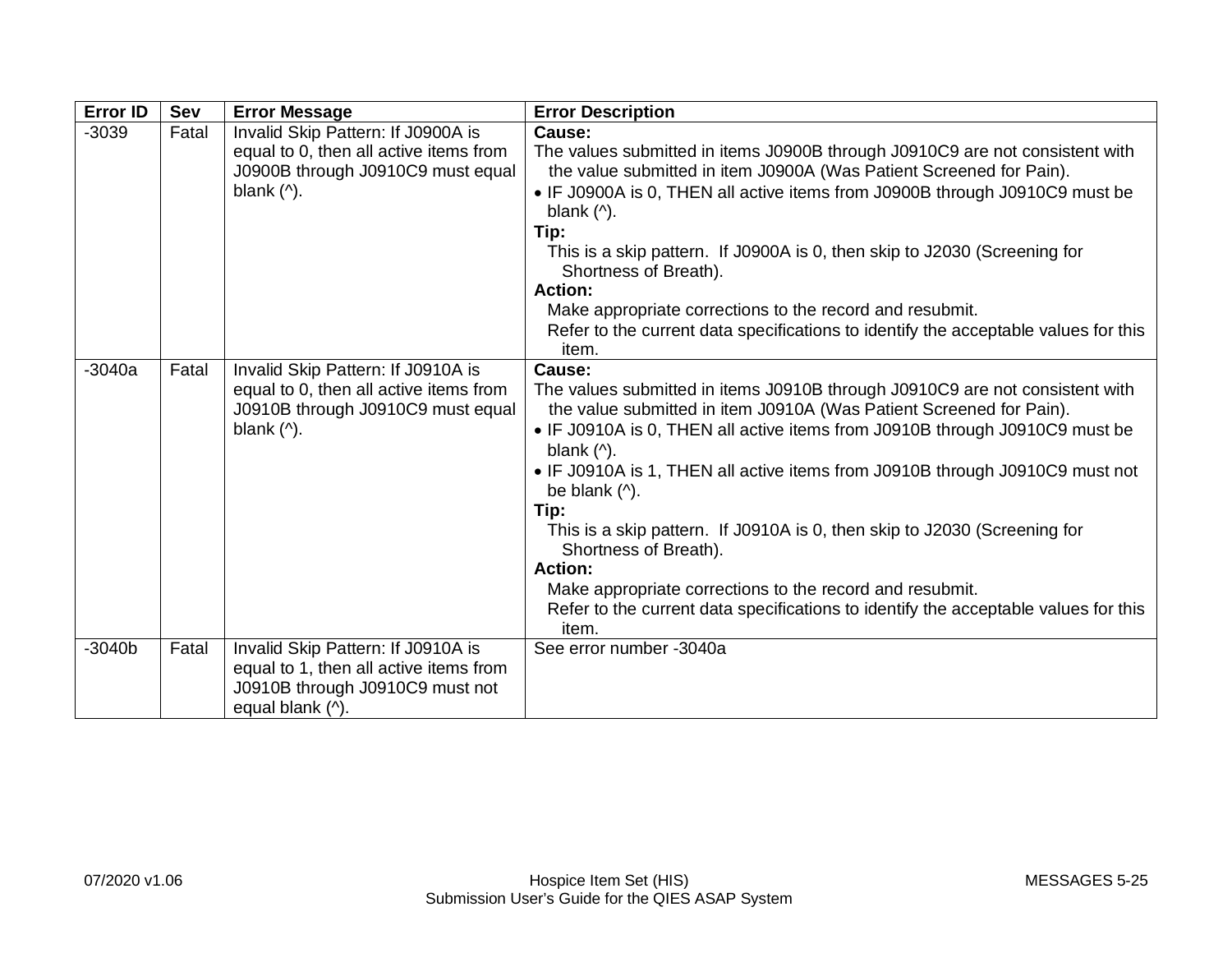| <b>Error ID</b> | Sev   | <b>Error Message</b>                                                                                                                                             | <b>Error Description</b>                                                                                                                                                                                                                                                                                                                                                                                                                                                                                                                                                                                                                                                                                                  |
|-----------------|-------|------------------------------------------------------------------------------------------------------------------------------------------------------------------|---------------------------------------------------------------------------------------------------------------------------------------------------------------------------------------------------------------------------------------------------------------------------------------------------------------------------------------------------------------------------------------------------------------------------------------------------------------------------------------------------------------------------------------------------------------------------------------------------------------------------------------------------------------------------------------------------------------------------|
| $-3039$         | Fatal | Invalid Skip Pattern: If J0900A is<br>equal to 0, then all active items from<br>J0900B through J0910C9 must equal<br>blank $($ <sup><math>\wedge</math></sup> ). | Cause:<br>The values submitted in items J0900B through J0910C9 are not consistent with<br>the value submitted in item J0900A (Was Patient Screened for Pain).<br>• IF J0900A is 0, THEN all active items from J0900B through J0910C9 must be<br>blank $($ <sup><math>\wedge</math></sup> ).<br>Tip:<br>This is a skip pattern. If J0900A is 0, then skip to J2030 (Screening for<br>Shortness of Breath).<br><b>Action:</b><br>Make appropriate corrections to the record and resubmit.<br>Refer to the current data specifications to identify the acceptable values for this<br>item.                                                                                                                                   |
| $-3040a$        | Fatal | Invalid Skip Pattern: If J0910A is<br>equal to 0, then all active items from<br>J0910B through J0910C9 must equal<br>blank $($ <sup><math>\wedge</math></sup> ). | Cause:<br>The values submitted in items J0910B through J0910C9 are not consistent with<br>the value submitted in item J0910A (Was Patient Screened for Pain).<br>• IF J0910A is 0, THEN all active items from J0910B through J0910C9 must be<br>blank $($ <sup><math>\wedge</math></sup> ).<br>• IF J0910A is 1, THEN all active items from J0910B through J0910C9 must not<br>be blank $($ <sup><math>\wedge</math></sup> ).<br>Tip:<br>This is a skip pattern. If J0910A is 0, then skip to J2030 (Screening for<br>Shortness of Breath).<br><b>Action:</b><br>Make appropriate corrections to the record and resubmit.<br>Refer to the current data specifications to identify the acceptable values for this<br>item. |
| $-3040b$        | Fatal | Invalid Skip Pattern: If J0910A is<br>equal to 1, then all active items from<br>J0910B through J0910C9 must not<br>equal blank (^).                              | See error number -3040a                                                                                                                                                                                                                                                                                                                                                                                                                                                                                                                                                                                                                                                                                                   |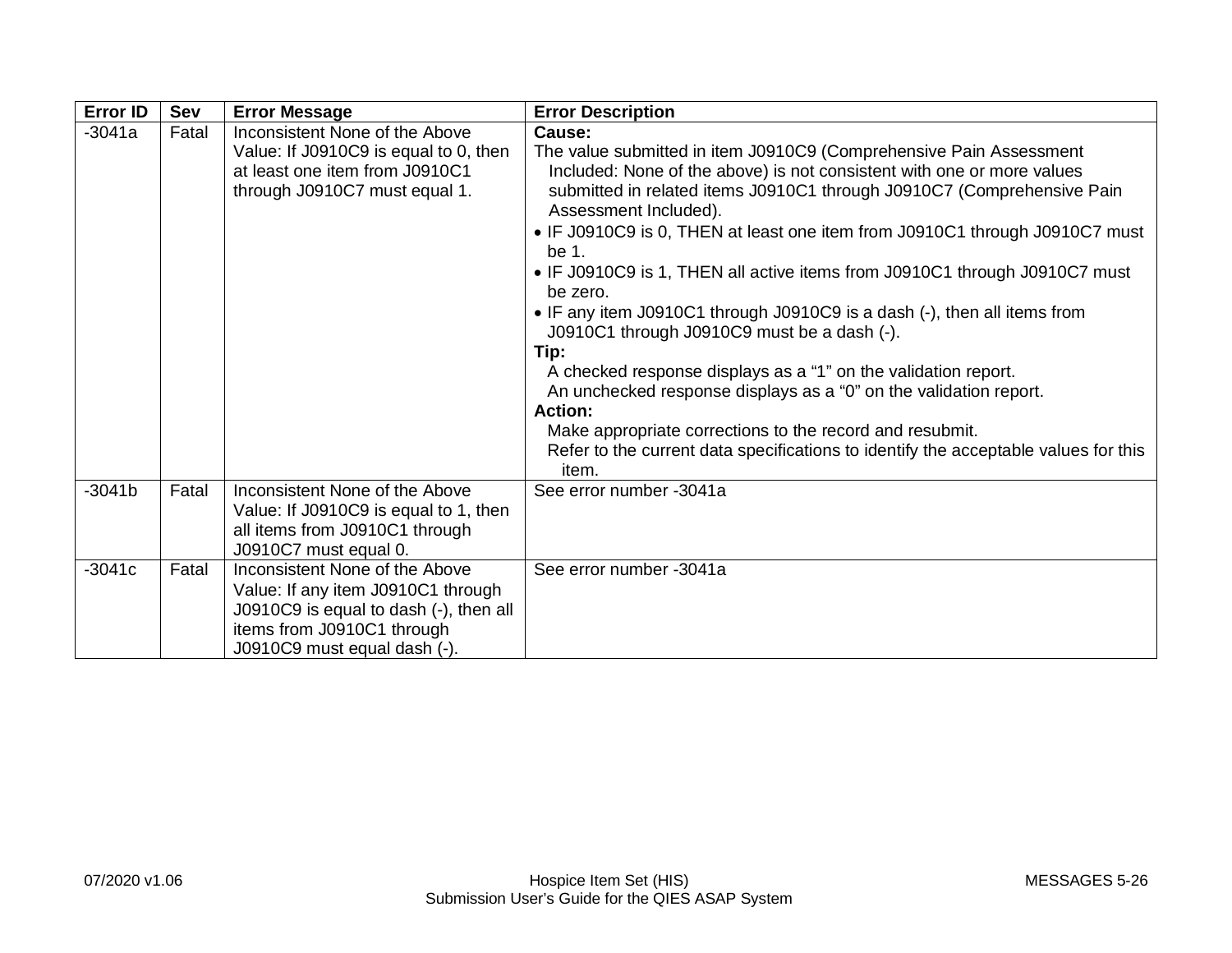| <b>Error ID</b> | Sev   | <b>Error Message</b>                                                                                                                                                         | <b>Error Description</b>                                                                                                                                                                                                                                                                                                                                                                                                                                                                                                                                                                                                                                                                                                                                                                                                                                                                            |
|-----------------|-------|------------------------------------------------------------------------------------------------------------------------------------------------------------------------------|-----------------------------------------------------------------------------------------------------------------------------------------------------------------------------------------------------------------------------------------------------------------------------------------------------------------------------------------------------------------------------------------------------------------------------------------------------------------------------------------------------------------------------------------------------------------------------------------------------------------------------------------------------------------------------------------------------------------------------------------------------------------------------------------------------------------------------------------------------------------------------------------------------|
| $-3041a$        | Fatal | Inconsistent None of the Above<br>Value: If J0910C9 is equal to 0, then<br>at least one item from J0910C1<br>through J0910C7 must equal 1.                                   | Cause:<br>The value submitted in item J0910C9 (Comprehensive Pain Assessment<br>Included: None of the above) is not consistent with one or more values<br>submitted in related items J0910C1 through J0910C7 (Comprehensive Pain<br>Assessment Included).<br>• IF J0910C9 is 0, THEN at least one item from J0910C1 through J0910C7 must<br>be 1.<br>• IF J0910C9 is 1, THEN all active items from J0910C1 through J0910C7 must<br>be zero.<br>• IF any item J0910C1 through J0910C9 is a dash (-), then all items from<br>J0910C1 through J0910C9 must be a dash (-).<br>Tip:<br>A checked response displays as a "1" on the validation report.<br>An unchecked response displays as a "0" on the validation report.<br><b>Action:</b><br>Make appropriate corrections to the record and resubmit.<br>Refer to the current data specifications to identify the acceptable values for this<br>item. |
| $-3041b$        | Fatal | Inconsistent None of the Above<br>Value: If J0910C9 is equal to 1, then<br>all items from J0910C1 through<br>J0910C7 must equal 0.                                           | See error number -3041a                                                                                                                                                                                                                                                                                                                                                                                                                                                                                                                                                                                                                                                                                                                                                                                                                                                                             |
| $-3041c$        | Fatal | Inconsistent None of the Above<br>Value: If any item J0910C1 through<br>J0910C9 is equal to dash (-), then all<br>items from J0910C1 through<br>J0910C9 must equal dash (-). | See error number -3041a                                                                                                                                                                                                                                                                                                                                                                                                                                                                                                                                                                                                                                                                                                                                                                                                                                                                             |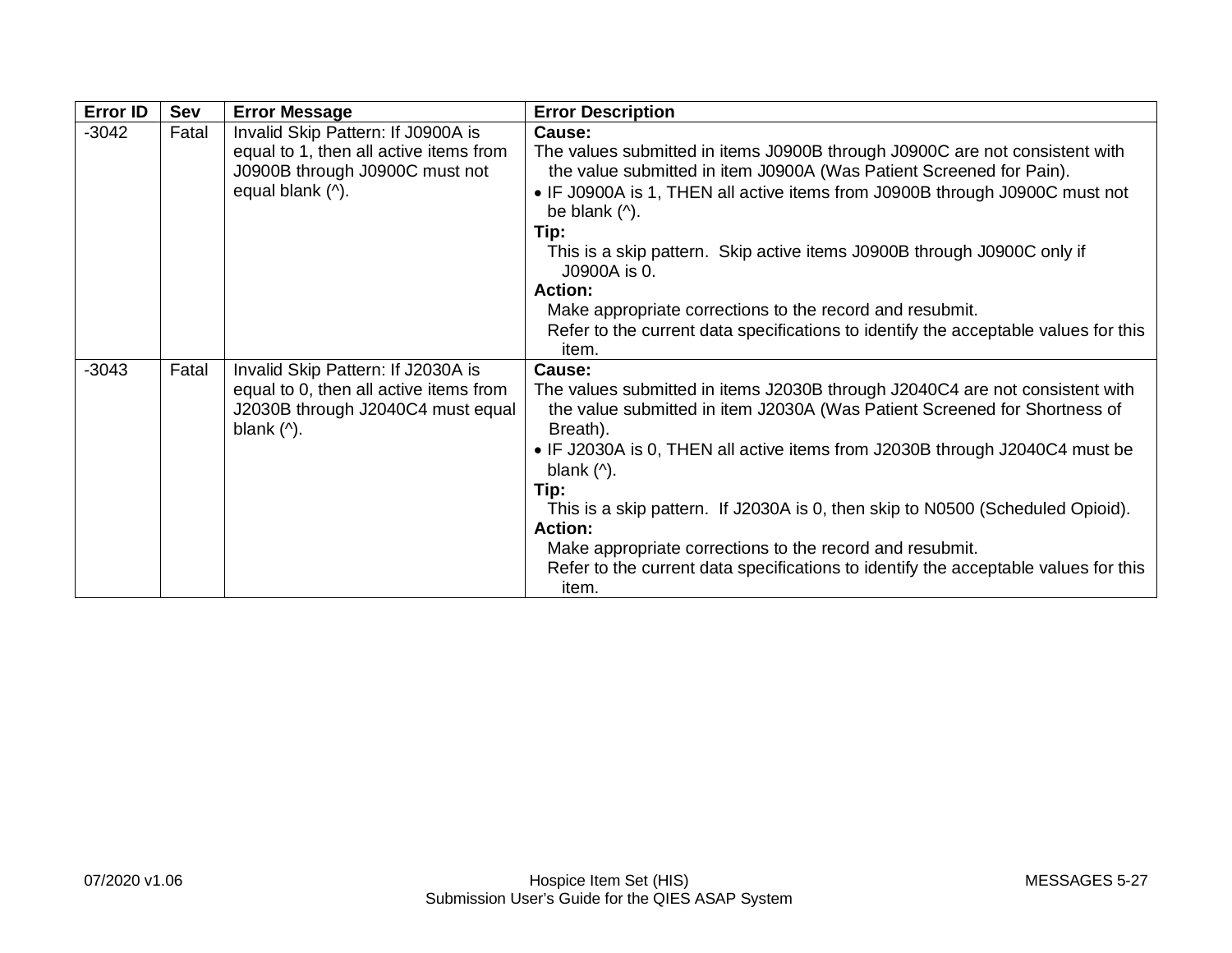| <b>Error ID</b> | Sev   | <b>Error Message</b>                                                                                                                                             | <b>Error Description</b>                                                                                                                                                                                                                                                                                                                                                                                                                                                                                                                                                                       |
|-----------------|-------|------------------------------------------------------------------------------------------------------------------------------------------------------------------|------------------------------------------------------------------------------------------------------------------------------------------------------------------------------------------------------------------------------------------------------------------------------------------------------------------------------------------------------------------------------------------------------------------------------------------------------------------------------------------------------------------------------------------------------------------------------------------------|
| $-3042$         | Fatal | Invalid Skip Pattern: If J0900A is<br>equal to 1, then all active items from<br>J0900B through J0900C must not<br>equal blank (^).                               | Cause:<br>The values submitted in items J0900B through J0900C are not consistent with<br>the value submitted in item J0900A (Was Patient Screened for Pain).<br>• IF J0900A is 1, THEN all active items from J0900B through J0900C must not<br>be blank $($ <sup><math>\wedge</math></sup> ).<br>Tip:<br>This is a skip pattern. Skip active items J0900B through J0900C only if<br>J0900A is 0.<br>Action:<br>Make appropriate corrections to the record and resubmit.<br>Refer to the current data specifications to identify the acceptable values for this                                 |
| $-3043$         | Fatal | Invalid Skip Pattern: If J2030A is<br>equal to 0, then all active items from<br>J2030B through J2040C4 must equal<br>blank $($ <sup><math>\wedge</math></sup> ). | item.<br>Cause:<br>The values submitted in items J2030B through J2040C4 are not consistent with<br>the value submitted in item J2030A (Was Patient Screened for Shortness of<br>Breath).<br>• IF J2030A is 0, THEN all active items from J2030B through J2040C4 must be<br>blank $($ <sup><math>\wedge</math></sup> ).<br>Tip:<br>This is a skip pattern. If J2030A is 0, then skip to N0500 (Scheduled Opioid).<br><b>Action:</b><br>Make appropriate corrections to the record and resubmit.<br>Refer to the current data specifications to identify the acceptable values for this<br>item. |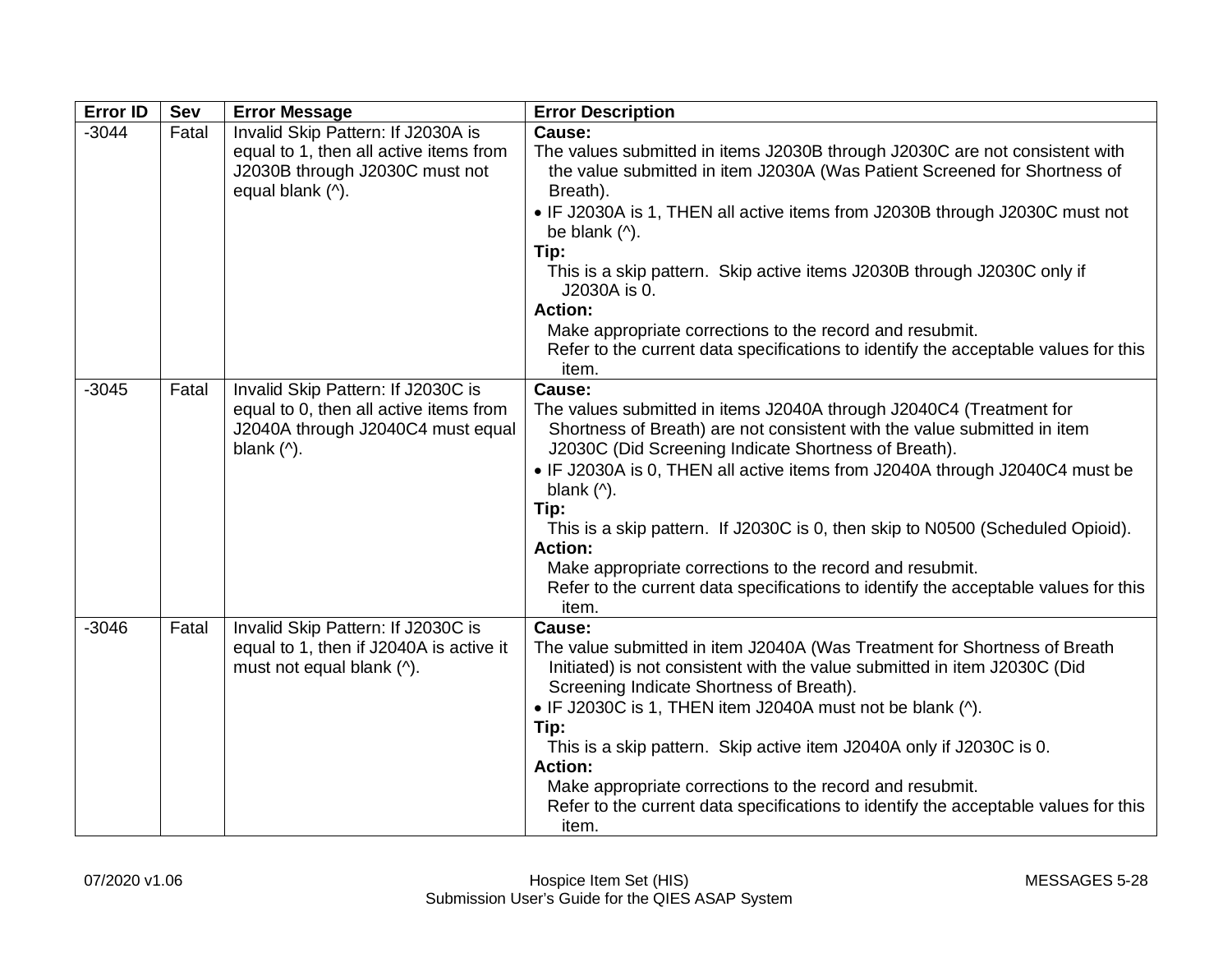| <b>Error ID</b> | Sev   | <b>Error Message</b>                                                                                                                                             | <b>Error Description</b>                                                                                                                                                                                                                                                                                                                                                                                                                                                                                                                                                                                               |
|-----------------|-------|------------------------------------------------------------------------------------------------------------------------------------------------------------------|------------------------------------------------------------------------------------------------------------------------------------------------------------------------------------------------------------------------------------------------------------------------------------------------------------------------------------------------------------------------------------------------------------------------------------------------------------------------------------------------------------------------------------------------------------------------------------------------------------------------|
| $-3044$         | Fatal | Invalid Skip Pattern: If J2030A is<br>equal to 1, then all active items from<br>J2030B through J2030C must not<br>equal blank (^).                               | Cause:<br>The values submitted in items J2030B through J2030C are not consistent with<br>the value submitted in item J2030A (Was Patient Screened for Shortness of<br>Breath).<br>• IF J2030A is 1, THEN all active items from J2030B through J2030C must not<br>be blank $($ <sup><math>\land</math></sup> ).<br>Tip:<br>This is a skip pattern. Skip active items J2030B through J2030C only if<br>J2030A is 0.<br><b>Action:</b><br>Make appropriate corrections to the record and resubmit.<br>Refer to the current data specifications to identify the acceptable values for this<br>item.                        |
| $-3045$         | Fatal | Invalid Skip Pattern: If J2030C is<br>equal to 0, then all active items from<br>J2040A through J2040C4 must equal<br>blank $($ <sup><math>\wedge</math></sup> ). | Cause:<br>The values submitted in items J2040A through J2040C4 (Treatment for<br>Shortness of Breath) are not consistent with the value submitted in item<br>J2030C (Did Screening Indicate Shortness of Breath).<br>• IF J2030A is 0, THEN all active items from J2040A through J2040C4 must be<br>blank $($ <sup><math>\land</math></sup> ).<br>Tip:<br>This is a skip pattern. If J2030C is 0, then skip to N0500 (Scheduled Opioid).<br><b>Action:</b><br>Make appropriate corrections to the record and resubmit.<br>Refer to the current data specifications to identify the acceptable values for this<br>item. |
| $-3046$         | Fatal | Invalid Skip Pattern: If J2030C is<br>equal to 1, then if J2040A is active it<br>must not equal blank (^).                                                       | Cause:<br>The value submitted in item J2040A (Was Treatment for Shortness of Breath<br>Initiated) is not consistent with the value submitted in item J2030C (Did<br>Screening Indicate Shortness of Breath).<br>• IF J2030C is 1, THEN item J2040A must not be blank (^).<br>Tip:<br>This is a skip pattern. Skip active item J2040A only if J2030C is 0.<br><b>Action:</b><br>Make appropriate corrections to the record and resubmit.<br>Refer to the current data specifications to identify the acceptable values for this<br>item.                                                                                |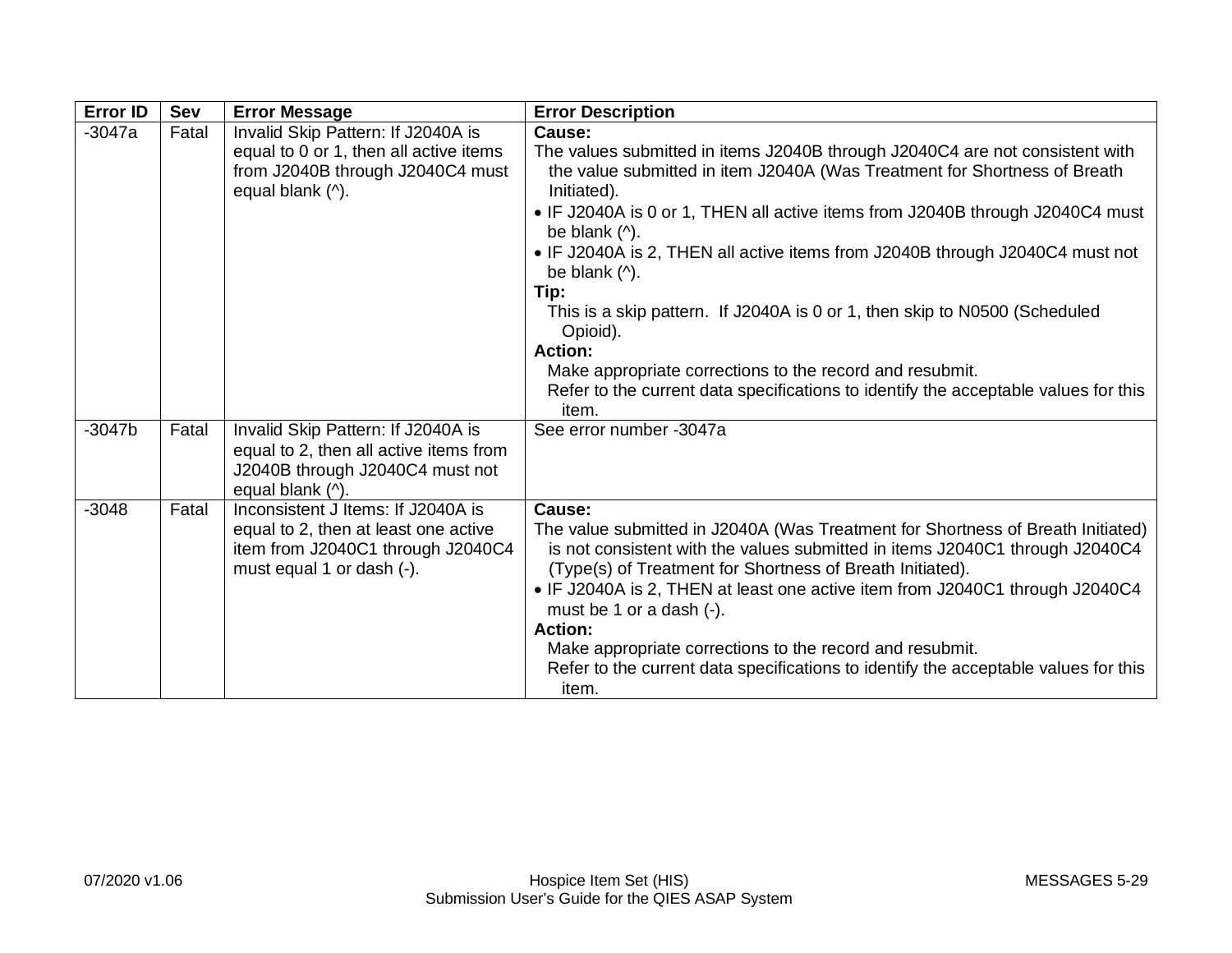| <b>Error ID</b> | Sev   | <b>Error Message</b>                                                                                                                         | <b>Error Description</b>                                                                                                                                                                                                                                                                                                                                                                                                                                                                                                                                                                                                                                                                                                                |
|-----------------|-------|----------------------------------------------------------------------------------------------------------------------------------------------|-----------------------------------------------------------------------------------------------------------------------------------------------------------------------------------------------------------------------------------------------------------------------------------------------------------------------------------------------------------------------------------------------------------------------------------------------------------------------------------------------------------------------------------------------------------------------------------------------------------------------------------------------------------------------------------------------------------------------------------------|
| $-3047a$        | Fatal | Invalid Skip Pattern: If J2040A is<br>equal to 0 or 1, then all active items<br>from J2040B through J2040C4 must<br>equal blank (^).         | Cause:<br>The values submitted in items J2040B through J2040C4 are not consistent with<br>the value submitted in item J2040A (Was Treatment for Shortness of Breath<br>Initiated).<br>• IF J2040A is 0 or 1, THEN all active items from J2040B through J2040C4 must<br>be blank $($ <sup><math>\wedge</math></sup> ).<br>• IF J2040A is 2, THEN all active items from J2040B through J2040C4 must not<br>be blank $($ <sup><math>\wedge</math></sup> ).<br>Tip:<br>This is a skip pattern. If J2040A is 0 or 1, then skip to N0500 (Scheduled<br>Opioid).<br><b>Action:</b><br>Make appropriate corrections to the record and resubmit.<br>Refer to the current data specifications to identify the acceptable values for this<br>item. |
| $-3047b$        | Fatal | Invalid Skip Pattern: If J2040A is<br>equal to 2, then all active items from<br>J2040B through J2040C4 must not<br>equal blank (^).          | See error number -3047a                                                                                                                                                                                                                                                                                                                                                                                                                                                                                                                                                                                                                                                                                                                 |
| $-3048$         | Fatal | Inconsistent J Items: If J2040A is<br>equal to 2, then at least one active<br>item from J2040C1 through J2040C4<br>must equal 1 or dash (-). | Cause:<br>The value submitted in J2040A (Was Treatment for Shortness of Breath Initiated)<br>is not consistent with the values submitted in items J2040C1 through J2040C4<br>(Type(s) of Treatment for Shortness of Breath Initiated).<br>• IF J2040A is 2, THEN at least one active item from J2040C1 through J2040C4<br>must be 1 or a dash (-).<br><b>Action:</b><br>Make appropriate corrections to the record and resubmit.<br>Refer to the current data specifications to identify the acceptable values for this<br>item.                                                                                                                                                                                                        |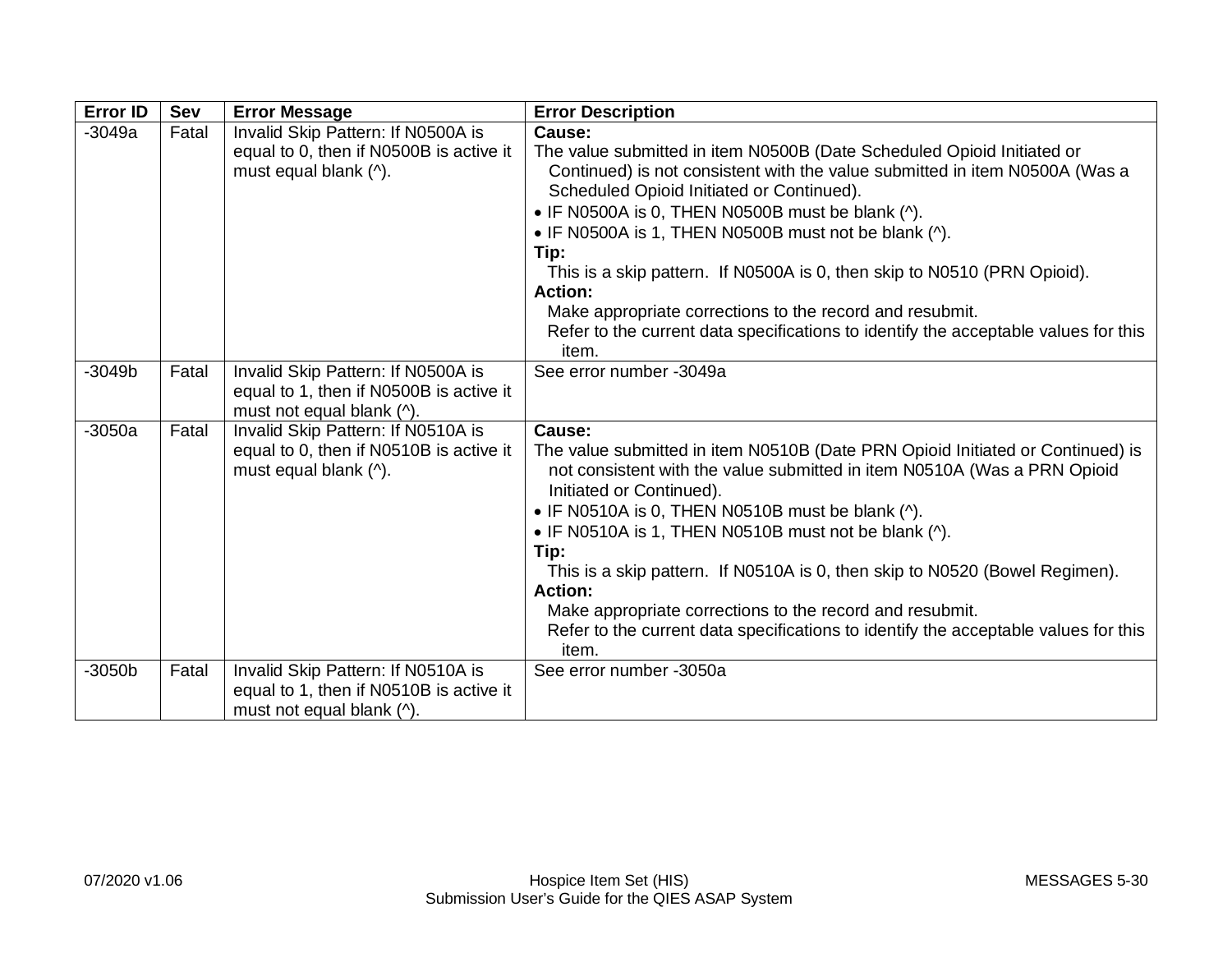| <b>Error ID</b> | Sev   | <b>Error Message</b>                                                                                       | <b>Error Description</b>                                                                                                                                                                                                                                                                                                                                                                                                                                                                                                                                                                   |
|-----------------|-------|------------------------------------------------------------------------------------------------------------|--------------------------------------------------------------------------------------------------------------------------------------------------------------------------------------------------------------------------------------------------------------------------------------------------------------------------------------------------------------------------------------------------------------------------------------------------------------------------------------------------------------------------------------------------------------------------------------------|
| $-3049a$        | Fatal | Invalid Skip Pattern: If N0500A is<br>equal to 0, then if N0500B is active it<br>must equal blank (^).     | Cause:<br>The value submitted in item N0500B (Date Scheduled Opioid Initiated or<br>Continued) is not consistent with the value submitted in item N0500A (Was a<br>Scheduled Opioid Initiated or Continued).<br>• IF N0500A is 0, THEN N0500B must be blank (^).<br>• IF N0500A is 1, THEN N0500B must not be blank (^).<br>Tip:<br>This is a skip pattern. If N0500A is 0, then skip to N0510 (PRN Opioid).<br><b>Action:</b><br>Make appropriate corrections to the record and resubmit.<br>Refer to the current data specifications to identify the acceptable values for this<br>item. |
| $-3049b$        | Fatal | Invalid Skip Pattern: If N0500A is<br>equal to 1, then if N0500B is active it<br>must not equal blank (^). | See error number -3049a                                                                                                                                                                                                                                                                                                                                                                                                                                                                                                                                                                    |
| $-3050a$        | Fatal | Invalid Skip Pattern: If N0510A is<br>equal to 0, then if N0510B is active it<br>must equal blank (^).     | Cause:<br>The value submitted in item N0510B (Date PRN Opioid Initiated or Continued) is<br>not consistent with the value submitted in item N0510A (Was a PRN Opioid<br>Initiated or Continued).<br>• IF N0510A is 0, THEN N0510B must be blank (^).<br>• IF N0510A is 1, THEN N0510B must not be blank (^).<br>Tip:<br>This is a skip pattern. If N0510A is 0, then skip to N0520 (Bowel Regimen).<br><b>Action:</b><br>Make appropriate corrections to the record and resubmit.<br>Refer to the current data specifications to identify the acceptable values for this<br>item.          |
| $-3050b$        | Fatal | Invalid Skip Pattern: If N0510A is<br>equal to 1, then if N0510B is active it<br>must not equal blank (^). | See error number -3050a                                                                                                                                                                                                                                                                                                                                                                                                                                                                                                                                                                    |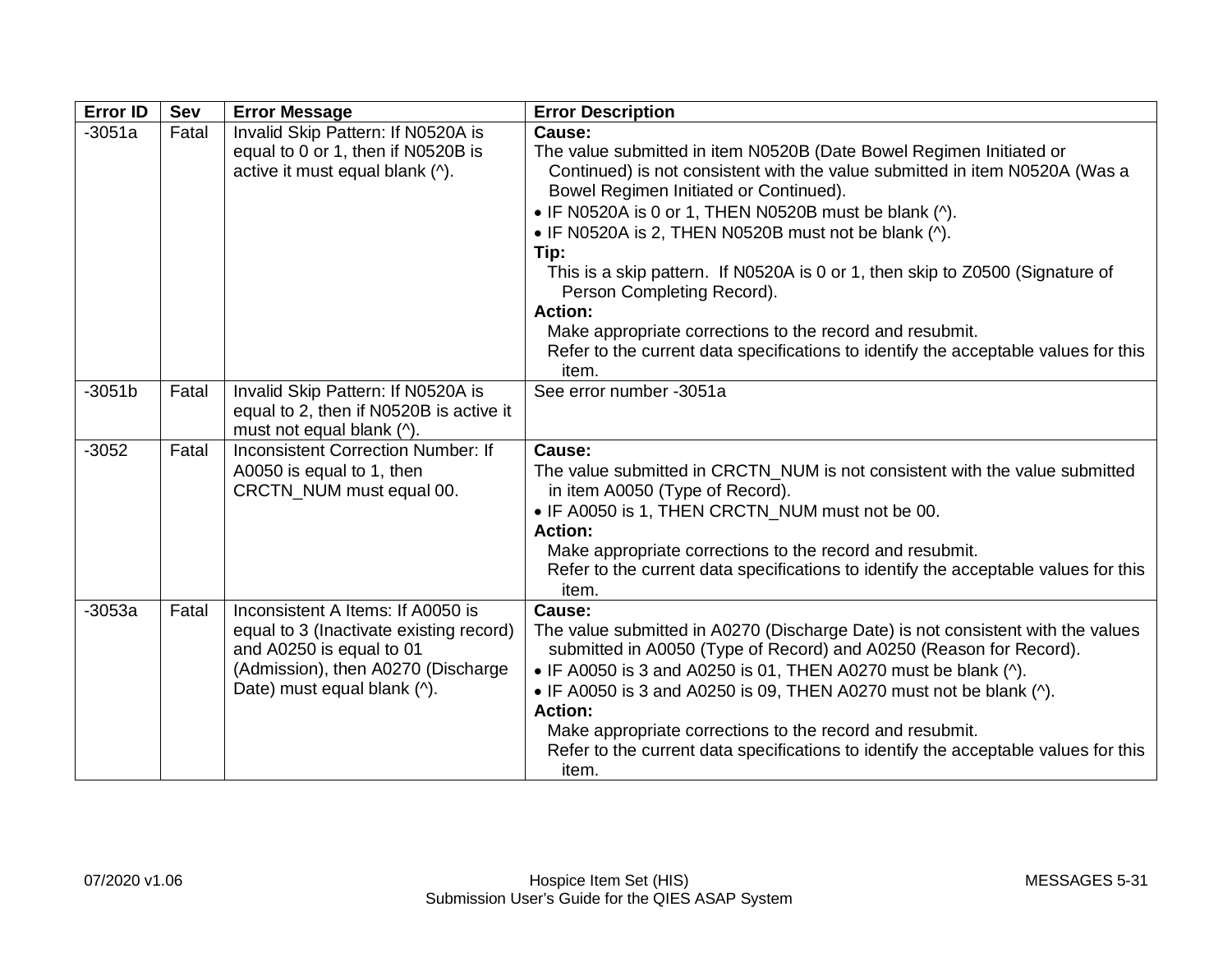| <b>Error ID</b> | <b>Sev</b> | <b>Error Message</b>                                                                                                                                                          | <b>Error Description</b>                                                                                                                                                                                                                                                                                                                                                                                                                                                                                                                                                                                                     |
|-----------------|------------|-------------------------------------------------------------------------------------------------------------------------------------------------------------------------------|------------------------------------------------------------------------------------------------------------------------------------------------------------------------------------------------------------------------------------------------------------------------------------------------------------------------------------------------------------------------------------------------------------------------------------------------------------------------------------------------------------------------------------------------------------------------------------------------------------------------------|
| $-3051a$        | Fatal      | Invalid Skip Pattern: If N0520A is<br>equal to 0 or 1, then if N0520B is<br>active it must equal blank (^).                                                                   | Cause:<br>The value submitted in item N0520B (Date Bowel Regimen Initiated or<br>Continued) is not consistent with the value submitted in item N0520A (Was a<br>Bowel Regimen Initiated or Continued).<br>• IF N0520A is 0 or 1, THEN N0520B must be blank (^).<br>• IF N0520A is 2, THEN N0520B must not be blank (^).<br>Tip:<br>This is a skip pattern. If N0520A is 0 or 1, then skip to Z0500 (Signature of<br>Person Completing Record).<br><b>Action:</b><br>Make appropriate corrections to the record and resubmit.<br>Refer to the current data specifications to identify the acceptable values for this<br>item. |
| $-3051b$        | Fatal      | Invalid Skip Pattern: If N0520A is<br>equal to 2, then if N0520B is active it<br>must not equal blank (^).                                                                    | See error number -3051a                                                                                                                                                                                                                                                                                                                                                                                                                                                                                                                                                                                                      |
| $-3052$         | Fatal      | <b>Inconsistent Correction Number: If</b><br>A0050 is equal to 1, then<br>CRCTN_NUM must equal 00.                                                                            | Cause:<br>The value submitted in CRCTN_NUM is not consistent with the value submitted<br>in item A0050 (Type of Record).<br>• IF A0050 is 1, THEN CRCTN_NUM must not be 00.<br><b>Action:</b><br>Make appropriate corrections to the record and resubmit.<br>Refer to the current data specifications to identify the acceptable values for this<br>item.                                                                                                                                                                                                                                                                    |
| $-3053a$        | Fatal      | Inconsistent A Items: If A0050 is<br>equal to 3 (Inactivate existing record)<br>and A0250 is equal to 01<br>(Admission), then A0270 (Discharge<br>Date) must equal blank (^). | Cause:<br>The value submitted in A0270 (Discharge Date) is not consistent with the values<br>submitted in A0050 (Type of Record) and A0250 (Reason for Record).<br>• IF A0050 is 3 and A0250 is 01, THEN A0270 must be blank (^).<br>• IF A0050 is 3 and A0250 is 09, THEN A0270 must not be blank (^).<br><b>Action:</b><br>Make appropriate corrections to the record and resubmit.<br>Refer to the current data specifications to identify the acceptable values for this<br>item.                                                                                                                                        |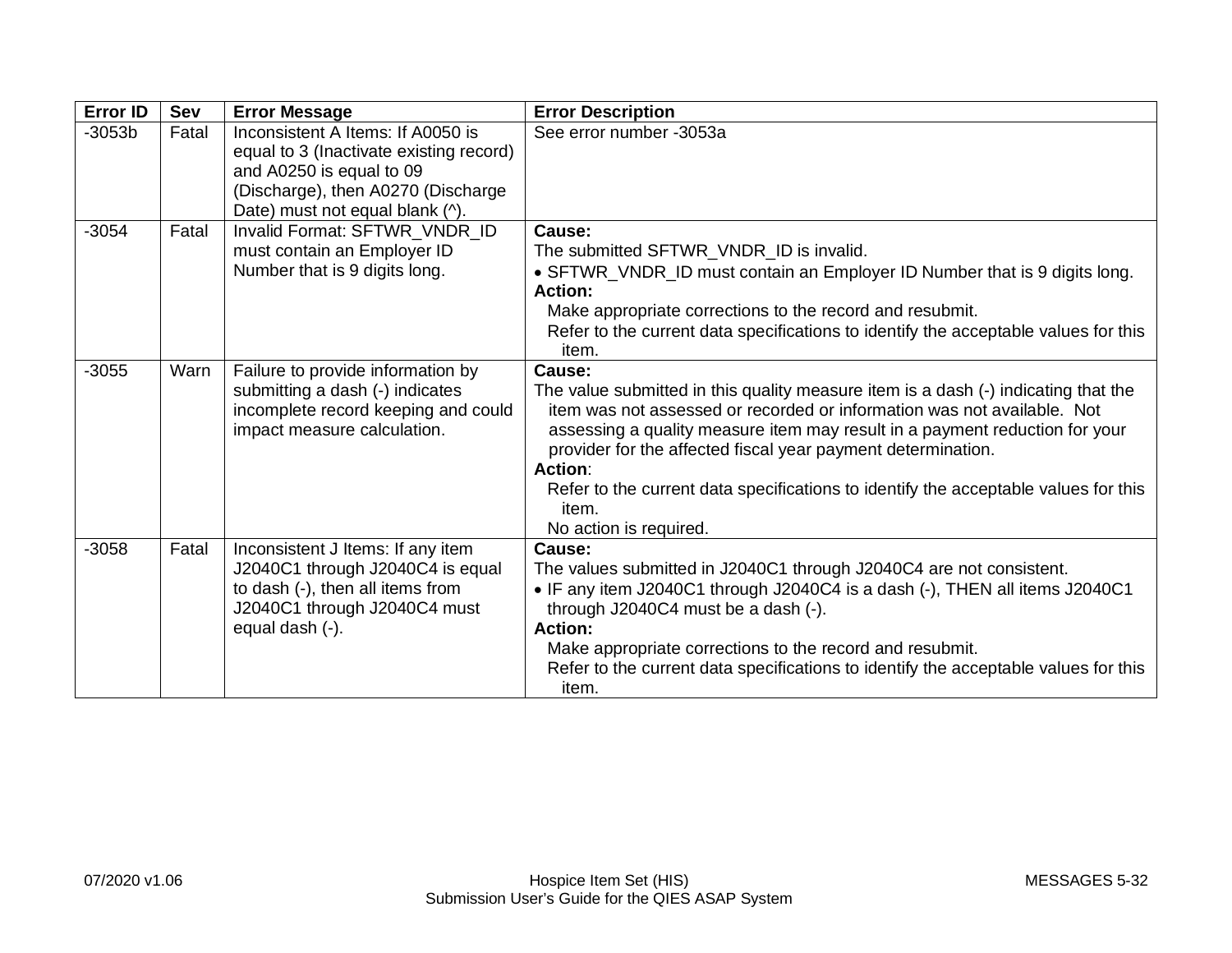| <b>Error ID</b> | Sev   | <b>Error Message</b>                                                                                                                                                              | <b>Error Description</b>                                                                                                                                                                                                                                                                                                                                                                                                                                           |
|-----------------|-------|-----------------------------------------------------------------------------------------------------------------------------------------------------------------------------------|--------------------------------------------------------------------------------------------------------------------------------------------------------------------------------------------------------------------------------------------------------------------------------------------------------------------------------------------------------------------------------------------------------------------------------------------------------------------|
| $-3053b$        | Fatal | Inconsistent A Items: If A0050 is<br>equal to 3 (Inactivate existing record)<br>and A0250 is equal to 09<br>(Discharge), then A0270 (Discharge<br>Date) must not equal blank (^). | See error number -3053a                                                                                                                                                                                                                                                                                                                                                                                                                                            |
| $-3054$         | Fatal | Invalid Format: SFTWR_VNDR_ID<br>must contain an Employer ID<br>Number that is 9 digits long.                                                                                     | Cause:<br>The submitted SFTWR_VNDR_ID is invalid.<br>• SFTWR_VNDR_ID must contain an Employer ID Number that is 9 digits long.<br><b>Action:</b><br>Make appropriate corrections to the record and resubmit.<br>Refer to the current data specifications to identify the acceptable values for this<br>item.                                                                                                                                                       |
| $-3055$         | Warn  | Failure to provide information by<br>submitting a dash (-) indicates<br>incomplete record keeping and could<br>impact measure calculation.                                        | Cause:<br>The value submitted in this quality measure item is a dash (-) indicating that the<br>item was not assessed or recorded or information was not available. Not<br>assessing a quality measure item may result in a payment reduction for your<br>provider for the affected fiscal year payment determination.<br><b>Action:</b><br>Refer to the current data specifications to identify the acceptable values for this<br>item.<br>No action is required. |
| $-3058$         | Fatal | Inconsistent J Items: If any item<br>J2040C1 through J2040C4 is equal<br>to dash (-), then all items from<br>J2040C1 through J2040C4 must<br>equal dash (-).                      | Cause:<br>The values submitted in J2040C1 through J2040C4 are not consistent.<br>• IF any item J2040C1 through J2040C4 is a dash (-), THEN all items J2040C1<br>through J2040C4 must be a dash (-).<br><b>Action:</b><br>Make appropriate corrections to the record and resubmit.<br>Refer to the current data specifications to identify the acceptable values for this<br>item.                                                                                  |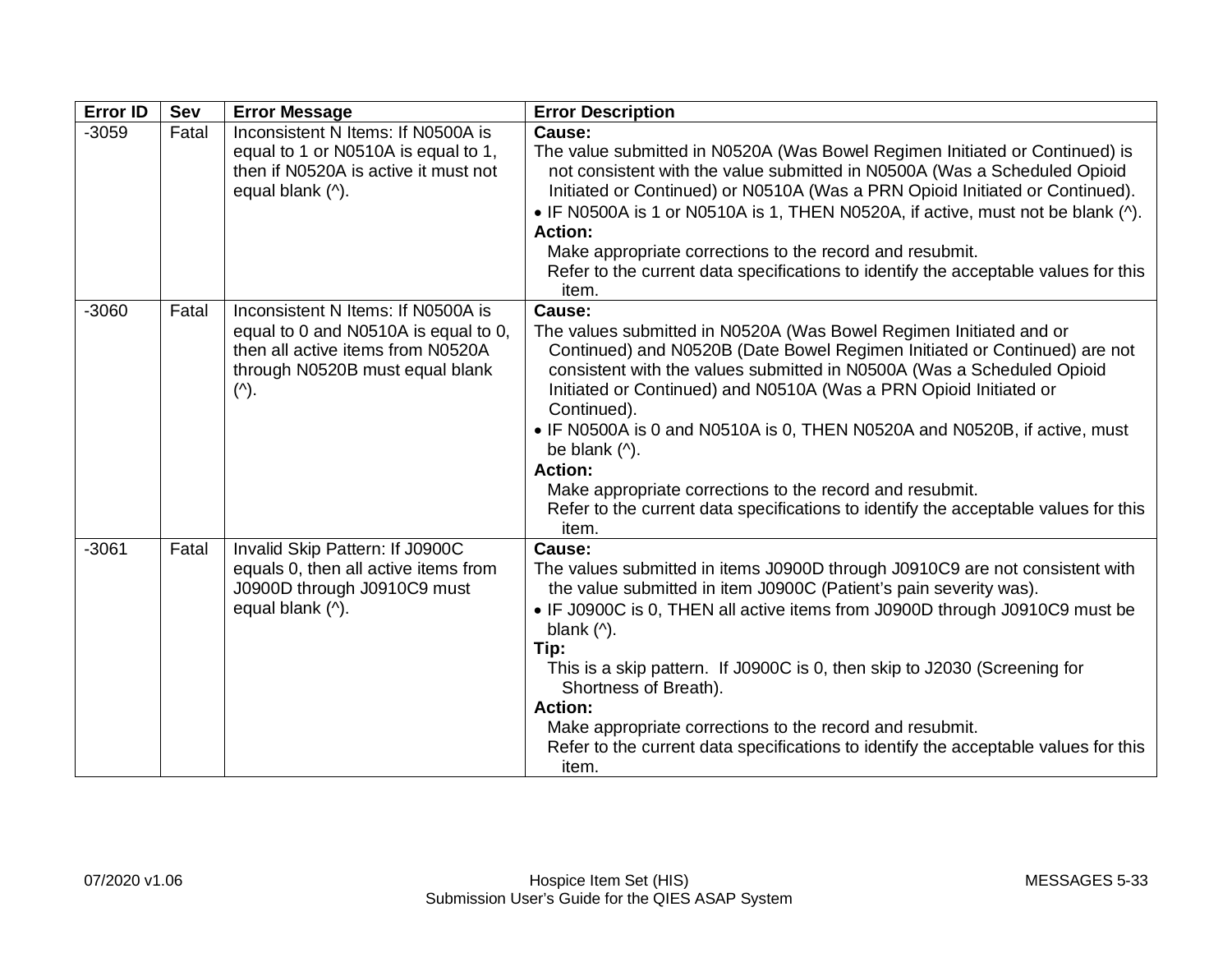| <b>Error ID</b> | Sev   | <b>Error Message</b>                                                                                                                                              | <b>Error Description</b>                                                                                                                                                                                                                                                                                                                                                                                                                                                                                                                                                                            |
|-----------------|-------|-------------------------------------------------------------------------------------------------------------------------------------------------------------------|-----------------------------------------------------------------------------------------------------------------------------------------------------------------------------------------------------------------------------------------------------------------------------------------------------------------------------------------------------------------------------------------------------------------------------------------------------------------------------------------------------------------------------------------------------------------------------------------------------|
| $-3059$         | Fatal | Inconsistent N Items: If N0500A is<br>equal to 1 or N0510A is equal to 1,<br>then if N0520A is active it must not<br>equal blank (^).                             | Cause:<br>The value submitted in N0520A (Was Bowel Regimen Initiated or Continued) is<br>not consistent with the value submitted in N0500A (Was a Scheduled Opioid<br>Initiated or Continued) or N0510A (Was a PRN Opioid Initiated or Continued).<br>• IF N0500A is 1 or N0510A is 1, THEN N0520A, if active, must not be blank (^).<br><b>Action:</b><br>Make appropriate corrections to the record and resubmit.<br>Refer to the current data specifications to identify the acceptable values for this<br>item.                                                                                 |
| $-3060$         | Fatal | Inconsistent N Items: If N0500A is<br>equal to 0 and N0510A is equal to 0,<br>then all active items from N0520A<br>through N0520B must equal blank<br>$(\wedge).$ | Cause:<br>The values submitted in N0520A (Was Bowel Regimen Initiated and or<br>Continued) and N0520B (Date Bowel Regimen Initiated or Continued) are not<br>consistent with the values submitted in N0500A (Was a Scheduled Opioid<br>Initiated or Continued) and N0510A (Was a PRN Opioid Initiated or<br>Continued).<br>• IF N0500A is 0 and N0510A is 0, THEN N0520A and N0520B, if active, must<br>be blank (^).<br><b>Action:</b><br>Make appropriate corrections to the record and resubmit.<br>Refer to the current data specifications to identify the acceptable values for this<br>item. |
| $-3061$         | Fatal | Invalid Skip Pattern: If J0900C<br>equals 0, then all active items from<br>J0900D through J0910C9 must<br>equal blank (^).                                        | Cause:<br>The values submitted in items J0900D through J0910C9 are not consistent with<br>the value submitted in item J0900C (Patient's pain severity was).<br>• IF J0900C is 0, THEN all active items from J0900D through J0910C9 must be<br>blank $($ <sup><math>\wedge</math></sup> ).<br>Tip:<br>This is a skip pattern. If J0900C is 0, then skip to J2030 (Screening for<br>Shortness of Breath).<br><b>Action:</b><br>Make appropriate corrections to the record and resubmit.<br>Refer to the current data specifications to identify the acceptable values for this<br>item.               |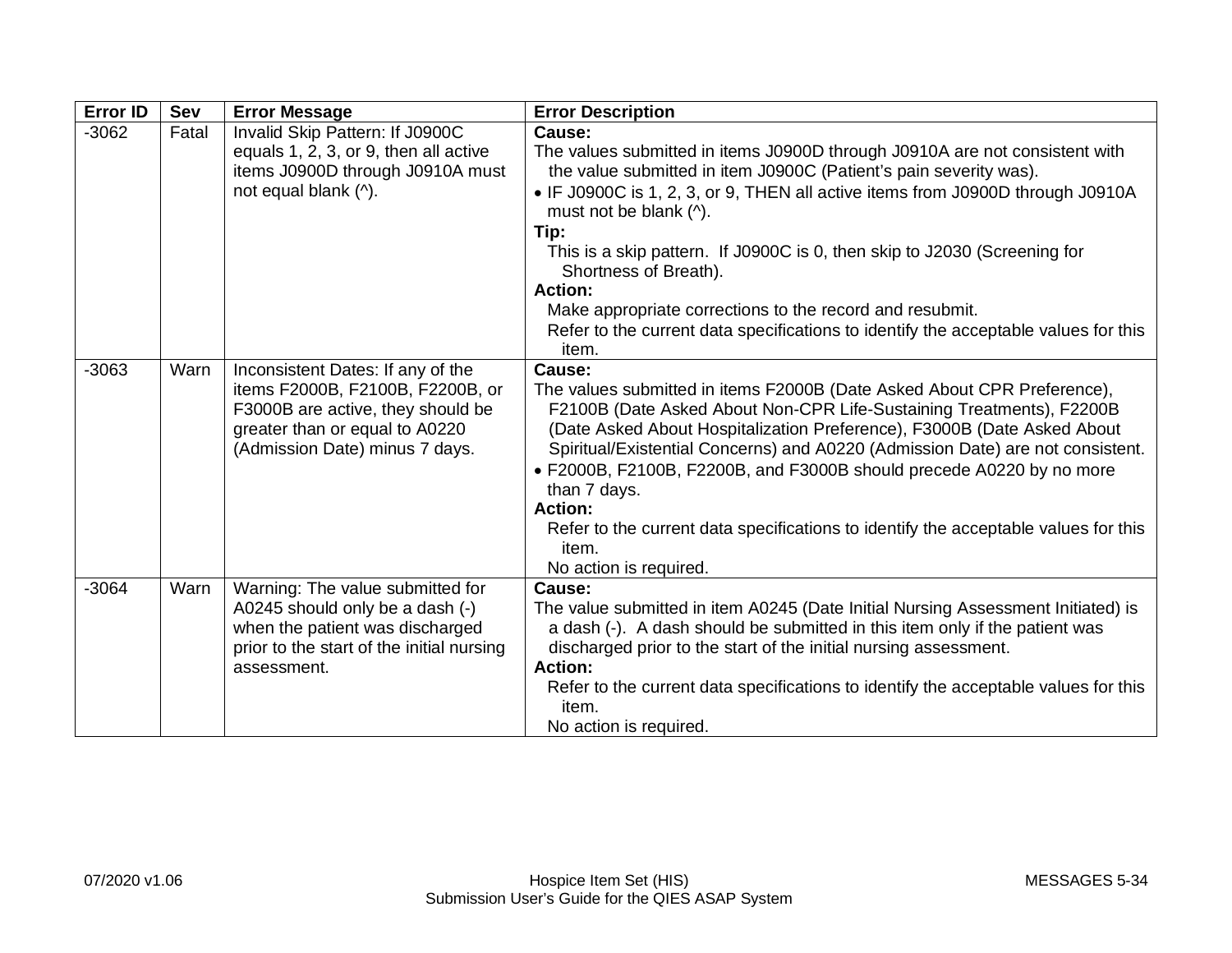| <b>Error ID</b> | <b>Sev</b> | <b>Error Message</b>                                                                                                                                                           | <b>Error Description</b>                                                                                                                                                                                                                                                                                                                                                                                                                                                                                                                                           |
|-----------------|------------|--------------------------------------------------------------------------------------------------------------------------------------------------------------------------------|--------------------------------------------------------------------------------------------------------------------------------------------------------------------------------------------------------------------------------------------------------------------------------------------------------------------------------------------------------------------------------------------------------------------------------------------------------------------------------------------------------------------------------------------------------------------|
| $-3062$         | Fatal      | Invalid Skip Pattern: If J0900C<br>equals 1, 2, 3, or 9, then all active<br>items J0900D through J0910A must<br>not equal blank (^).                                           | Cause:<br>The values submitted in items J0900D through J0910A are not consistent with<br>the value submitted in item J0900C (Patient's pain severity was).<br>• IF J0900C is 1, 2, 3, or 9, THEN all active items from J0900D through J0910A<br>must not be blank (^).<br>Tip:<br>This is a skip pattern. If J0900C is 0, then skip to J2030 (Screening for<br>Shortness of Breath).<br><b>Action:</b><br>Make appropriate corrections to the record and resubmit.<br>Refer to the current data specifications to identify the acceptable values for this<br>item. |
| $-3063$         | Warn       | Inconsistent Dates: If any of the<br>items F2000B, F2100B, F2200B, or<br>F3000B are active, they should be<br>greater than or equal to A0220<br>(Admission Date) minus 7 days. | Cause:<br>The values submitted in items F2000B (Date Asked About CPR Preference),<br>F2100B (Date Asked About Non-CPR Life-Sustaining Treatments), F2200B<br>(Date Asked About Hospitalization Preference), F3000B (Date Asked About<br>Spiritual/Existential Concerns) and A0220 (Admission Date) are not consistent.<br>• F2000B, F2100B, F2200B, and F3000B should precede A0220 by no more<br>than 7 days.<br><b>Action:</b><br>Refer to the current data specifications to identify the acceptable values for this<br>item.<br>No action is required.         |
| $-3064$         | Warn       | Warning: The value submitted for<br>A0245 should only be a dash (-)<br>when the patient was discharged<br>prior to the start of the initial nursing<br>assessment.             | Cause:<br>The value submitted in item A0245 (Date Initial Nursing Assessment Initiated) is<br>a dash (-). A dash should be submitted in this item only if the patient was<br>discharged prior to the start of the initial nursing assessment.<br><b>Action:</b><br>Refer to the current data specifications to identify the acceptable values for this<br>item.<br>No action is required.                                                                                                                                                                          |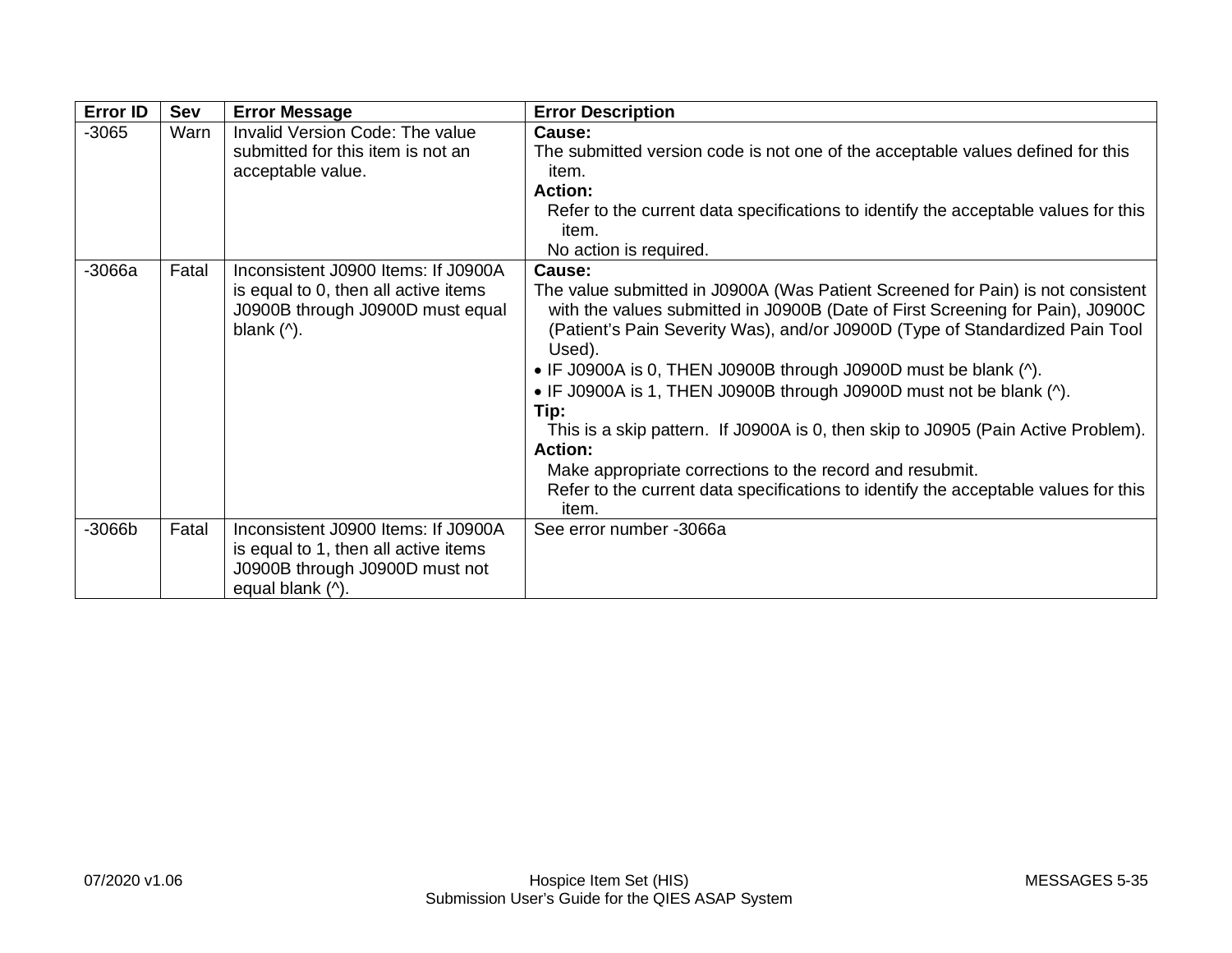| <b>Error ID</b> | <b>Sev</b> | <b>Error Message</b>                                                                                                                                           | <b>Error Description</b>                                                                                                                                                                                                                                                                                                                                                                                                                                                                                                                                                                                                                                                                   |
|-----------------|------------|----------------------------------------------------------------------------------------------------------------------------------------------------------------|--------------------------------------------------------------------------------------------------------------------------------------------------------------------------------------------------------------------------------------------------------------------------------------------------------------------------------------------------------------------------------------------------------------------------------------------------------------------------------------------------------------------------------------------------------------------------------------------------------------------------------------------------------------------------------------------|
| $-3065$         | Warn       | Invalid Version Code: The value<br>submitted for this item is not an<br>acceptable value.                                                                      | Cause:<br>The submitted version code is not one of the acceptable values defined for this<br>item.<br><b>Action:</b><br>Refer to the current data specifications to identify the acceptable values for this<br>item.<br>No action is required.                                                                                                                                                                                                                                                                                                                                                                                                                                             |
| $-3066a$        | Fatal      | Inconsistent J0900 Items: If J0900A<br>is equal to 0, then all active items<br>J0900B through J0900D must equal<br>blank $($ <sup><math>\wedge</math></sup> ). | Cause:<br>The value submitted in J0900A (Was Patient Screened for Pain) is not consistent<br>with the values submitted in J0900B (Date of First Screening for Pain), J0900C<br>(Patient's Pain Severity Was), and/or J0900D (Type of Standardized Pain Tool<br>Used).<br>• IF J0900A is 0, THEN J0900B through J0900D must be blank (^).<br>• IF J0900A is 1, THEN J0900B through J0900D must not be blank (^).<br>Tip:<br>This is a skip pattern. If J0900A is 0, then skip to J0905 (Pain Active Problem).<br><b>Action:</b><br>Make appropriate corrections to the record and resubmit.<br>Refer to the current data specifications to identify the acceptable values for this<br>item. |
| $-3066b$        | Fatal      | Inconsistent J0900 Items: If J0900A<br>is equal to 1, then all active items<br>J0900B through J0900D must not<br>equal blank (^).                              | See error number -3066a                                                                                                                                                                                                                                                                                                                                                                                                                                                                                                                                                                                                                                                                    |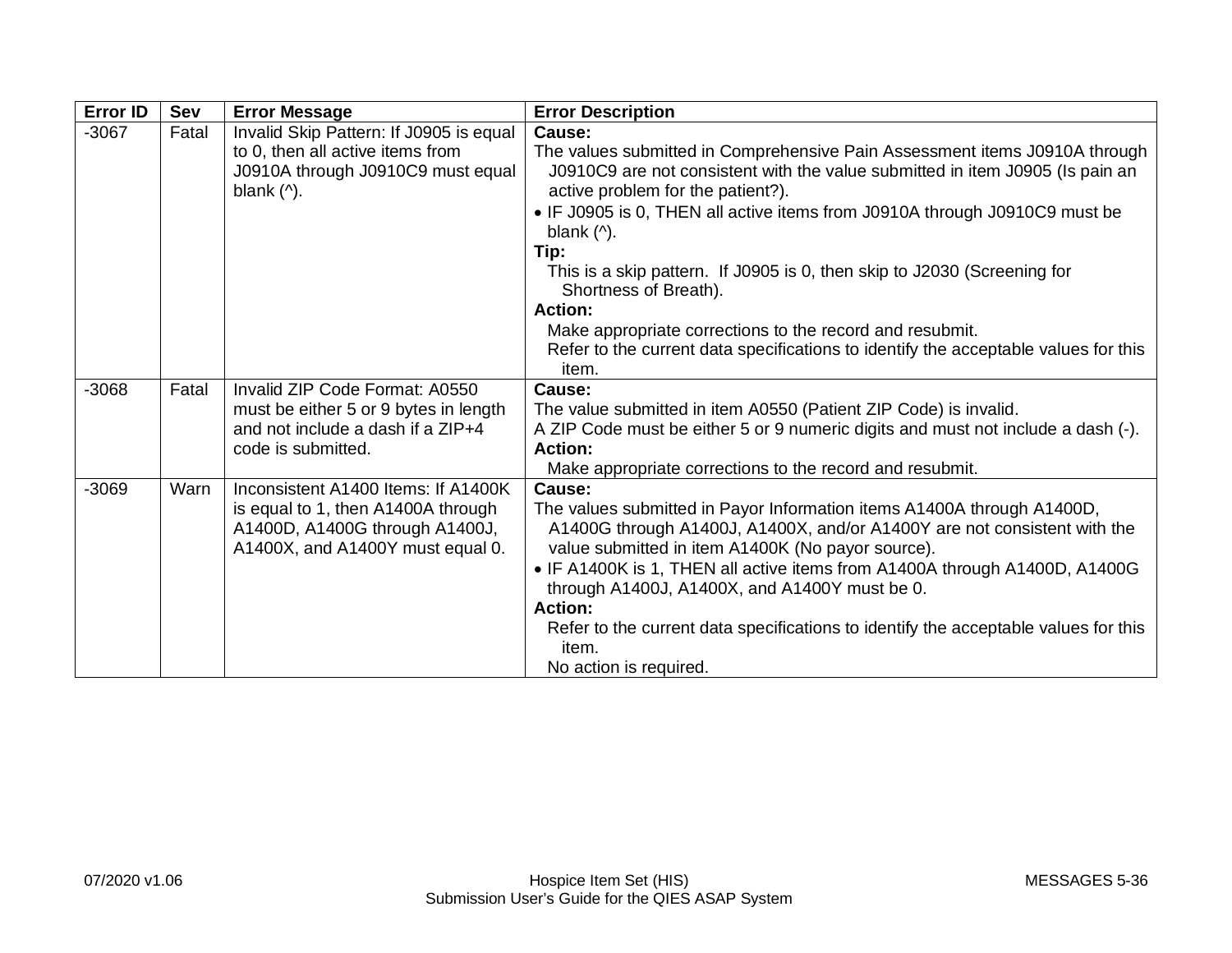| <b>Error ID</b> | <b>Sev</b> | <b>Error Message</b>                                                                                                                                            | <b>Error Description</b>                                                                                                                                                                                                                                                                                                                                                                                                                                                                                                                                                                                                           |
|-----------------|------------|-----------------------------------------------------------------------------------------------------------------------------------------------------------------|------------------------------------------------------------------------------------------------------------------------------------------------------------------------------------------------------------------------------------------------------------------------------------------------------------------------------------------------------------------------------------------------------------------------------------------------------------------------------------------------------------------------------------------------------------------------------------------------------------------------------------|
| $-3067$         | Fatal      | Invalid Skip Pattern: If J0905 is equal<br>to 0, then all active items from<br>J0910A through J0910C9 must equal<br>blank $($ <sup><math>\wedge</math></sup> ). | Cause:<br>The values submitted in Comprehensive Pain Assessment items J0910A through<br>J0910C9 are not consistent with the value submitted in item J0905 (Is pain an<br>active problem for the patient?).<br>• IF J0905 is 0, THEN all active items from J0910A through J0910C9 must be<br>blank $($ <sup><math>\wedge</math></sup> ).<br>Tip:<br>This is a skip pattern. If J0905 is 0, then skip to J2030 (Screening for<br>Shortness of Breath).<br><b>Action:</b><br>Make appropriate corrections to the record and resubmit.<br>Refer to the current data specifications to identify the acceptable values for this<br>item. |
| $-3068$         | Fatal      | Invalid ZIP Code Format: A0550<br>must be either 5 or 9 bytes in length<br>and not include a dash if a ZIP+4<br>code is submitted.                              | Cause:<br>The value submitted in item A0550 (Patient ZIP Code) is invalid.<br>A ZIP Code must be either 5 or 9 numeric digits and must not include a dash (-).<br><b>Action:</b><br>Make appropriate corrections to the record and resubmit.                                                                                                                                                                                                                                                                                                                                                                                       |
| $-3069$         | Warn       | Inconsistent A1400 Items: If A1400K<br>is equal to 1, then A1400A through<br>A1400D, A1400G through A1400J,<br>A1400X, and A1400Y must equal 0.                 | Cause:<br>The values submitted in Payor Information items A1400A through A1400D,<br>A1400G through A1400J, A1400X, and/or A1400Y are not consistent with the<br>value submitted in item A1400K (No payor source).<br>• IF A1400K is 1, THEN all active items from A1400A through A1400D, A1400G<br>through A1400J, A1400X, and A1400Y must be 0.<br><b>Action:</b><br>Refer to the current data specifications to identify the acceptable values for this<br>item.<br>No action is required.                                                                                                                                       |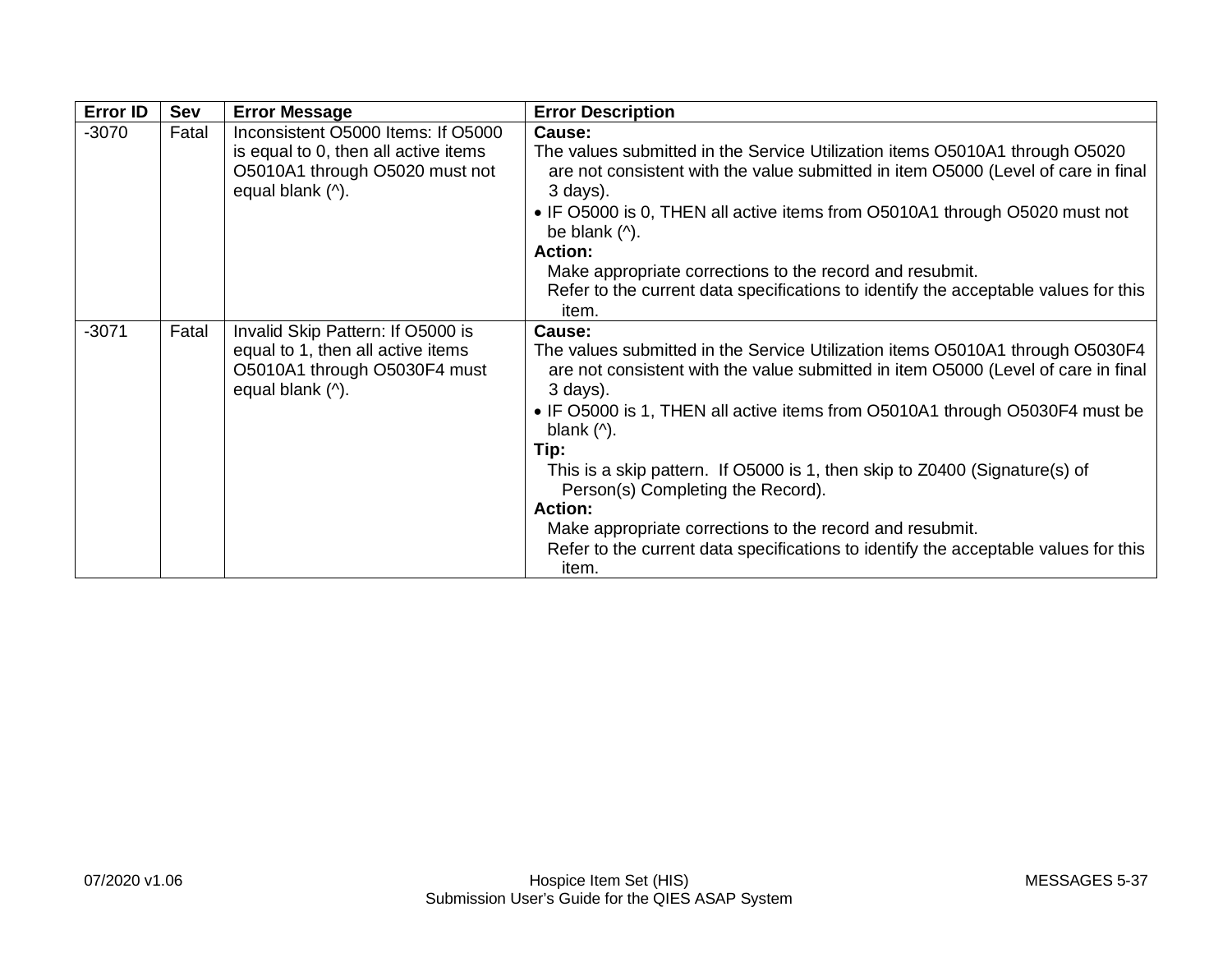| <b>Error ID</b> | Sev   | <b>Error Message</b>                                                                                                             | <b>Error Description</b>                                                                                                                                                                                                                                                                                                                                                                                                                                                                                                                                                                                                         |
|-----------------|-------|----------------------------------------------------------------------------------------------------------------------------------|----------------------------------------------------------------------------------------------------------------------------------------------------------------------------------------------------------------------------------------------------------------------------------------------------------------------------------------------------------------------------------------------------------------------------------------------------------------------------------------------------------------------------------------------------------------------------------------------------------------------------------|
| $-3070$         | Fatal | Inconsistent O5000 Items: If O5000<br>is equal to 0, then all active items<br>O5010A1 through O5020 must not<br>equal blank (^). | Cause:<br>The values submitted in the Service Utilization items O5010A1 through O5020<br>are not consistent with the value submitted in item O5000 (Level of care in final<br>$3$ days).<br>• IF O5000 is 0, THEN all active items from O5010A1 through O5020 must not<br>be blank $($ <sup><math>\wedge</math></sup> ).<br><b>Action:</b><br>Make appropriate corrections to the record and resubmit.<br>Refer to the current data specifications to identify the acceptable values for this<br>item.                                                                                                                           |
| $-3071$         | Fatal | Invalid Skip Pattern: If O5000 is<br>equal to 1, then all active items<br>O5010A1 through O5030F4 must<br>equal blank (^).       | Cause:<br>The values submitted in the Service Utilization items O5010A1 through O5030F4<br>are not consistent with the value submitted in item O5000 (Level of care in final<br>$3$ days).<br>• IF O5000 is 1, THEN all active items from O5010A1 through O5030F4 must be<br>blank $($ <sup><math>\land</math></sup> ).<br>Tip:<br>This is a skip pattern. If O5000 is 1, then skip to Z0400 (Signature(s) of<br>Person(s) Completing the Record).<br><b>Action:</b><br>Make appropriate corrections to the record and resubmit.<br>Refer to the current data specifications to identify the acceptable values for this<br>item. |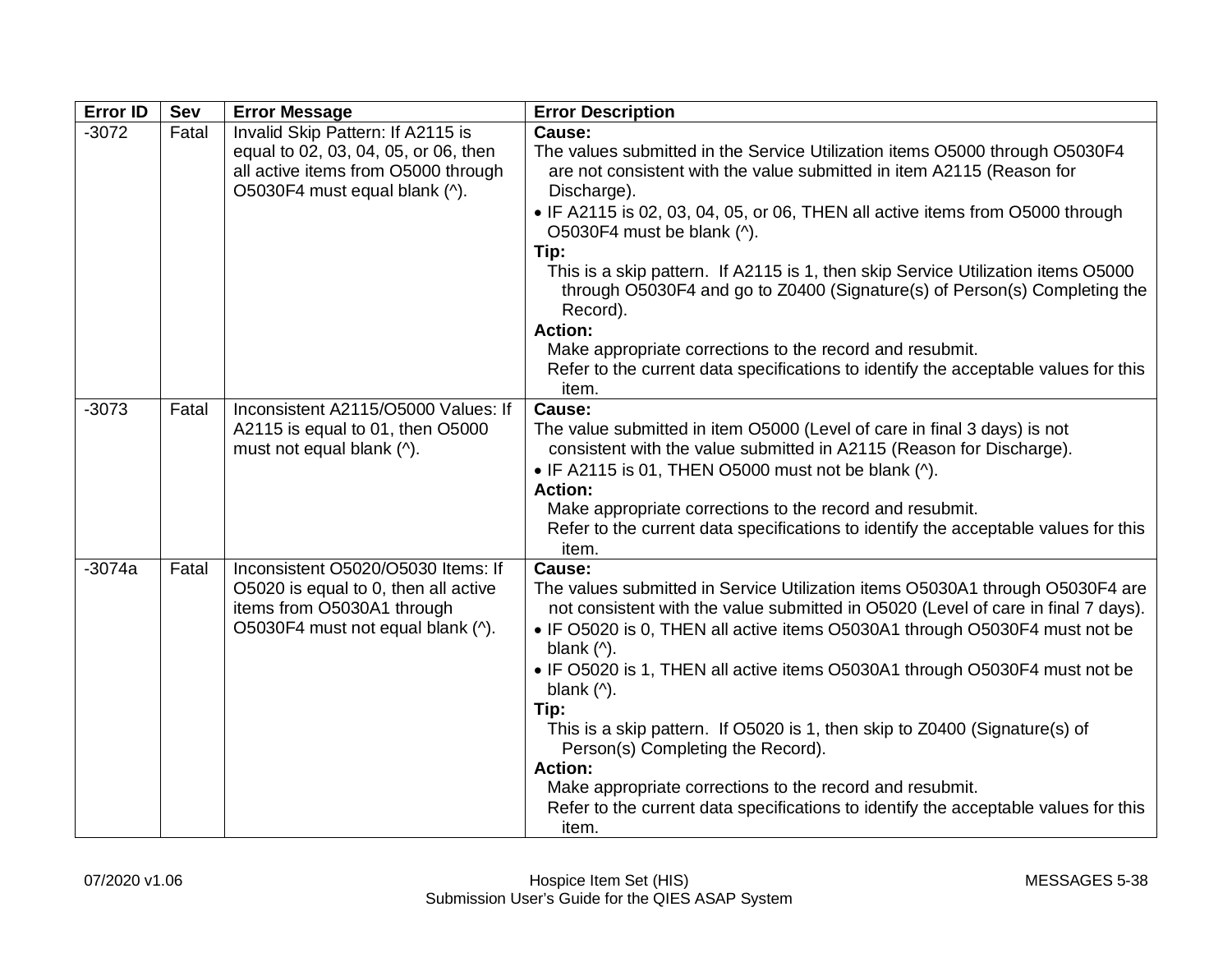| <b>Error ID</b> | Sev   | <b>Error Message</b>                                                                                                                              | <b>Error Description</b>                                                                                                                                                                                                                                                                                                                                                                                                                                                                                                                                                                                                                                                                                                                        |
|-----------------|-------|---------------------------------------------------------------------------------------------------------------------------------------------------|-------------------------------------------------------------------------------------------------------------------------------------------------------------------------------------------------------------------------------------------------------------------------------------------------------------------------------------------------------------------------------------------------------------------------------------------------------------------------------------------------------------------------------------------------------------------------------------------------------------------------------------------------------------------------------------------------------------------------------------------------|
| $-3072$         | Fatal | Invalid Skip Pattern: If A2115 is<br>equal to 02, 03, 04, 05, or 06, then<br>all active items from O5000 through<br>O5030F4 must equal blank (^). | Cause:<br>The values submitted in the Service Utilization items O5000 through O5030F4<br>are not consistent with the value submitted in item A2115 (Reason for<br>Discharge).<br>• IF A2115 is 02, 03, 04, 05, or 06, THEN all active items from O5000 through<br>O5030F4 must be blank (^).<br>Tip:<br>This is a skip pattern. If A2115 is 1, then skip Service Utilization items O5000<br>through O5030F4 and go to Z0400 (Signature(s) of Person(s) Completing the<br>Record).<br><b>Action:</b><br>Make appropriate corrections to the record and resubmit.<br>Refer to the current data specifications to identify the acceptable values for this<br>item.                                                                                 |
| $-3073$         | Fatal | Inconsistent A2115/O5000 Values: If<br>A2115 is equal to 01, then O5000<br>must not equal blank (^).                                              | Cause:<br>The value submitted in item O5000 (Level of care in final 3 days) is not<br>consistent with the value submitted in A2115 (Reason for Discharge).<br>• IF A2115 is 01, THEN O5000 must not be blank (^).<br><b>Action:</b><br>Make appropriate corrections to the record and resubmit.<br>Refer to the current data specifications to identify the acceptable values for this<br>item.                                                                                                                                                                                                                                                                                                                                                 |
| $-3074a$        | Fatal | Inconsistent O5020/O5030 Items: If<br>O5020 is equal to 0, then all active<br>items from O5030A1 through<br>O5030F4 must not equal blank (^).     | Cause:<br>The values submitted in Service Utilization items O5030A1 through O5030F4 are<br>not consistent with the value submitted in O5020 (Level of care in final 7 days).<br>• IF O5020 is 0, THEN all active items O5030A1 through O5030F4 must not be<br>blank $($ <sup><math>\wedge</math></sup> ).<br>• IF O5020 is 1, THEN all active items O5030A1 through O5030F4 must not be<br>blank $($ <sup><math>\wedge</math></sup> ).<br>Tip:<br>This is a skip pattern. If O5020 is 1, then skip to Z0400 (Signature(s) of<br>Person(s) Completing the Record).<br><b>Action:</b><br>Make appropriate corrections to the record and resubmit.<br>Refer to the current data specifications to identify the acceptable values for this<br>item. |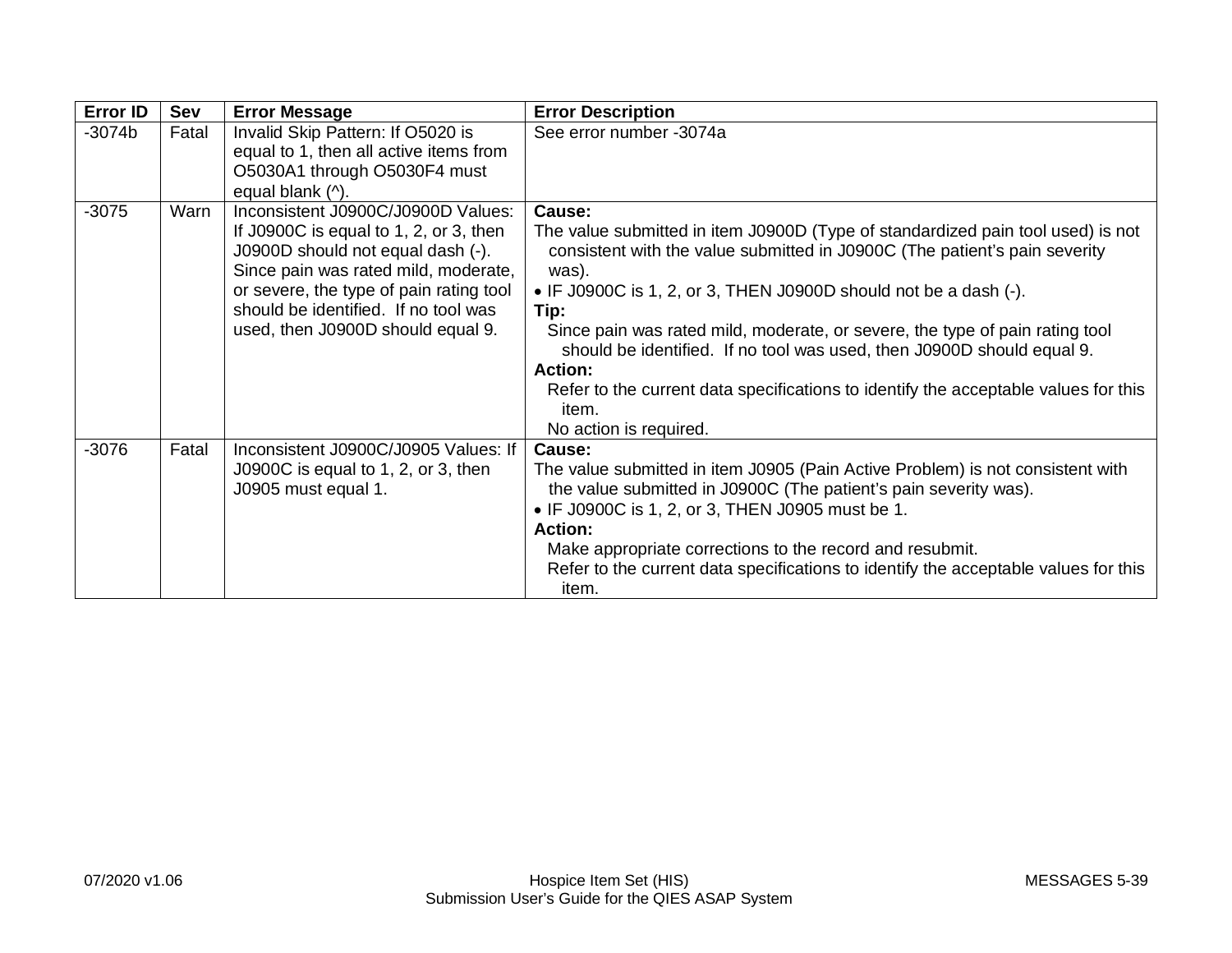| Error ID | Sev   | <b>Error Message</b>                                                                                                                                                                                                                                                              | <b>Error Description</b>                                                                                                                                                                                                                                                                                                                                                                                                                                                                                                                                              |
|----------|-------|-----------------------------------------------------------------------------------------------------------------------------------------------------------------------------------------------------------------------------------------------------------------------------------|-----------------------------------------------------------------------------------------------------------------------------------------------------------------------------------------------------------------------------------------------------------------------------------------------------------------------------------------------------------------------------------------------------------------------------------------------------------------------------------------------------------------------------------------------------------------------|
| $-3074b$ | Fatal | Invalid Skip Pattern: If O5020 is<br>equal to 1, then all active items from<br>O5030A1 through O5030F4 must<br>equal blank (^).                                                                                                                                                   | See error number -3074a                                                                                                                                                                                                                                                                                                                                                                                                                                                                                                                                               |
| $-3075$  | Warn  | Inconsistent J0900C/J0900D Values:<br>If J0900C is equal to 1, 2, or 3, then<br>J0900D should not equal dash (-).<br>Since pain was rated mild, moderate,<br>or severe, the type of pain rating tool<br>should be identified. If no tool was<br>used, then J0900D should equal 9. | Cause:<br>The value submitted in item J0900D (Type of standardized pain tool used) is not<br>consistent with the value submitted in J0900C (The patient's pain severity<br>was).<br>• IF J0900C is 1, 2, or 3, THEN J0900D should not be a dash $(-)$ .<br>Tip:<br>Since pain was rated mild, moderate, or severe, the type of pain rating tool<br>should be identified. If no tool was used, then J0900D should equal 9.<br><b>Action:</b><br>Refer to the current data specifications to identify the acceptable values for this<br>item.<br>No action is required. |
| $-3076$  | Fatal | Inconsistent J0900C/J0905 Values: If<br>J0900C is equal to 1, 2, or 3, then<br>J0905 must equal 1.                                                                                                                                                                                | Cause:<br>The value submitted in item J0905 (Pain Active Problem) is not consistent with<br>the value submitted in J0900C (The patient's pain severity was).<br>• IF J0900C is 1, 2, or 3, THEN J0905 must be 1.<br><b>Action:</b><br>Make appropriate corrections to the record and resubmit.<br>Refer to the current data specifications to identify the acceptable values for this<br>item.                                                                                                                                                                        |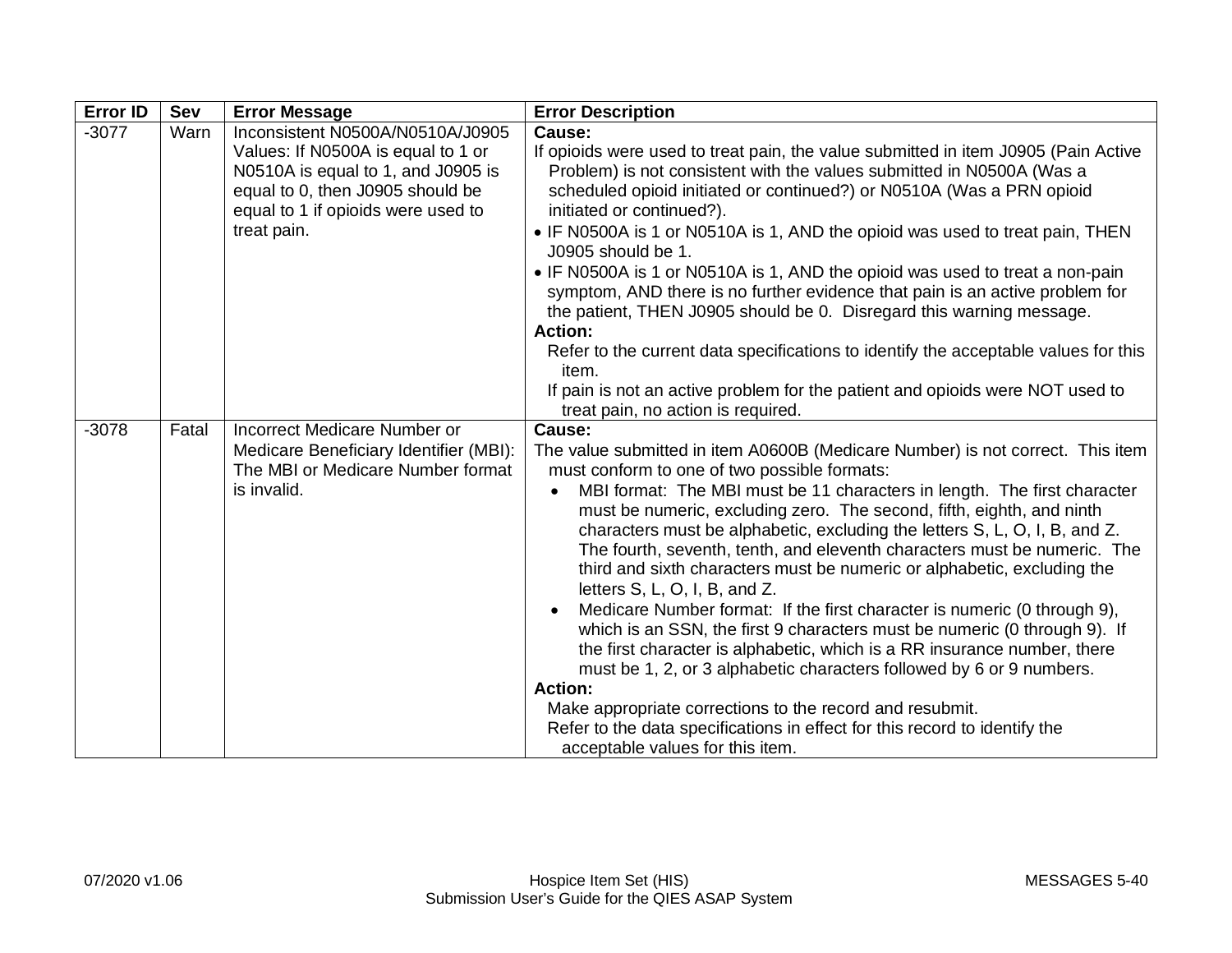| <b>Error ID</b> | Sev   | <b>Error Message</b>                                                                                                                                                                                  | <b>Error Description</b>                                                                                                                                                                                                                                                                                                                                                                                                                                                                                                                                                                                                                                                                                                                                                                                                                                                                                                                                                                                                                                                         |
|-----------------|-------|-------------------------------------------------------------------------------------------------------------------------------------------------------------------------------------------------------|----------------------------------------------------------------------------------------------------------------------------------------------------------------------------------------------------------------------------------------------------------------------------------------------------------------------------------------------------------------------------------------------------------------------------------------------------------------------------------------------------------------------------------------------------------------------------------------------------------------------------------------------------------------------------------------------------------------------------------------------------------------------------------------------------------------------------------------------------------------------------------------------------------------------------------------------------------------------------------------------------------------------------------------------------------------------------------|
| $-3077$         | Warn  | Inconsistent N0500A/N0510A/J0905<br>Values: If N0500A is equal to 1 or<br>N0510A is equal to 1, and J0905 is<br>equal to 0, then J0905 should be<br>equal to 1 if opioids were used to<br>treat pain. | Cause:<br>If opioids were used to treat pain, the value submitted in item J0905 (Pain Active<br>Problem) is not consistent with the values submitted in N0500A (Was a<br>scheduled opioid initiated or continued?) or N0510A (Was a PRN opioid<br>initiated or continued?).<br>• IF N0500A is 1 or N0510A is 1, AND the opioid was used to treat pain, THEN<br>J0905 should be 1.<br>• IF N0500A is 1 or N0510A is 1, AND the opioid was used to treat a non-pain<br>symptom, AND there is no further evidence that pain is an active problem for<br>the patient, THEN J0905 should be 0. Disregard this warning message.<br><b>Action:</b><br>Refer to the current data specifications to identify the acceptable values for this<br>item.<br>If pain is not an active problem for the patient and opioids were NOT used to<br>treat pain, no action is required.                                                                                                                                                                                                               |
| $-3078$         | Fatal | Incorrect Medicare Number or<br>Medicare Beneficiary Identifier (MBI):<br>The MBI or Medicare Number format<br>is invalid.                                                                            | Cause:<br>The value submitted in item A0600B (Medicare Number) is not correct. This item<br>must conform to one of two possible formats:<br>MBI format: The MBI must be 11 characters in length. The first character<br>must be numeric, excluding zero. The second, fifth, eighth, and ninth<br>characters must be alphabetic, excluding the letters S, L, O, I, B, and Z.<br>The fourth, seventh, tenth, and eleventh characters must be numeric. The<br>third and sixth characters must be numeric or alphabetic, excluding the<br>letters S, L, O, I, B, and Z.<br>Medicare Number format: If the first character is numeric (0 through 9),<br>which is an SSN, the first 9 characters must be numeric (0 through 9). If<br>the first character is alphabetic, which is a RR insurance number, there<br>must be 1, 2, or 3 alphabetic characters followed by 6 or 9 numbers.<br><b>Action:</b><br>Make appropriate corrections to the record and resubmit.<br>Refer to the data specifications in effect for this record to identify the<br>acceptable values for this item. |